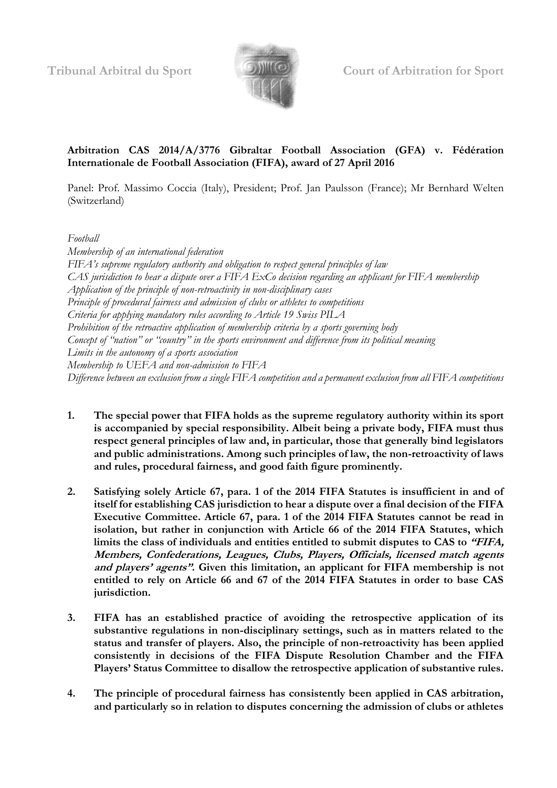

# **Arbitration CAS 2014/A/3776 Gibraltar Football Association (GFA) v. Fédération Internationale de Football Association (FIFA), award of 27 April 2016**

Panel: Prof. Massimo Coccia (Italy), President; Prof. Jan Paulsson (France); Mr Bernhard Welten (Switzerland)

*Football*

*Membership of an international federation FIFA's supreme regulatory authority and obligation to respect general principles of law CAS jurisdiction to hear a dispute over a FIFA ExCo decision regarding an applicant for FIFA membership Application of the principle of non-retroactivity in non-disciplinary cases Principle of procedural fairness and admission of clubs or athletes to competitions Criteria for applying mandatory rules according to Article 19 Swiss PILA Prohibition of the retroactive application of membership criteria by a sports governing body Concept of "nation" or "country" in the sports environment and difference from its political meaning Limits in the autonomy of a sports association Membership to UEFA and non-admission to FIFA Difference between an exclusion from a single FIFA competition and a permanent exclusion from all FIFA competitions*

- **1. The special power that FIFA holds as the supreme regulatory authority within its sport is accompanied by special responsibility. Albeit being a private body, FIFA must thus respect general principles of law and, in particular, those that generally bind legislators and public administrations. Among such principles of law, the non-retroactivity of laws and rules, procedural fairness, and good faith figure prominently.**
- **2. Satisfying solely Article 67, para. 1 of the 2014 FIFA Statutes is insufficient in and of itself for establishing CAS jurisdiction to hear a dispute over a final decision of the FIFA Executive Committee. Article 67, para. 1 of the 2014 FIFA Statutes cannot be read in isolation, but rather in conjunction with Article 66 of the 2014 FIFA Statutes, which limits the class of individuals and entities entitled to submit disputes to CAS to "FIFA, Members, Confederations, Leagues, Clubs, Players, Officials, licensed match agents and players' agents". Given this limitation, an applicant for FIFA membership is not entitled to rely on Article 66 and 67 of the 2014 FIFA Statutes in order to base CAS jurisdiction.**
- **3. FIFA has an established practice of avoiding the retrospective application of its substantive regulations in non-disciplinary settings, such as in matters related to the status and transfer of players. Also, the principle of non-retroactivity has been applied consistently in decisions of the FIFA Dispute Resolution Chamber and the FIFA Players' Status Committee to disallow the retrospective application of substantive rules.**
- **4. The principle of procedural fairness has consistently been applied in CAS arbitration, and particularly so in relation to disputes concerning the admission of clubs or athletes**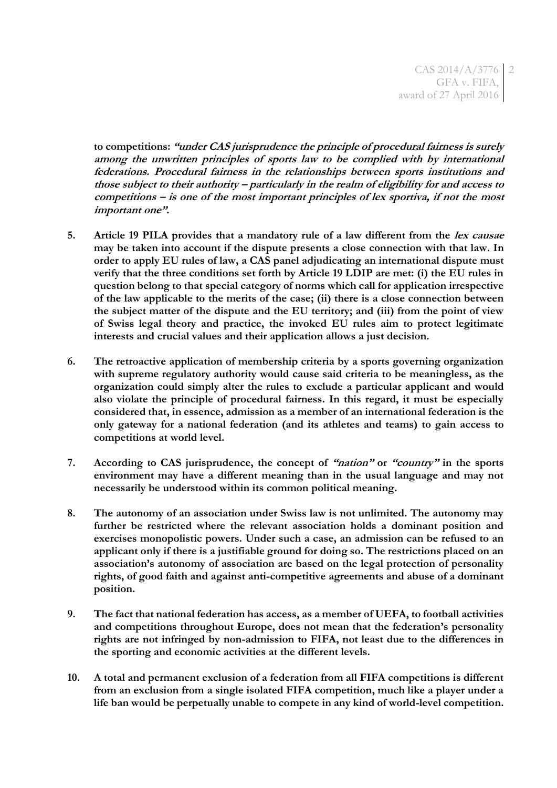**to competitions: "under CAS jurisprudence the principle of procedural fairness is surely among the unwritten principles of sports law to be complied with by international federations. Procedural fairness in the relationships between sports institutions and those subject to their authority – particularly in the realm of eligibility for and access to competitions – is one of the most important principles of lex sportiva, if not the most important one".**

- **5. Article 19 PILA provides that a mandatory rule of a law different from the lex causae may be taken into account if the dispute presents a close connection with that law. In order to apply EU rules of law, a CAS panel adjudicating an international dispute must verify that the three conditions set forth by Article 19 LDIP are met: (i) the EU rules in question belong to that special category of norms which call for application irrespective of the law applicable to the merits of the case; (ii) there is a close connection between the subject matter of the dispute and the EU territory; and (iii) from the point of view of Swiss legal theory and practice, the invoked EU rules aim to protect legitimate interests and crucial values and their application allows a just decision.**
- **6. The retroactive application of membership criteria by a sports governing organization with supreme regulatory authority would cause said criteria to be meaningless, as the organization could simply alter the rules to exclude a particular applicant and would also violate the principle of procedural fairness. In this regard, it must be especially considered that, in essence, admission as a member of an international federation is the only gateway for a national federation (and its athletes and teams) to gain access to competitions at world level.**
- **7. According to CAS jurisprudence, the concept of "nation" or "country" in the sports environment may have a different meaning than in the usual language and may not necessarily be understood within its common political meaning.**
- **8. The autonomy of an association under Swiss law is not unlimited. The autonomy may further be restricted where the relevant association holds a dominant position and exercises monopolistic powers. Under such a case, an admission can be refused to an applicant only if there is a justifiable ground for doing so. The restrictions placed on an association's autonomy of association are based on the legal protection of personality rights, of good faith and against anti-competitive agreements and abuse of a dominant position.**
- **9. The fact that national federation has access, as a member of UEFA, to football activities and competitions throughout Europe, does not mean that the federation's personality rights are not infringed by non-admission to FIFA, not least due to the differences in the sporting and economic activities at the different levels.**
- **10. A total and permanent exclusion of a federation from all FIFA competitions is different from an exclusion from a single isolated FIFA competition, much like a player under a life ban would be perpetually unable to compete in any kind of world-level competition.**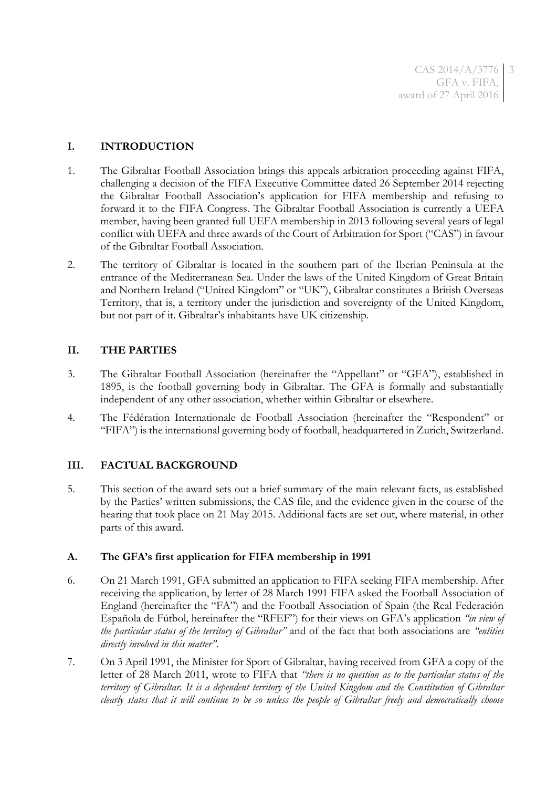CAS 2014/A/3776 GFA v. FIFA, award of 27 April 2016 3

### **I. INTRODUCTION**

- 1. The Gibraltar Football Association brings this appeals arbitration proceeding against FIFA, challenging a decision of the FIFA Executive Committee dated 26 September 2014 rejecting the Gibraltar Football Association's application for FIFA membership and refusing to forward it to the FIFA Congress. The Gibraltar Football Association is currently a UEFA member, having been granted full UEFA membership in 2013 following several years of legal conflict with UEFA and three awards of the Court of Arbitration for Sport ("CAS") in favour of the Gibraltar Football Association.
- 2. The territory of Gibraltar is located in the southern part of the Iberian Peninsula at the entrance of the Mediterranean Sea. Under the laws of the United Kingdom of Great Britain and Northern Ireland ("United Kingdom" or "UK"), Gibraltar constitutes a British Overseas Territory, that is, a territory under the jurisdiction and sovereignty of the United Kingdom, but not part of it. Gibraltar's inhabitants have UK citizenship.

### **II. THE PARTIES**

- 3. The Gibraltar Football Association (hereinafter the "Appellant" or "GFA"), established in 1895, is the football governing body in Gibraltar. The GFA is formally and substantially independent of any other association, whether within Gibraltar or elsewhere.
- 4. The Fédération Internationale de Football Association (hereinafter the "Respondent" or "FIFA") is the international governing body of football, headquartered in Zurich, Switzerland.

### **III. FACTUAL BACKGROUND**

5. This section of the award sets out a brief summary of the main relevant facts, as established by the Parties' written submissions, the CAS file, and the evidence given in the course of the hearing that took place on 21 May 2015. Additional facts are set out, where material, in other parts of this award.

#### **A. The GFA's first application for FIFA membership in 1991**

- 6. On 21 March 1991, GFA submitted an application to FIFA seeking FIFA membership. After receiving the application, by letter of 28 March 1991 FIFA asked the Football Association of England (hereinafter the "FA") and the Football Association of Spain (the Real Federación Española de Fútbol, hereinafter the "RFEF") for their views on GFA's application *"in view of the particular status of the territory of Gibraltar"* and of the fact that both associations are *"entities directly involved in this matter"*.
- 7. On 3 April 1991, the Minister for Sport of Gibraltar, having received from GFA a copy of the letter of 28 March 2011, wrote to FIFA that *"there is no question as to the particular status of the territory of Gibraltar. It is a dependent territory of the United Kingdom and the Constitution of Gibraltar clearly states that it will continue to be so unless the people of Gibraltar freely and democratically choose*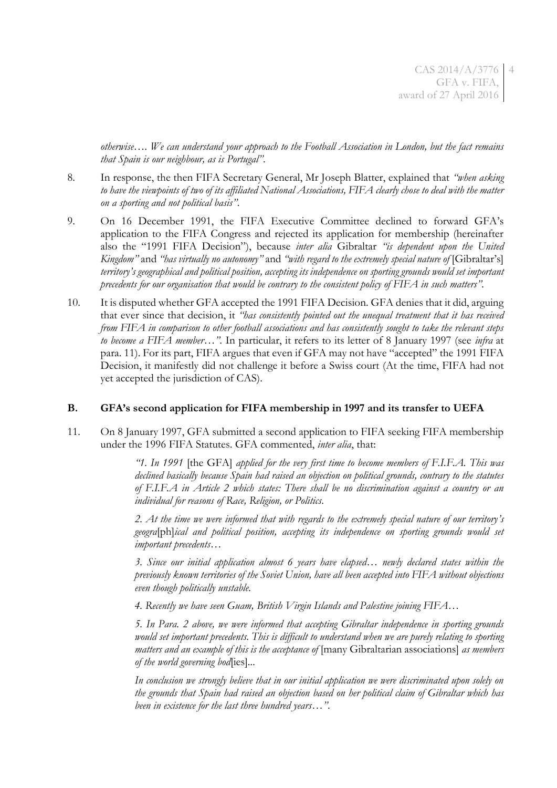*otherwise…. We can understand your approach to the Football Association in London, but the fact remains that Spain is our neighbour, as is Portugal"*.

- 8. In response, the then FIFA Secretary General, Mr Joseph Blatter, explained that *"when asking to have the viewpoints of two of its affiliated National Associations, FIFA clearly chose to deal with the matter on a sporting and not political basis"*.
- 9. On 16 December 1991, the FIFA Executive Committee declined to forward GFA's application to the FIFA Congress and rejected its application for membership (hereinafter also the "1991 FIFA Decision"), because *inter alia* Gibraltar *"is dependent upon the United Kingdom"* and *"has virtually no autonomy"* and *"with regard to the extremely special nature of* [Gibraltar's] *territory's geographical and political position, accepting its independence on sporting grounds would set important precedents for our organisation that would be contrary to the consistent policy of FIFA in such matters".*
- 10. It is disputed whether GFA accepted the 1991 FIFA Decision. GFA denies that it did, arguing that ever since that decision, it *"has consistently pointed out the unequal treatment that it has received from FIFA in comparison to other football associations and has consistently sought to take the relevant steps to become a FIFA member*…*"*. In particular, it refers to its letter of 8 January 1997 (see *infra* at para. [11](#page-3-0)). For its part, FIFA argues that even if GFA may not have "accepted" the 1991 FIFA Decision, it manifestly did not challenge it before a Swiss court (At the time, FIFA had not yet accepted the jurisdiction of CAS).

### **B. GFA's second application for FIFA membership in 1997 and its transfer to UEFA**

<span id="page-3-0"></span>11. On 8 January 1997, GFA submitted a second application to FIFA seeking FIFA membership under the 1996 FIFA Statutes. GFA commented, *inter alia*, that:

> *"1. In 1991* [the GFA] *applied for the very first time to become members of F.I.F.A. This was declined basically because Spain had raised an objection on political grounds, contrary to the statutes of F.I.F.A in Article 2 which states: There shall be no discrimination against a country or an individual for reasons of Race, Religion, or Politics*.

> *2. At the time we were informed that with regards to the extremely special nature of our territory's geogra*[ph]*ical and political position, accepting its independence on sporting grounds would set important precedents…*

> *3. Since our initial application almost 6 years have elapsed… newly declared states within the previously known territories of the Soviet Union, have all been accepted into FIFA without objections even though politically unstable.*

*4. Recently we have seen Guam, British Virgin Islands and Palestine joining FIFA…*

*5. In Para. 2 above, we were informed that accepting Gibraltar independence in sporting grounds would set important precedents. This is difficult to understand when we are purely relating to sporting matters and an example of this is the acceptance of* [many Gibraltarian associations] *as members of the world governing bod*[ies]*...*

*In conclusion we strongly believe that in our initial application we were discriminated upon solely on the grounds that Spain had raised an objection based on her political claim of Gibraltar which has been in existence for the last three hundred years*…*"*.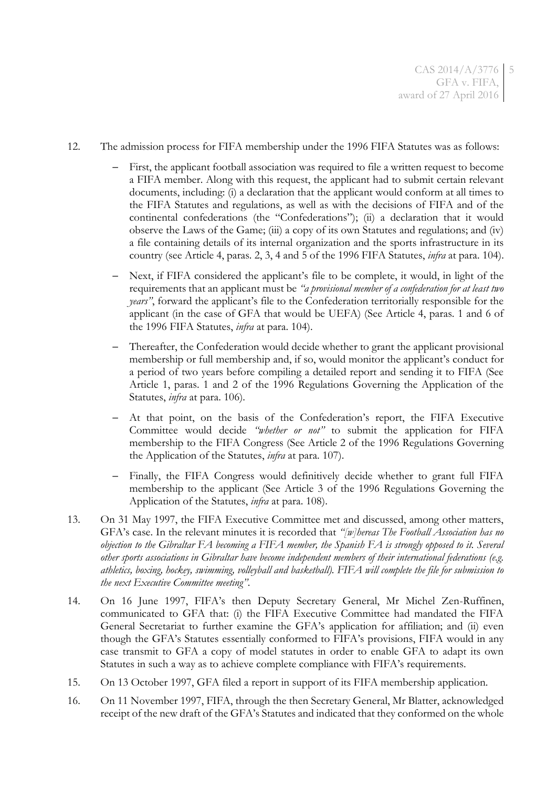- 12. The admission process for FIFA membership under the 1996 FIFA Statutes was as follows:
	- First, the applicant football association was required to file a written request to become a FIFA member. Along with this request, the applicant had to submit certain relevant documents, including: (i) a declaration that the applicant would conform at all times to the FIFA Statutes and regulations, as well as with the decisions of FIFA and of the continental confederations (the "Confederations"); (ii) a declaration that it would observe the Laws of the Game; (iii) a copy of its own Statutes and regulations; and (iv) a file containing details of its internal organization and the sports infrastructure in its country (see Article 4, paras. 2, 3, 4 and 5 of the 1996 FIFA Statutes, *infra* at para. [104\)](#page-19-0).
	- Next, if FIFA considered the applicant's file to be complete, it would, in light of the requirements that an applicant must be *"a provisional member of a confederation for at least two years"*, forward the applicant's file to the Confederation territorially responsible for the applicant (in the case of GFA that would be UEFA) (See Article 4, paras. 1 and 6 of the 1996 FIFA Statutes, *infra* at para. [104\)](#page-19-0).
	- Thereafter, the Confederation would decide whether to grant the applicant provisional membership or full membership and, if so, would monitor the applicant's conduct for a period of two years before compiling a detailed report and sending it to FIFA (See Article 1, paras. 1 and 2 of the 1996 Regulations Governing the Application of the Statutes, *infra* at para. [106\)](#page-20-0).
	- At that point, on the basis of the Confederation's report, the FIFA Executive Committee would decide *"whether or not"* to submit the application for FIFA membership to the FIFA Congress (See Article 2 of the 1996 Regulations Governing the Application of the Statutes, *infra* at para. [107\)](#page-20-1).
	- Finally, the FIFA Congress would definitively decide whether to grant full FIFA membership to the applicant (See Article 3 of the 1996 Regulations Governing the Application of the Statutes, *infra* at para. [108\)](#page-20-2).
- 13. On 31 May 1997, the FIFA Executive Committee met and discussed, among other matters, GFA's case. In the relevant minutes it is recorded that *"[w]hereas The Football Association has no objection to the Gibraltar FA becoming a FIFA member, the Spanish FA is strongly opposed to it. Several other sports associations in Gibraltar have become independent members of their international federations (e.g. athletics, boxing, hockey, swimming, volleyball and basketball). FIFA will complete the file for submission to the next Executive Committee meeting"*.
- 14. On 16 June 1997, FIFA's then Deputy Secretary General, Mr Michel Zen-Ruffinen, communicated to GFA that: (i) the FIFA Executive Committee had mandated the FIFA General Secretariat to further examine the GFA's application for affiliation; and (ii) even though the GFA's Statutes essentially conformed to FIFA's provisions, FIFA would in any case transmit to GFA a copy of model statutes in order to enable GFA to adapt its own Statutes in such a way as to achieve complete compliance with FIFA's requirements.
- 15. On 13 October 1997, GFA filed a report in support of its FIFA membership application.
- 16. On 11 November 1997, FIFA, through the then Secretary General, Mr Blatter, acknowledged receipt of the new draft of the GFA's Statutes and indicated that they conformed on the whole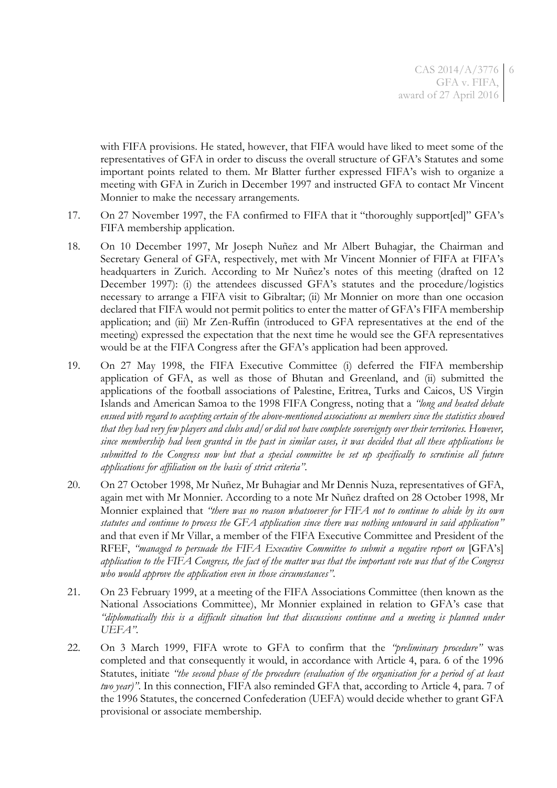with FIFA provisions. He stated, however, that FIFA would have liked to meet some of the representatives of GFA in order to discuss the overall structure of GFA's Statutes and some important points related to them. Mr Blatter further expressed FIFA's wish to organize a meeting with GFA in Zurich in December 1997 and instructed GFA to contact Mr Vincent Monnier to make the necessary arrangements.

- 17. On 27 November 1997, the FA confirmed to FIFA that it "thoroughly support[ed]" GFA's FIFA membership application.
- 18. On 10 December 1997, Mr Joseph Nuñez and Mr Albert Buhagiar, the Chairman and Secretary General of GFA, respectively, met with Mr Vincent Monnier of FIFA at FIFA's headquarters in Zurich. According to Mr Nuñez's notes of this meeting (drafted on 12 December 1997): (i) the attendees discussed GFA's statutes and the procedure/logistics necessary to arrange a FIFA visit to Gibraltar; (ii) Mr Monnier on more than one occasion declared that FIFA would not permit politics to enter the matter of GFA's FIFA membership application; and (iii) Mr Zen-Ruffin (introduced to GFA representatives at the end of the meeting) expressed the expectation that the next time he would see the GFA representatives would be at the FIFA Congress after the GFA's application had been approved.
- 19. On 27 May 1998, the FIFA Executive Committee (i) deferred the FIFA membership application of GFA, as well as those of Bhutan and Greenland, and (ii) submitted the applications of the football associations of Palestine, Eritrea, Turks and Caicos, US Virgin Islands and American Samoa to the 1998 FIFA Congress, noting that a *"long and heated debate ensued with regard to accepting certain of the above-mentioned associations as members since the statistics showed that they had very few players and clubs and/or did not have complete sovereignty over their territories. However, since membership had been granted in the past in similar cases, it was decided that all these applications be submitted to the Congress now but that a special committee be set up specifically to scrutinise all future applications for affiliation on the basis of strict criteria"*.
- 20. On 27 October 1998, Mr Nuñez, Mr Buhagiar and Mr Dennis Nuza, representatives of GFA, again met with Mr Monnier. According to a note Mr Nuñez drafted on 28 October 1998, Mr Monnier explained that *"there was no reason whatsoever for FIFA not to continue to abide by its own statutes and continue to process the GFA application since there was nothing untoward in said application"* and that even if Mr Villar, a member of the FIFA Executive Committee and President of the RFEF, *"managed to persuade the FIFA Executive Committee to submit a negative report on* [GFA's] *application to the FIFA Congress, the fact of the matter was that the important vote was that of the Congress who would approve the application even in those circumstances"*.
- 21. On 23 February 1999, at a meeting of the FIFA Associations Committee (then known as the National Associations Committee), Mr Monnier explained in relation to GFA's case that *"diplomatically this is a difficult situation but that discussions continue and a meeting is planned under UEFA"*.
- 22. On 3 March 1999, FIFA wrote to GFA to confirm that the *"preliminary procedure"* was completed and that consequently it would, in accordance with Article 4, para. 6 of the 1996 Statutes, initiate *"the second phase of the procedure (evaluation of the organisation for a period of at least two year)"*. In this connection, FIFA also reminded GFA that, according to Article 4, para. 7 of the 1996 Statutes, the concerned Confederation (UEFA) would decide whether to grant GFA provisional or associate membership.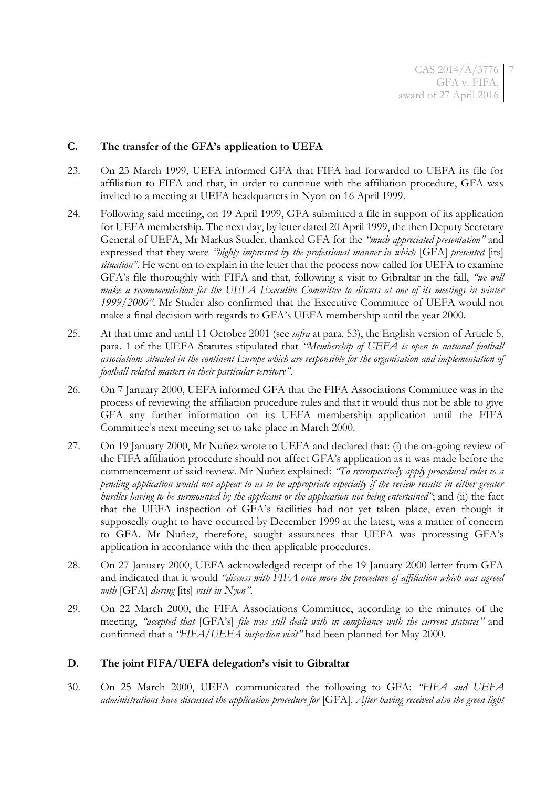### **C. The transfer of the GFA's application to UEFA**

- 23. On 23 March 1999, UEFA informed GFA that FIFA had forwarded to UEFA its file for affiliation to FIFA and that, in order to continue with the affiliation procedure, GFA was invited to a meeting at UEFA headquarters in Nyon on 16 April 1999.
- 24. Following said meeting, on 19 April 1999, GFA submitted a file in support of its application for UEFA membership. The next day, by letter dated 20 April 1999, the then Deputy Secretary General of UEFA, Mr Markus Studer, thanked GFA for the *"much appreciated presentation"* and expressed that they were *"highly impressed by the professional manner in which* [GFA] *presented* [its] *situation"*. He went on to explain in the letter that the process now called for UEFA to examine GFA's file thoroughly with FIFA and that, following a visit to Gibraltar in the fall, *"we will make a recommendation for the UEFA Executive Committee to discuss at one of its meetings in winter 1999/2000"*. Mr Studer also confirmed that the Executive Committee of UEFA would not make a final decision with regards to GFA's UEFA membership until the year 2000.
- <span id="page-6-0"></span>25. At that time and until 11 October 2001 (see *infra* at para. [53\)](#page-10-0), the English version of Article 5, para. 1 of the UEFA Statutes stipulated that *"Membership of UEFA is open to national football associations situated in the continent Europe which are responsible for the organisation and implementation of football related matters in their particular territory"*.
- 26. On 7 January 2000, UEFA informed GFA that the FIFA Associations Committee was in the process of reviewing the affiliation procedure rules and that it would thus not be able to give GFA any further information on its UEFA membership application until the FIFA Committee's next meeting set to take place in March 2000.
- 27. On 19 January 2000, Mr Nuñez wrote to UEFA and declared that: (i) the on-going review of the FIFA affiliation procedure should not affect GFA's application as it was made before the commencement of said review. Mr Nuñez explained: *"To retrospectively apply procedural rules to a pending application would not appear to us to be appropriate especially if the review results in either greater hurdles having to be surmounted by the applicant or the application not being entertained"*; and (ii) the fact that the UEFA inspection of GFA's facilities had not yet taken place, even though it supposedly ought to have occurred by December 1999 at the latest, was a matter of concern to GFA. Mr Nuñez, therefore, sought assurances that UEFA was processing GFA's application in accordance with the then applicable procedures.
- 28. On 27 January 2000, UEFA acknowledged receipt of the 19 January 2000 letter from GFA and indicated that it would *"discuss with FIFA once more the procedure of affiliation which was agreed with* [GFA] *during* [its] *visit in Nyon"*.
- 29. On 22 March 2000, the FIFA Associations Committee, according to the minutes of the meeting, *"accepted that* [GFA's] *file was still dealt with in compliance with the current statutes"* and confirmed that a *"FIFA/UEFA inspection visit"* had been planned for May 2000.

### **D. The joint FIFA/UEFA delegation's visit to Gibraltar**

30. On 25 March 2000, UEFA communicated the following to GFA: *"FIFA and UEFA administrations have discussed the application procedure for* [GFA]. *After having received also the green light*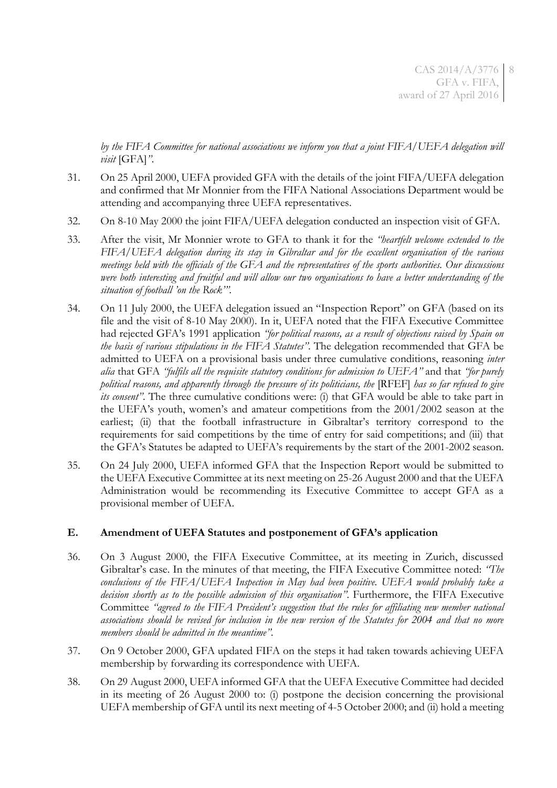*by the FIFA Committee for national associations we inform you that a joint FIFA/UEFA delegation will visit* [GFA]*"*.

- 31. On 25 April 2000, UEFA provided GFA with the details of the joint FIFA/UEFA delegation and confirmed that Mr Monnier from the FIFA National Associations Department would be attending and accompanying three UEFA representatives.
- 32. On 8-10 May 2000 the joint FIFA/UEFA delegation conducted an inspection visit of GFA.
- 33. After the visit, Mr Monnier wrote to GFA to thank it for the *"heartfelt welcome extended to the FIFA/UEFA delegation during its stay in Gibraltar and for the excellent organisation of the various meetings held with the officials of the GFA and the representatives of the sports authorities. Our discussions were both interesting and fruitful and will allow our two organisations to have a better understanding of the situation of football 'on the Rock'".*
- 34. On 11 July 2000, the UEFA delegation issued an "Inspection Report" on GFA (based on its file and the visit of 8-10 May 2000). In it, UEFA noted that the FIFA Executive Committee had rejected GFA's 1991 application *"for political reasons, as a result of objections raised by Spain on the basis of various stipulations in the FIFA Statutes"*. The delegation recommended that GFA be admitted to UEFA on a provisional basis under three cumulative conditions, reasoning *inter alia* that GFA *"fulfils all the requisite statutory conditions for admission to UEFA"* and that *"for purely political reasons, and apparently through the pressure of its politicians, the* [RFEF] *has so far refused to give its consent*". The three cumulative conditions were: (i) that GFA would be able to take part in the UEFA's youth, women's and amateur competitions from the 2001/2002 season at the earliest; (ii) that the football infrastructure in Gibraltar's territory correspond to the requirements for said competitions by the time of entry for said competitions; and (iii) that the GFA's Statutes be adapted to UEFA's requirements by the start of the 2001-2002 season.
- 35. On 24 July 2000, UEFA informed GFA that the Inspection Report would be submitted to the UEFA Executive Committee at its next meeting on 25-26 August 2000 and that the UEFA Administration would be recommending its Executive Committee to accept GFA as a provisional member of UEFA.

### **E. Amendment of UEFA Statutes and postponement of GFA's application**

- 36. On 3 August 2000, the FIFA Executive Committee, at its meeting in Zurich, discussed Gibraltar's case. In the minutes of that meeting, the FIFA Executive Committee noted: *"The conclusions of the FIFA/UEFA Inspection in May had been positive. UEFA would probably take a decision shortly as to the possible admission of this organisation"*. Furthermore, the FIFA Executive Committee *"agreed to the FIFA President's suggestion that the rules for affiliating new member national associations should be revised for inclusion in the new version of the Statutes for 2004 and that no more members should be admitted in the meantime".*
- 37. On 9 October 2000, GFA updated FIFA on the steps it had taken towards achieving UEFA membership by forwarding its correspondence with UEFA.
- 38. On 29 August 2000, UEFA informed GFA that the UEFA Executive Committee had decided in its meeting of 26 August 2000 to: (i) postpone the decision concerning the provisional UEFA membership of GFA until its next meeting of 4-5 October 2000; and (ii) hold a meeting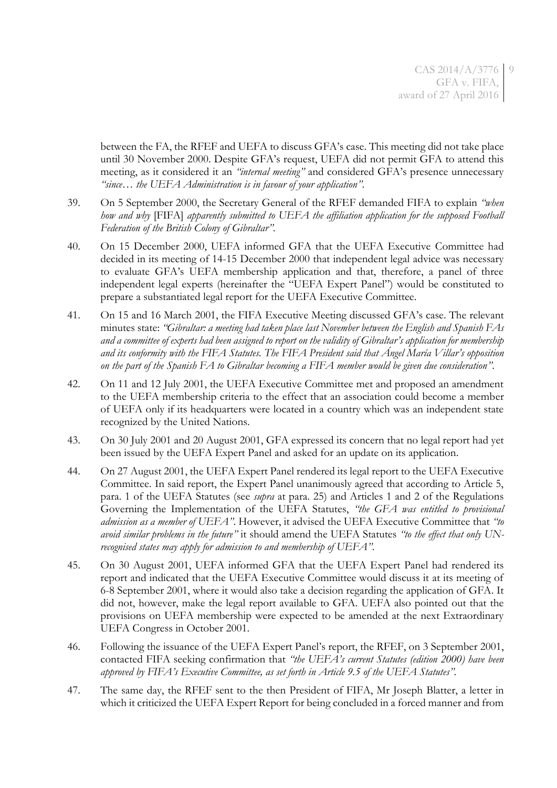between the FA, the RFEF and UEFA to discuss GFA's case. This meeting did not take place until 30 November 2000. Despite GFA's request, UEFA did not permit GFA to attend this meeting, as it considered it an *"internal meeting"* and considered GFA's presence unnecessary *"since… the UEFA Administration is in favour of your application"*.

- <span id="page-8-0"></span>39. On 5 September 2000, the Secretary General of the RFEF demanded FIFA to explain *"when how and why* [FIFA] *apparently submitted to UEFA the affiliation application for the supposed Football Federation of the British Colony of Gibraltar".*
- 40. On 15 December 2000, UEFA informed GFA that the UEFA Executive Committee had decided in its meeting of 14-15 December 2000 that independent legal advice was necessary to evaluate GFA's UEFA membership application and that, therefore, a panel of three independent legal experts (hereinafter the "UEFA Expert Panel") would be constituted to prepare a substantiated legal report for the UEFA Executive Committee.
- 41. On 15 and 16 March 2001, the FIFA Executive Meeting discussed GFA's case. The relevant minutes state: *"Gibraltar: a meeting had taken place last November between the English and Spanish FAs and a committee of experts had been assigned to report on the validity of Gibraltar's application for membership and its conformity with the FIFA Statutes. The FIFA President said that Ángel María Villar's opposition on the part of the Spanish FA to Gibraltar becoming a FIFA member would be given due consideration"*.
- 42. On 11 and 12 July 2001, the UEFA Executive Committee met and proposed an amendment to the UEFA membership criteria to the effect that an association could become a member of UEFA only if its headquarters were located in a country which was an independent state recognized by the United Nations.
- 43. On 30 July 2001 and 20 August 2001, GFA expressed its concern that no legal report had yet been issued by the UEFA Expert Panel and asked for an update on its application.
- 44. On 27 August 2001, the UEFA Expert Panel rendered its legal report to the UEFA Executive Committee. In said report, the Expert Panel unanimously agreed that according to Article 5, para. 1 of the UEFA Statutes (see *supra* at para. [25\)](#page-6-0) and Articles 1 and 2 of the Regulations Governing the Implementation of the UEFA Statutes, *"the GFA was entitled to provisional admission as a member of UEFA"*. However, it advised the UEFA Executive Committee that *"to avoid similar problems in the future"* it should amend the UEFA Statutes *"to the effect that only UNrecognised states may apply for admission to and membership of UEFA"*.
- 45. On 30 August 2001, UEFA informed GFA that the UEFA Expert Panel had rendered its report and indicated that the UEFA Executive Committee would discuss it at its meeting of 6-8 September 2001, where it would also take a decision regarding the application of GFA. It did not, however, make the legal report available to GFA. UEFA also pointed out that the provisions on UEFA membership were expected to be amended at the next Extraordinary UEFA Congress in October 2001.
- <span id="page-8-1"></span>46. Following the issuance of the UEFA Expert Panel's report, the RFEF, on 3 September 2001, contacted FIFA seeking confirmation that *"the UEFA's current Statutes (edition 2000) have been approved by FIFA's Executive Committee, as set forth in Article 9.5 of the UEFA Statutes".*
- <span id="page-8-2"></span>47. The same day, the RFEF sent to the then President of FIFA, Mr Joseph Blatter, a letter in which it criticized the UEFA Expert Report for being concluded in a forced manner and from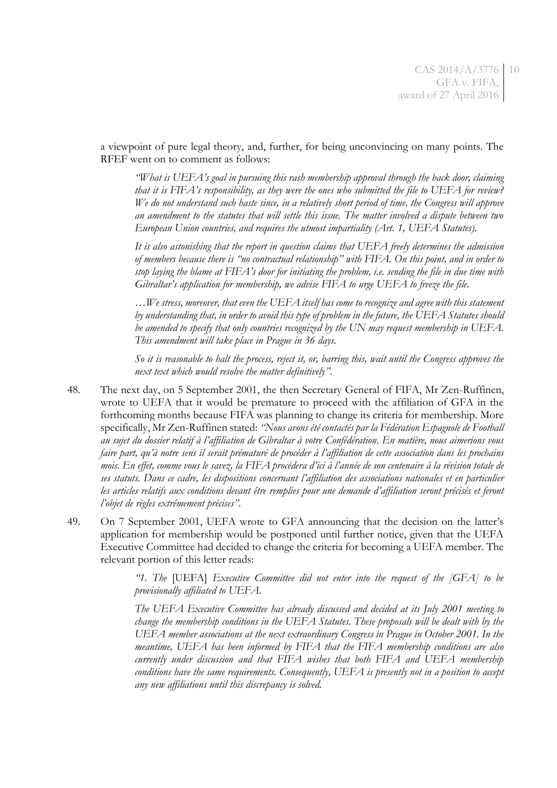a viewpoint of pure legal theory, and, further, for being unconvincing on many points. The RFEF went on to comment as follows:

*"What is UEFA's goal in pursuing this rash membership approval through the back door, claiming that it is FIFA's responsibility, as they were the ones who submitted the file to UEFA for review? We do not understand such haste since, in a relatively short period of time, the Congress will approve an amendment to the statutes that will settle this issue. The matter involved a dispute between two European Union countries, and requires the utmost impartiality (Art. 1, UEFA Statutes).*

*It is also astonishing that the report in question claims that UEFA freely determines the admission of members because there is "no contractual relationship" with FIFA. On this point, and in order to stop laying the blame at FIFA's door for initiating the problem, i.e. sending the file in due time with Gibraltar's application for membership, we advise FIFA to urge UEFA to freeze the file.*

*…We stress, moreover, that even the UEFA itself has come to recognize and agree with this statement by understanding that, in order to avoid this type of problem in the future, the UEFA Statutes should be amended to specify that only countries recognized by the UN may request membership in UEFA. This amendment will take place in Prague in 36 days.*

*So it is reasonable to halt the process, reject it, or, barring this, wait until the Congress approves the next text which would resolve the matter definitively"*.

- <span id="page-9-0"></span>48. The next day, on 5 September 2001, the then Secretary General of FIFA, Mr Zen-Ruffinen, wrote to UEFA that it would be premature to proceed with the affiliation of GFA in the forthcoming months because FIFA was planning to change its criteria for membership. More specifically, Mr Zen-Ruffinen stated: *"Nous avons été contactés par la Fédération Espagnole de Football au sujet du dossier relatif à l'affiliation de Gibraltar à votre Confédération. En matière, nous aimerions vous faire part, qu'à notre sens il serait prématuré de procéder à l'affiliation de cette association dans les prochains mois. En effet, comme vous le savez, la FIFA procédera d'ici à l'année de son centenaire à la révision totale de ses statuts. Dans ce cadre, les dispositions concernant l'affiliation des associations nationales et en particulier les articles relatifs aux conditions devant être remplies pour une demande d'affiliation seront précisés et feront l'objet de règles extrêmement précises"*.
- 49. On 7 September 2001, UEFA wrote to GFA announcing that the decision on the latter's application for membership would be postponed until further notice, given that the UEFA Executive Committee had decided to change the criteria for becoming a UEFA member. The relevant portion of this letter reads:

*"1. The* [UEFA] *Executive Committee did not enter into the request of the [GFA] to be provisionally affiliated to UEFA.*

*The UEFA Executive Committee has already discussed and decided at its July 2001 meeting to change the membership conditions in the UEFA Statutes. These proposals will be dealt with by the UEFA member associations at the next extraordinary Congress in Prague in October 2001. In the meantime, UEFA has been informed by FIFA that the FIFA membership conditions are also currently under discussion and that FIFA wishes that both FIFA and UEFA membership conditions have the same requirements. Consequently, UEFA is presently not in a position to accept any new affiliations until this discrepancy is solved.*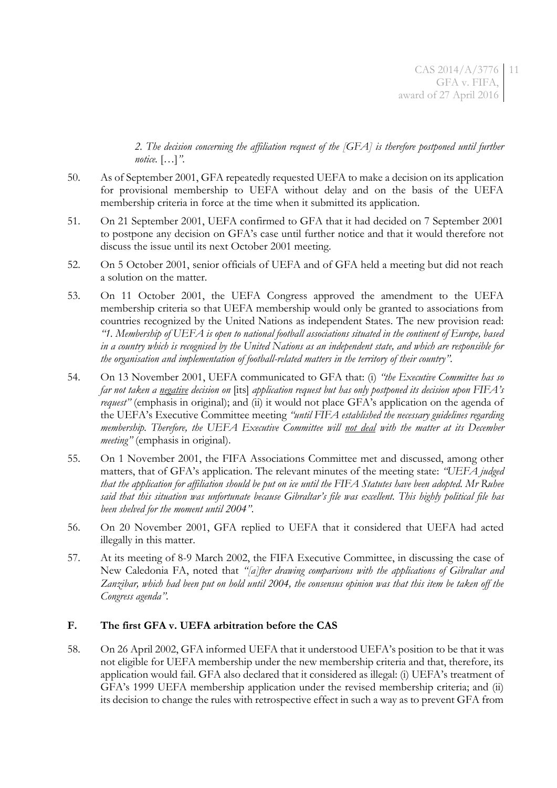*2. The decision concerning the affiliation request of the [GFA] is therefore postponed until further notice.* […]*"*.

- 50. As of September 2001, GFA repeatedly requested UEFA to make a decision on its application for provisional membership to UEFA without delay and on the basis of the UEFA membership criteria in force at the time when it submitted its application.
- 51. On 21 September 2001, UEFA confirmed to GFA that it had decided on 7 September 2001 to postpone any decision on GFA's case until further notice and that it would therefore not discuss the issue until its next October 2001 meeting.
- 52. On 5 October 2001, senior officials of UEFA and of GFA held a meeting but did not reach a solution on the matter.
- <span id="page-10-0"></span>53. On 11 October 2001, the UEFA Congress approved the amendment to the UEFA membership criteria so that UEFA membership would only be granted to associations from countries recognized by the United Nations as independent States. The new provision read: *"1. Membership of UEFA is open to national football associations situated in the continent of Europe, based in a country which is recognised by the United Nations as an independent state, and which are responsible for the organisation and implementation of football-related matters in the territory of their country".*
- 54. On 13 November 2001, UEFA communicated to GFA that: (i) *"the Executive Committee has so far not taken a negative decision on* [its] *application request but has only postponed its decision upon FIFA's request*" (emphasis in original); and (ii) it would not place GFA's application on the agenda of the UEFA's Executive Committee meeting *"until FIFA established the necessary guidelines regarding membership. Therefore, the UEFA Executive Committee will not deal with the matter at its December meeting"* (emphasis in original).
- 55. On 1 November 2001, the FIFA Associations Committee met and discussed, among other matters, that of GFA's application. The relevant minutes of the meeting state: *"UEFA judged that the application for affiliation should be put on ice until the FIFA Statutes have been adopted. Mr Ruhee said that this situation was unfortunate because Gibraltar's file was excellent. This highly political file has been shelved for the moment until 2004"*.
- 56. On 20 November 2001, GFA replied to UEFA that it considered that UEFA had acted illegally in this matter.
- 57. At its meeting of 8-9 March 2002, the FIFA Executive Committee, in discussing the case of New Caledonia FA, noted that *"[a]fter drawing comparisons with the applications of Gibraltar and Zanzibar, which had been put on hold until 2004, the consensus opinion was that this item be taken off the Congress agenda"*.

### **F. The first GFA v. UEFA arbitration before the CAS**

58. On 26 April 2002, GFA informed UEFA that it understood UEFA's position to be that it was not eligible for UEFA membership under the new membership criteria and that, therefore, its application would fail. GFA also declared that it considered as illegal: (i) UEFA's treatment of GFA's 1999 UEFA membership application under the revised membership criteria; and (ii) its decision to change the rules with retrospective effect in such a way as to prevent GFA from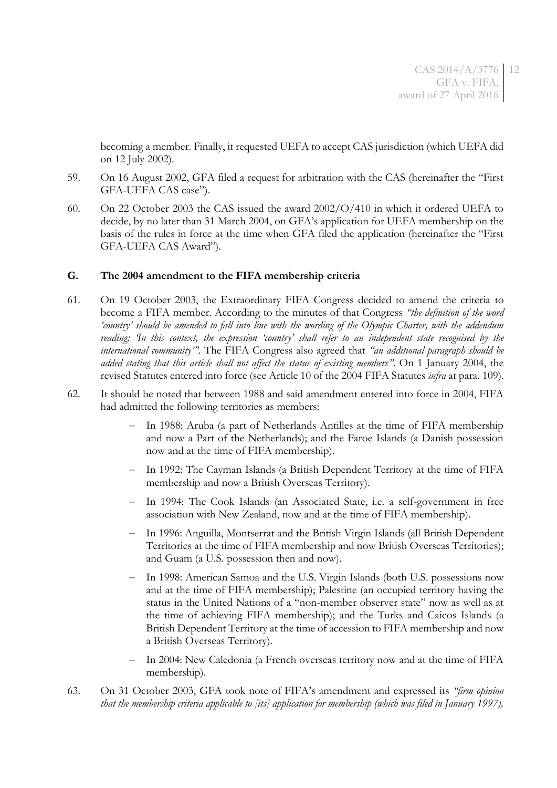becoming a member. Finally, it requested UEFA to accept CAS jurisdiction (which UEFA did on 12 July 2002).

- 59. On 16 August 2002, GFA filed a request for arbitration with the CAS (hereinafter the "First GFA-UEFA CAS case").
- 60. On 22 October 2003 the CAS issued the award 2002/O/410 in which it ordered UEFA to decide, by no later than 31 March 2004, on GFA's application for UEFA membership on the basis of the rules in force at the time when GFA filed the application (hereinafter the "First GFA-UEFA CAS Award").

### **G. The 2004 amendment to the FIFA membership criteria**

- <span id="page-11-0"></span>61. On 19 October 2003, the Extraordinary FIFA Congress decided to amend the criteria to become a FIFA member. According to the minutes of that Congress *"the definition of the word 'country' should be amended to fall into line with the wording of the Olympic Charter, with the addendum reading: 'In this context, the expression 'country' shall refer to an independent state recognised by the international community'"*. The FIFA Congress also agreed that *"an additional paragraph should be added stating that this article shall not affect the status of existing members"*. On 1 January 2004, the revised Statutes entered into force (see Article 10 of the 2004 FIFA Statutes *infra* at para[. 109\)](#page-21-0).
- 62. It should be noted that between 1988 and said amendment entered into force in 2004, FIFA had admitted the following territories as members:
	- In 1988: Aruba (a part of Netherlands Antilles at the time of FIFA membership and now a Part of the Netherlands); and the Faroe Islands (a Danish possession now and at the time of FIFA membership).
	- In 1992: The Cayman Islands (a British Dependent Territory at the time of FIFA membership and now a British Overseas Territory).
	- In 1994: The Cook Islands (an Associated State, i.e. a self-government in free association with New Zealand, now and at the time of FIFA membership).
	- In 1996: Anguilla, Montserrat and the British Virgin Islands (all British Dependent Territories at the time of FIFA membership and now British Overseas Territories); and Guam (a U.S. possession then and now).
	- In 1998: American Samoa and the U.S. Virgin Islands (both U.S. possessions now and at the time of FIFA membership); Palestine (an occupied territory having the status in the United Nations of a "non-member observer state" now as well as at the time of achieving FIFA membership); and the Turks and Caicos Islands (a British Dependent Territory at the time of accession to FIFA membership and now a British Overseas Territory).
	- In 2004: New Caledonia (a French overseas territory now and at the time of FIFA membership).
- 63. On 31 October 2003, GFA took note of FIFA's amendment and expressed its *"firm opinion that the membership criteria applicable to [its] application for membership (which was filed in January 1997),*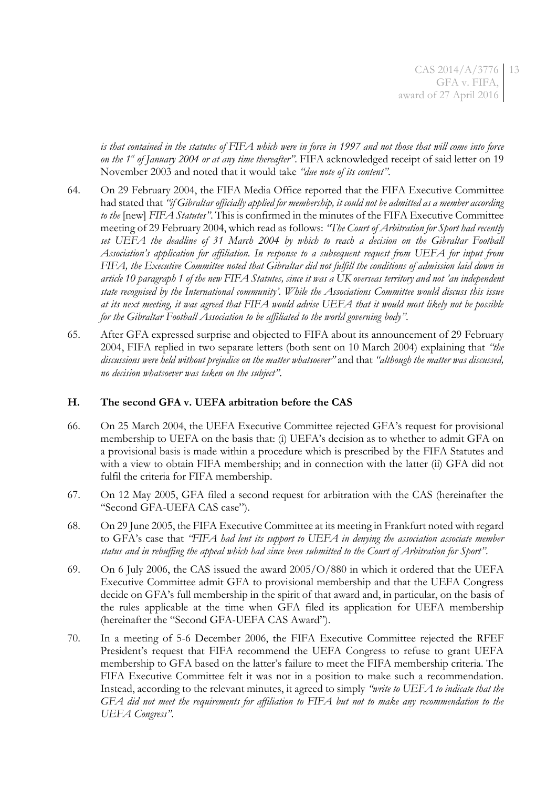*is that contained in the statutes of FIFA which were in force in 1997 and not those that will come into force on the 1st of January 2004 or at any time thereafter"*. FIFA acknowledged receipt of said letter on 19 November 2003 and noted that it would take *"due note of its content"*.

- 64. On 29 February 2004, the FIFA Media Office reported that the FIFA Executive Committee had stated that *"if Gibraltar officially applied for membership, it could not be admitted as a member according to the* [new] *FIFA Statutes"*. This is confirmed in the minutes of the FIFA Executive Committee meeting of 29 February 2004, which read as follows: *"The Court of Arbitration for Sport had recently set UEFA the deadline of 31 March 2004 by which to reach a decision on the Gibraltar Football Association's application for affiliation. In response to a subsequent request from UEFA for input from FIFA, the Executive Committee noted that Gibraltar did not fulfill the conditions of admission laid down in article 10 paragraph 1 of the new FIFA Statutes, since it was a UK overseas territory and not 'an independent state recognised by the International community'. While the Associations Committee would discuss this issue at its next meeting, it was agreed that FIFA would advise UEFA that it would most likely not be possible for the Gibraltar Football Association to be affiliated to the world governing body"*.
- 65. After GFA expressed surprise and objected to FIFA about its announcement of 29 February 2004, FIFA replied in two separate letters (both sent on 10 March 2004) explaining that *"the discussions were held without prejudice on the matter whatsoever"* and that *"although the matter was discussed, no decision whatsoever was taken on the subject"*.

### **H. The second GFA v. UEFA arbitration before the CAS**

- 66. On 25 March 2004, the UEFA Executive Committee rejected GFA's request for provisional membership to UEFA on the basis that: (i) UEFA's decision as to whether to admit GFA on a provisional basis is made within a procedure which is prescribed by the FIFA Statutes and with a view to obtain FIFA membership; and in connection with the latter (ii) GFA did not fulfil the criteria for FIFA membership.
- 67. On 12 May 2005, GFA filed a second request for arbitration with the CAS (hereinafter the "Second GFA-UEFA CAS case").
- 68. On 29 June 2005, the FIFA Executive Committee at its meeting in Frankfurt noted with regard to GFA's case that *"FIFA had lent its support to UEFA in denying the association associate member status and in rebuffing the appeal which had since been submitted to the Court of Arbitration for Sport"*.
- 69. On 6 July 2006, the CAS issued the award 2005/O/880 in which it ordered that the UEFA Executive Committee admit GFA to provisional membership and that the UEFA Congress decide on GFA's full membership in the spirit of that award and, in particular, on the basis of the rules applicable at the time when GFA filed its application for UEFA membership (hereinafter the "Second GFA-UEFA CAS Award").
- 70. In a meeting of 5-6 December 2006, the FIFA Executive Committee rejected the RFEF President's request that FIFA recommend the UEFA Congress to refuse to grant UEFA membership to GFA based on the latter's failure to meet the FIFA membership criteria. The FIFA Executive Committee felt it was not in a position to make such a recommendation. Instead, according to the relevant minutes, it agreed to simply *"write to UEFA to indicate that the GFA did not meet the requirements for affiliation to FIFA but not to make any recommendation to the UEFA Congress"*.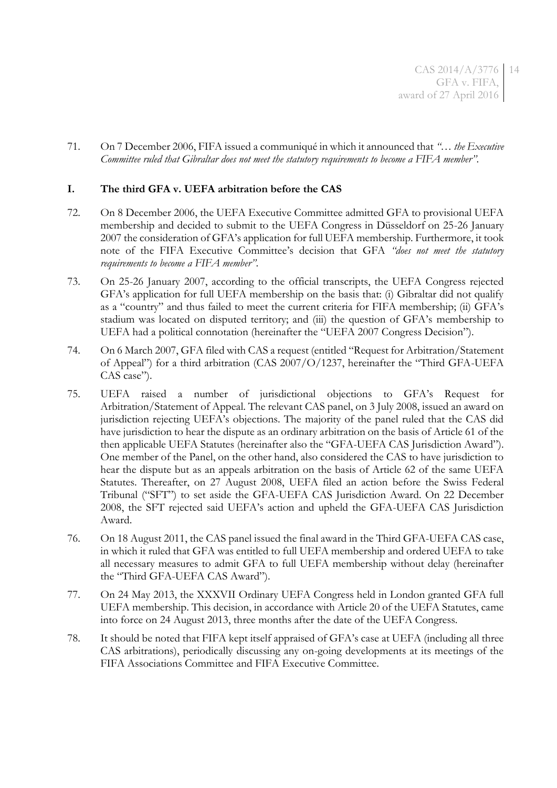CAS 2014/A/3776 GFA v. FIFA, award of 27 April 2016 14

71. On 7 December 2006, FIFA issued a communiqué in which it announced that *"*… *the Executive Committee ruled that Gibraltar does not meet the statutory requirements to become a FIFA member"*.

### **I. The third GFA v. UEFA arbitration before the CAS**

- 72. On 8 December 2006, the UEFA Executive Committee admitted GFA to provisional UEFA membership and decided to submit to the UEFA Congress in Düsseldorf on 25-26 January 2007 the consideration of GFA's application for full UEFA membership. Furthermore, it took note of the FIFA Executive Committee's decision that GFA *"does not meet the statutory requirements to become a FIFA member"*.
- <span id="page-13-0"></span>73. On 25-26 January 2007, according to the official transcripts, the UEFA Congress rejected GFA's application for full UEFA membership on the basis that: (i) Gibraltar did not qualify as a "country" and thus failed to meet the current criteria for FIFA membership; (ii) GFA's stadium was located on disputed territory; and (iii) the question of GFA's membership to UEFA had a political connotation (hereinafter the "UEFA 2007 Congress Decision").
- 74. On 6 March 2007, GFA filed with CAS a request (entitled "Request for Arbitration/Statement of Appeal") for a third arbitration (CAS 2007/O/1237, hereinafter the "Third GFA-UEFA CAS case").
- 75. UEFA raised a number of jurisdictional objections to GFA's Request for Arbitration/Statement of Appeal. The relevant CAS panel, on 3 July 2008, issued an award on jurisdiction rejecting UEFA's objections. The majority of the panel ruled that the CAS did have jurisdiction to hear the dispute as an ordinary arbitration on the basis of Article 61 of the then applicable UEFA Statutes (hereinafter also the "GFA-UEFA CAS Jurisdiction Award"). One member of the Panel, on the other hand, also considered the CAS to have jurisdiction to hear the dispute but as an appeals arbitration on the basis of Article 62 of the same UEFA Statutes. Thereafter, on 27 August 2008, UEFA filed an action before the Swiss Federal Tribunal ("SFT") to set aside the GFA-UEFA CAS Jurisdiction Award. On 22 December 2008, the SFT rejected said UEFA's action and upheld the GFA-UEFA CAS Jurisdiction Award.
- 76. On 18 August 2011, the CAS panel issued the final award in the Third GFA-UEFA CAS case, in which it ruled that GFA was entitled to full UEFA membership and ordered UEFA to take all necessary measures to admit GFA to full UEFA membership without delay (hereinafter the "Third GFA-UEFA CAS Award").
- 77. On 24 May 2013, the XXXVII Ordinary UEFA Congress held in London granted GFA full UEFA membership. This decision, in accordance with Article 20 of the UEFA Statutes, came into force on 24 August 2013, three months after the date of the UEFA Congress.
- 78. It should be noted that FIFA kept itself appraised of GFA's case at UEFA (including all three CAS arbitrations), periodically discussing any on-going developments at its meetings of the FIFA Associations Committee and FIFA Executive Committee.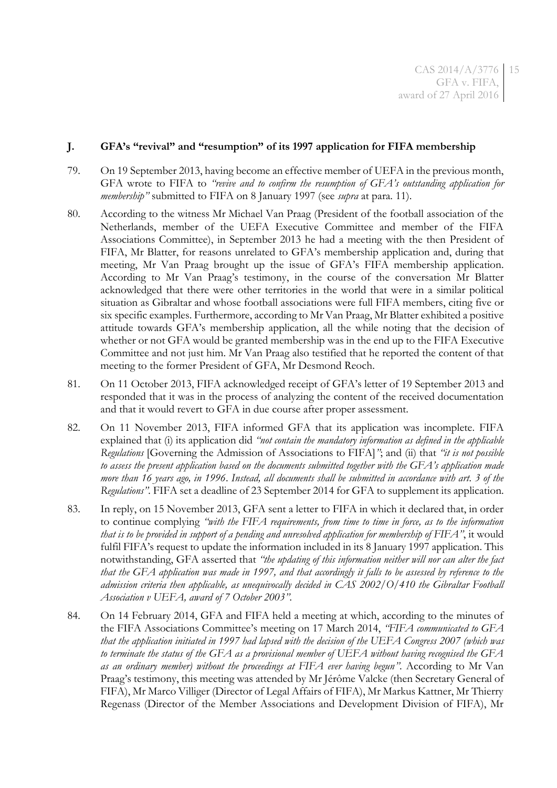### **J. GFA's "revival" and "resumption" of its 1997 application for FIFA membership**

- 79. On 19 September 2013, having become an effective member of UEFA in the previous month, GFA wrote to FIFA to *"revive and to confirm the resumption of GFA's outstanding application for membership"* submitted to FIFA on 8 January 1997 (see *supra* at para. [11\)](#page-3-0).
- 80. According to the witness Mr Michael Van Praag (President of the football association of the Netherlands, member of the UEFA Executive Committee and member of the FIFA Associations Committee), in September 2013 he had a meeting with the then President of FIFA, Mr Blatter, for reasons unrelated to GFA's membership application and, during that meeting, Mr Van Praag brought up the issue of GFA's FIFA membership application. According to Mr Van Praag's testimony, in the course of the conversation Mr Blatter acknowledged that there were other territories in the world that were in a similar political situation as Gibraltar and whose football associations were full FIFA members, citing five or six specific examples. Furthermore, according to Mr Van Praag, Mr Blatter exhibited a positive attitude towards GFA's membership application, all the while noting that the decision of whether or not GFA would be granted membership was in the end up to the FIFA Executive Committee and not just him. Mr Van Praag also testified that he reported the content of that meeting to the former President of GFA, Mr Desmond Reoch.
- 81. On 11 October 2013, FIFA acknowledged receipt of GFA's letter of 19 September 2013 and responded that it was in the process of analyzing the content of the received documentation and that it would revert to GFA in due course after proper assessment.
- 82. On 11 November 2013, FIFA informed GFA that its application was incomplete. FIFA explained that (i) its application did *"not contain the mandatory information as defined in the applicable Regulations* [Governing the Admission of Associations to FIFA]*"*; and (ii) that *"it is not possible to assess the present application based on the documents submitted together with the GFA's application made more than 16 years ago, in 1996*. *Instead, all documents shall be submitted in accordance with art. 3 of the Regulations".* FIFA set a deadline of 23 September 2014 for GFA to supplement its application.
- <span id="page-14-0"></span>83. In reply, on 15 November 2013, GFA sent a letter to FIFA in which it declared that, in order to continue complying *"with the FIFA requirements, from time to time in force, as to the information that is to be provided in support of a pending and unresolved application for membership of FIFA"*, it would fulfil FIFA's request to update the information included in its 8 January 1997 application. This notwithstanding, GFA asserted that *"the updating of this information neither will nor can alter the fact that the GFA application was made in 1997, and that accordingly it falls to be assessed by reference to the admission criteria then applicable, as unequivocally decided in CAS 2002/O/410 the Gibraltar Football Association v UEFA, award of 7 October 2003".*
- 84. On 14 February 2014, GFA and FIFA held a meeting at which, according to the minutes of the FIFA Associations Committee's meeting on 17 March 2014, *"FIFA communicated to GFA that the application initiated in 1997 had lapsed with the decision of the UEFA Congress 2007 (which was to terminate the status of the GFA as a provisional member of UEFA without having recognised the GFA as an ordinary member) without the proceedings at FIFA ever having begun"*. According to Mr Van Praag's testimony, this meeting was attended by Mr Jérôme Valcke (then Secretary General of FIFA), Mr Marco Villiger (Director of Legal Affairs of FIFA), Mr Markus Kattner, Mr Thierry Regenass (Director of the Member Associations and Development Division of FIFA), Mr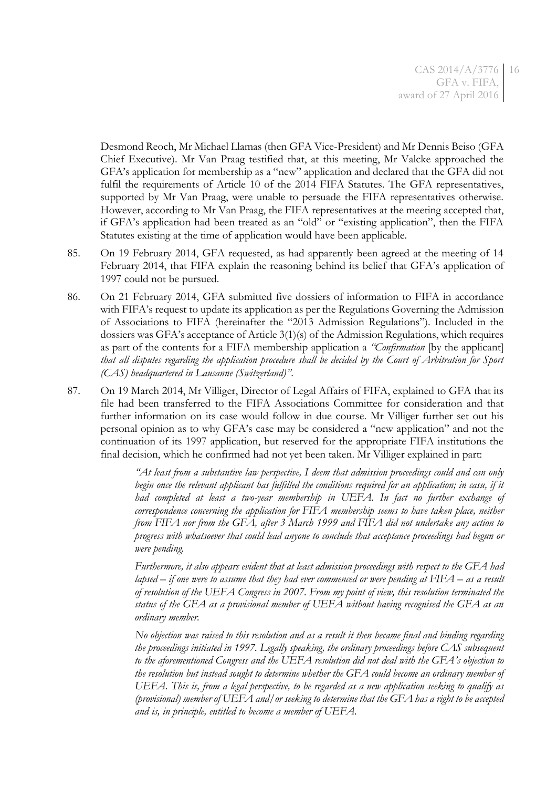Desmond Reoch, Mr Michael Llamas (then GFA Vice-President) and Mr Dennis Beiso (GFA Chief Executive). Mr Van Praag testified that, at this meeting, Mr Valcke approached the GFA's application for membership as a "new" application and declared that the GFA did not fulfil the requirements of Article 10 of the 2014 FIFA Statutes. The GFA representatives, supported by Mr Van Praag, were unable to persuade the FIFA representatives otherwise. However, according to Mr Van Praag, the FIFA representatives at the meeting accepted that, if GFA's application had been treated as an "old" or "existing application", then the FIFA Statutes existing at the time of application would have been applicable.

- 85. On 19 February 2014, GFA requested, as had apparently been agreed at the meeting of 14 February 2014, that FIFA explain the reasoning behind its belief that GFA's application of 1997 could not be pursued.
- <span id="page-15-0"></span>86. On 21 February 2014, GFA submitted five dossiers of information to FIFA in accordance with FIFA's request to update its application as per the Regulations Governing the Admission of Associations to FIFA (hereinafter the "2013 Admission Regulations"). Included in the dossiers was GFA's acceptance of Article 3(1)(s) of the Admission Regulations, which requires as part of the contents for a FIFA membership application a *"Confirmation* [by the applicant] *that all disputes regarding the application procedure shall be decided by the Court of Arbitration for Sport (CAS) headquartered in Lausanne (Switzerland)"*.
- 87. On 19 March 2014, Mr Villiger, Director of Legal Affairs of FIFA, explained to GFA that its file had been transferred to the FIFA Associations Committee for consideration and that further information on its case would follow in due course. Mr Villiger further set out his personal opinion as to why GFA's case may be considered a "new application" and not the continuation of its 1997 application, but reserved for the appropriate FIFA institutions the final decision, which he confirmed had not yet been taken. Mr Villiger explained in part:

*"At least from a substantive law perspective, I deem that admission proceedings could and can only*  begin once the relevant applicant has fulfilled the conditions required for an application; in casu, if it *had completed at least a two-year membership in UEFA. In fact no further exchange of correspondence concerning the application for FIFA membership seems to have taken place, neither from FIFA nor from the GFA, after 3 March 1999 and FIFA did not undertake any action to progress with whatsoever that could lead anyone to conclude that acceptance proceedings had begun or were pending.*

*Furthermore, it also appears evident that at least admission proceedings with respect to the GFA had lapsed – if one were to assume that they had ever commenced or were pending at FIFA – as a result of resolution of the UEFA Congress in 2007. From my point of view, this resolution terminated the status of the GFA as a provisional member of UEFA without having recognised the GFA as an ordinary member.*

*No objection was raised to this resolution and as a result it then became final and binding regarding the proceedings initiated in 1997. Legally speaking, the ordinary proceedings before CAS subsequent to the aforementioned Congress and the UEFA resolution did not deal with the GFA's objection to the resolution but instead sought to determine whether the GFA could become an ordinary member of UEFA. This is, from a legal perspective, to be regarded as a new application seeking to qualify as (provisional) member of UEFA and/or seeking to determine that the GFA has a right to be accepted and is, in principle, entitled to become a member of UEFA.*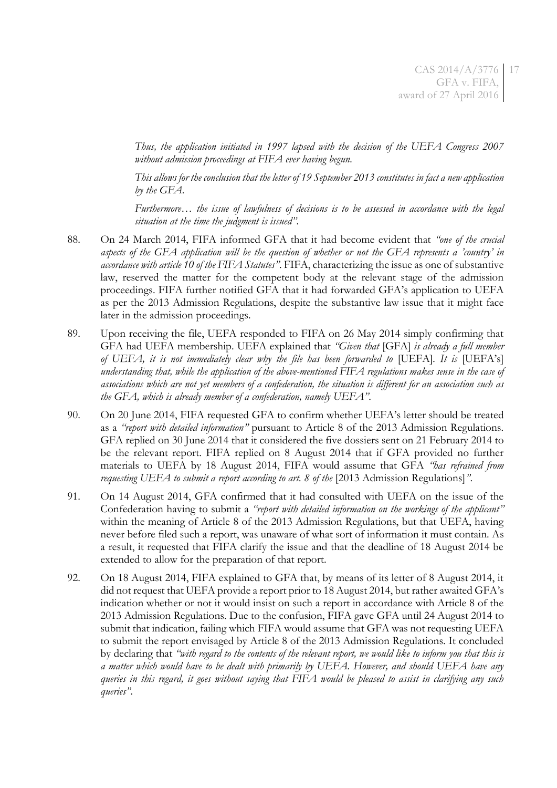*Thus, the application initiated in 1997 lapsed with the decision of the UEFA Congress 2007 without admission proceedings at FIFA ever having begun.*

*This allows for the conclusion that the letter of 19 September 2013 constitutes in fact a new application by the GFA.*

*Furthermore… the issue of lawfulness of decisions is to be assessed in accordance with the legal situation at the time the judgment is issued".*

- 88. On 24 March 2014, FIFA informed GFA that it had become evident that *"one of the crucial aspects of the GFA application will be the question of whether or not the GFA represents a 'country' in accordance with article 10 of the FIFA Statutes"*. FIFA, characterizing the issue as one of substantive law, reserved the matter for the competent body at the relevant stage of the admission proceedings. FIFA further notified GFA that it had forwarded GFA's application to UEFA as per the 2013 Admission Regulations, despite the substantive law issue that it might face later in the admission proceedings.
- 89. Upon receiving the file, UEFA responded to FIFA on 26 May 2014 simply confirming that GFA had UEFA membership. UEFA explained that *"Given that* [GFA] *is already a full member of UEFA, it is not immediately clear why the file has been forwarded to* [UEFA]*. It is* [UEFA's] *understanding that, while the application of the above-mentioned FIFA regulations makes sense in the case of associations which are not yet members of a confederation, the situation is different for an association such as the GFA, which is already member of a confederation, namely UEFA"*.
- 90. On 20 June 2014, FIFA requested GFA to confirm whether UEFA's letter should be treated as a *"report with detailed information"* pursuant to Article 8 of the 2013 Admission Regulations. GFA replied on 30 June 2014 that it considered the five dossiers sent on 21 February 2014 to be the relevant report. FIFA replied on 8 August 2014 that if GFA provided no further materials to UEFA by 18 August 2014, FIFA would assume that GFA *"has refrained from requesting UEFA to submit a report according to art. 8 of the* [2013 Admission Regulations]*"*.
- 91. On 14 August 2014, GFA confirmed that it had consulted with UEFA on the issue of the Confederation having to submit a *"report with detailed information on the workings of the applicant"* within the meaning of Article 8 of the 2013 Admission Regulations, but that UEFA, having never before filed such a report, was unaware of what sort of information it must contain. As a result, it requested that FIFA clarify the issue and that the deadline of 18 August 2014 be extended to allow for the preparation of that report.
- 92. On 18 August 2014, FIFA explained to GFA that, by means of its letter of 8 August 2014, it did not request that UEFA provide a report prior to 18 August 2014, but rather awaited GFA's indication whether or not it would insist on such a report in accordance with Article 8 of the 2013 Admission Regulations. Due to the confusion, FIFA gave GFA until 24 August 2014 to submit that indication, failing which FIFA would assume that GFA was not requesting UEFA to submit the report envisaged by Article 8 of the 2013 Admission Regulations. It concluded by declaring that *"with regard to the contents of the relevant report, we would like to inform you that this is a matter which would have to be dealt with primarily by UEFA. However, and should UEFA have any queries in this regard, it goes without saying that FIFA would be pleased to assist in clarifying any such queries"*.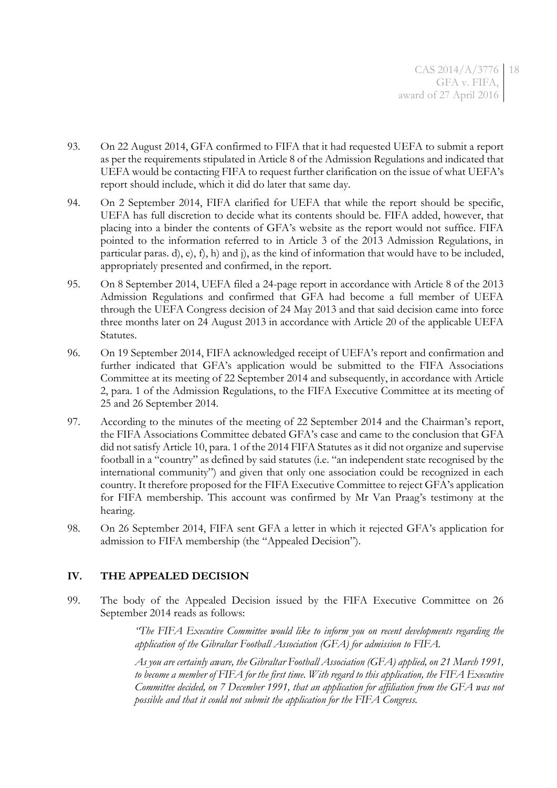- 93. On 22 August 2014, GFA confirmed to FIFA that it had requested UEFA to submit a report as per the requirements stipulated in Article 8 of the Admission Regulations and indicated that UEFA would be contacting FIFA to request further clarification on the issue of what UEFA's report should include, which it did do later that same day.
- 94. On 2 September 2014, FIFA clarified for UEFA that while the report should be specific, UEFA has full discretion to decide what its contents should be. FIFA added, however, that placing into a binder the contents of GFA's website as the report would not suffice. FIFA pointed to the information referred to in Article 3 of the 2013 Admission Regulations, in particular paras. d), e), f), h) and j), as the kind of information that would have to be included, appropriately presented and confirmed, in the report.
- 95. On 8 September 2014, UEFA filed a 24-page report in accordance with Article 8 of the 2013 Admission Regulations and confirmed that GFA had become a full member of UEFA through the UEFA Congress decision of 24 May 2013 and that said decision came into force three months later on 24 August 2013 in accordance with Article 20 of the applicable UEFA Statutes.
- 96. On 19 September 2014, FIFA acknowledged receipt of UEFA's report and confirmation and further indicated that GFA's application would be submitted to the FIFA Associations Committee at its meeting of 22 September 2014 and subsequently, in accordance with Article 2, para. 1 of the Admission Regulations, to the FIFA Executive Committee at its meeting of 25 and 26 September 2014.
- 97. According to the minutes of the meeting of 22 September 2014 and the Chairman's report, the FIFA Associations Committee debated GFA's case and came to the conclusion that GFA did not satisfy Article 10, para. 1 of the 2014 FIFA Statutes as it did not organize and supervise football in a "country" as defined by said statutes (i.e. "an independent state recognised by the international community") and given that only one association could be recognized in each country. It therefore proposed for the FIFA Executive Committee to reject GFA's application for FIFA membership. This account was confirmed by Mr Van Praag's testimony at the hearing.
- 98. On 26 September 2014, FIFA sent GFA a letter in which it rejected GFA's application for admission to FIFA membership (the "Appealed Decision").

# **IV. THE APPEALED DECISION**

99. The body of the Appealed Decision issued by the FIFA Executive Committee on 26 September 2014 reads as follows:

> *"The FIFA Executive Committee would like to inform you on recent developments regarding the application of the Gibraltar Football Association (GFA) for admission to FIFA.*

> *As you are certainly aware, the Gibraltar Football Association (GFA) applied, on 21 March 1991, to become a member of FIFA for the first time. With regard to this application, the FIFA Executive Committee decided, on 7 December 1991, that an application for affiliation from the GFA was not possible and that it could not submit the application for the FIFA Congress.*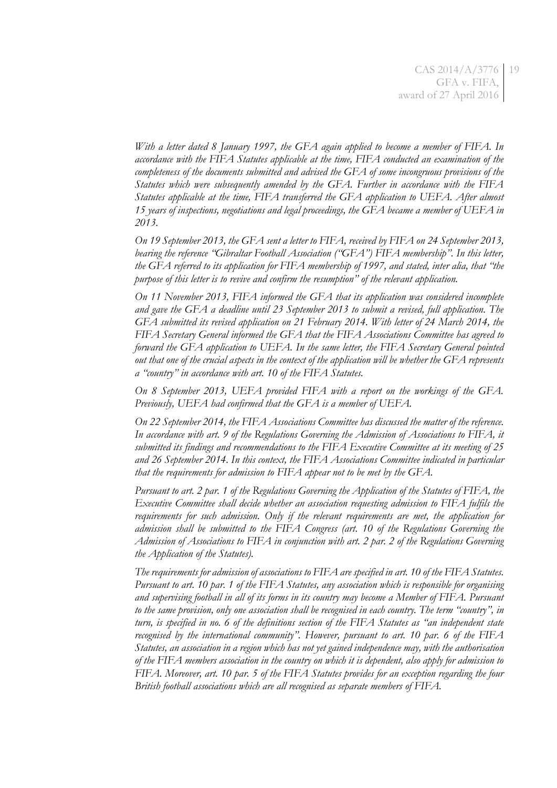*With a letter dated 8 January 1997, the GFA again applied to become a member of FIFA. In accordance with the FIFA Statutes applicable at the time, FIFA conducted an examination of the completeness of the documents submitted and advised the GFA of some incongruous provisions of the Statutes which were subsequently amended by the GFA. Further in accordance with the FIFA Statutes applicable at the time, FIFA transferred the GFA application to UEFA. After almost 15 years of inspections, negotiations and legal proceedings, the GFA became a member of UEFA in 2013.*

*On 19 September 2013, the GFA sent a letter to FIFA, received by FIFA on 24 September 2013, bearing the reference "Gibraltar Football Association ("GFA") FIFA membership". In this letter, the GFA referred to its application for FIFA membership of 1997, and stated, inter alia, that "the purpose of this letter is to revive and confirm the resumption" of the relevant application.*

*On 11 November 2013, FIFA informed the GFA that its application was considered incomplete and gave the GFA a deadline until 23 September 2013 to submit a revised, full application. The GFA submitted its revised application on 21 February 2014. With letter of 24 March 2014, the FIFA Secretary General informed the GFA that the FIFA Associations Committee has agreed to forward the GFA application to UEFA. In the same letter, the FIFA Secretary General pointed out that one of the crucial aspects in the context of the application will be whether the GFA represents a "country" in accordance with art. 10 of the FIFA Statutes.*

*On 8 September 2013, UEFA provided FIFA with a report on the workings of the GFA. Previously, UEFA had confirmed that the GFA is a member of UEFA.*

*On 22 September 2014, the FIFA Associations Committee has discussed the matter of the reference. In accordance with art. 9 of the Regulations Governing the Admission of Associations to FIFA, it submitted its findings and recommendations to the FIFA Executive Committee at its meeting of 25 and 26 September 2014. In this context, the FIFA Associations Committee indicated in particular that the requirements for admission to FIFA appear not to be met by the GFA.*

*Pursuant to art. 2 par. 1 of the Regulations Governing the Application of the Statutes of FIFA, the Executive Committee shall decide whether an association requesting admission to FIFA fulfils the requirements for such admission. Only if the relevant requirements are met, the application for admission shall be submitted to the FIFA Congress (art. 10 of the Regulations Governing the Admission of Associations to FIFA in conjunction with art. 2 par. 2 of the Regulations Governing the Application of the Statutes).*

*The requirements for admission of associations to FIFA are specified in art. 10 of the FIFA Statutes. Pursuant to art. 10 par. 1 of the FIFA Statutes, any association which is responsible for organising and supervising football in all of its forms in its country may become a Member of FIFA. Pursuant*  to the same provision, only one association shall be recognised in each country. The term "country", in *turn, is specified in no. 6 of the definitions section of the FIFA Statutes as "an independent state recognised by the international community". However, pursuant to art. 10 par. 6 of the FIFA Statutes, an association in a region which has not yet gained independence may, with the authorisation of the FIFA members association in the country on which it is dependent, also apply for admission to FIFA. Moreover, art. 10 par. 5 of the FIFA Statutes provides for an exception regarding the four British football associations which are all recognised as separate members of FIFA.*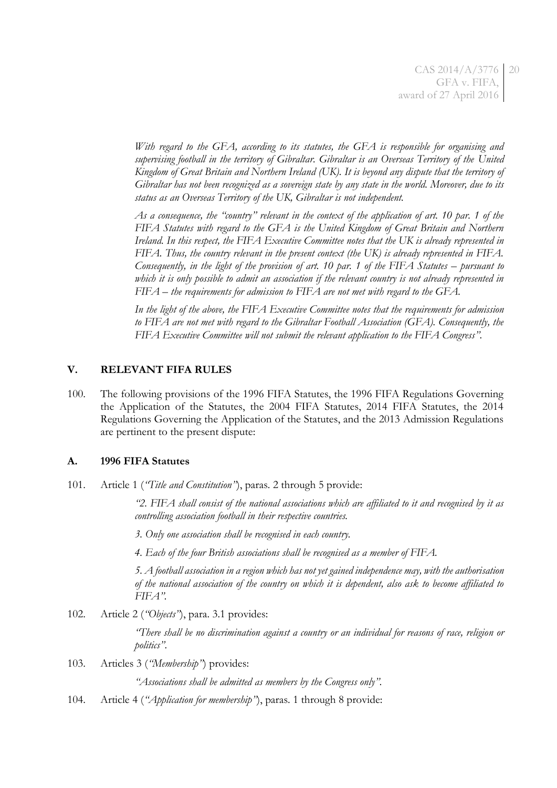*With regard to the GFA, according to its statutes, the GFA is responsible for organising and supervising football in the territory of Gibraltar. Gibraltar is an Overseas Territory of the United Kingdom of Great Britain and Northern Ireland (UK). It is beyond any dispute that the territory of Gibraltar has not been recognized as a sovereign state by any state in the world. Moreover, due to its status as an Overseas Territory of the UK, Gibraltar is not independent.*

*As a consequence, the "country" relevant in the context of the application of art. 10 par. 1 of the FIFA Statutes with regard to the GFA is the United Kingdom of Great Britain and Northern Ireland. In this respect, the FIFA Executive Committee notes that the UK is already represented in FIFA. Thus, the country relevant in the present context (the UK) is already represented in FIFA. Consequently, in the light of the provision of art. 10 par. 1 of the FIFA Statutes – pursuant to which it is only possible to admit an association if the relevant country is not already represented in FIFA – the requirements for admission to FIFA are not met with regard to the GFA.*

*In the light of the above, the FIFA Executive Committee notes that the requirements for admission to FIFA are not met with regard to the Gibraltar Football Association (GFA). Consequently, the FIFA Executive Committee will not submit the relevant application to the FIFA Congress"*.

### **V. RELEVANT FIFA RULES**

100. The following provisions of the 1996 FIFA Statutes, the 1996 FIFA Regulations Governing the Application of the Statutes, the 2004 FIFA Statutes, 2014 FIFA Statutes, the 2014 Regulations Governing the Application of the Statutes, and the 2013 Admission Regulations are pertinent to the present dispute:

#### **A. 1996 FIFA Statutes**

101. Article 1 (*"Title and Constitution"*), paras. 2 through 5 provide:

*"2. FIFA shall consist of the national associations which are affiliated to it and recognised by it as controlling association football in their respective countries.*

*3. Only one association shall be recognised in each country.*

*4. Each of the four British associations shall be recognised as a member of FIFA.*

*5. A football association in a region which has not yet gained independence may, with the authorisation of the national association of the country on which it is dependent, also ask to become affiliated to FIFA".*

102. Article 2 (*"Objects"*), para. 3.1 provides:

*"There shall be no discrimination against a country or an individual for reasons of race, religion or politics"*.

103. Articles 3 (*"Membership"*) provides:

*"Associations shall be admitted as members by the Congress only".*

<span id="page-19-0"></span>104. Article 4 (*"Application for membership"*), paras. 1 through 8 provide: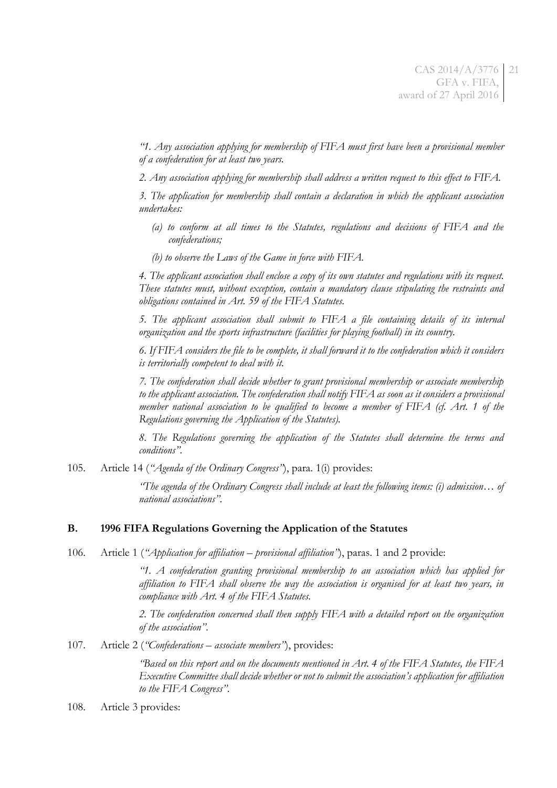*"1. Any association applying for membership of FIFA must first have been a provisional member of a confederation for at least two years.*

*2. Any association applying for membership shall address a written request to this effect to FIFA.*

*3. The application for membership shall contain a declaration in which the applicant association undertakes:* 

- *(a) to conform at all times to the Statutes, regulations and decisions of FIFA and the confederations;*
- *(b) to observe the Laws of the Game in force with FIFA.*

*4. The applicant association shall enclose a copy of its own statutes and regulations with its request. These statutes must, without exception, contain a mandatory clause stipulating the restraints and obligations contained in Art. 59 of the FIFA Statutes.*

*5. The applicant association shall submit to FIFA a file containing details of its internal organization and the sports infrastructure (facilities for playing football) in its country.*

*6. If FIFA considers the file to be complete, it shall forward it to the confederation which it considers is territorially competent to deal with it.*

*7. The confederation shall decide whether to grant provisional membership or associate membership to the applicant association. The confederation shall notify FIFA as soon as it considers a provisional member national association to be qualified to become a member of FIFA (cf. Art. 1 of the Regulations governing the Application of the Statutes).*

*8. The Regulations governing the application of the Statutes shall determine the terms and conditions".* 

105. Article 14 (*"Agenda of the Ordinary Congress"*), para. 1(i) provides:

*"The agenda of the Ordinary Congress shall include at least the following items: (i) admission… of national associations"*.

#### **B. 1996 FIFA Regulations Governing the Application of the Statutes**

<span id="page-20-0"></span>106. Article 1 (*"Application for affiliation – provisional affiliation"*), paras. 1 and 2 provide:

*"1. A confederation granting provisional membership to an association which has applied for affiliation to FIFA shall observe the way the association is organised for at least two years, in compliance with Art. 4 of the FIFA Statutes.*

*2. The confederation concerned shall then supply FIFA with a detailed report on the organization of the association"*.

<span id="page-20-1"></span>107. Article 2 (*"Confederations – associate members"*), provides:

*"Based on this report and on the documents mentioned in Art. 4 of the FIFA Statutes, the FIFA Executive Committee shall decide whether or not to submit the association's application for affiliation to the FIFA Congress"*.

<span id="page-20-2"></span>108. Article 3 provides: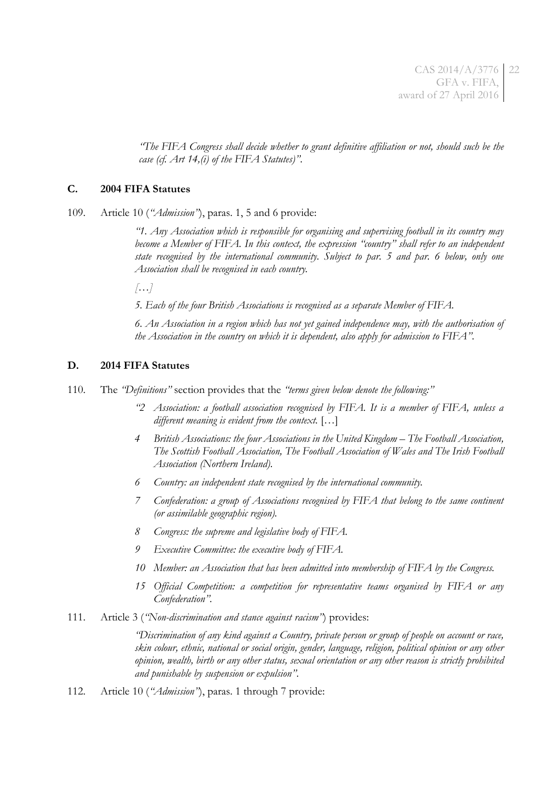CAS 2014/A/3776 GFA v. FIFA, award of 27 April 2016 22

*"The FIFA Congress shall decide whether to grant definitive affiliation or not, should such be the case (cf. Art 14,(i) of the FIFA Statutes)"*.

#### **C. 2004 FIFA Statutes**

<span id="page-21-0"></span>109. Article 10 (*"Admission"*), paras. 1, 5 and 6 provide:

*"1. Any Association which is responsible for organising and supervising football in its country may become a Member of FIFA. In this context, the expression "country" shall refer to an independent state recognised by the international community. Subject to par. 5 and par. 6 below, only one Association shall be recognised in each country.*

*[…]*

*5. Each of the four British Associations is recognised as a separate Member of FIFA.*

*6. An Association in a region which has not yet gained independence may, with the authorisation of the Association in the country on which it is dependent, also apply for admission to FIFA"*.

#### **D. 2014 FIFA Statutes**

110. The *"Definitions"* section provides that the *"terms given below denote the following:"*

- *"2 Association: a football association recognised by FIFA. It is a member of FIFA, unless a different meaning is evident from the context.* […]
- *4* British Associations: the four Associations in the United Kingdom The Football Association, *The Scottish Football Association, The Football Association of Wales and The Irish Football Association (Northern Ireland).*
- *6 Country: an independent state recognised by the international community.*
- *7 Confederation: a group of Associations recognised by FIFA that belong to the same continent (or assimilable geographic region).*
- *8 Congress: the supreme and legislative body of FIFA.*
- *9 Executive Committee: the executive body of FIFA.*
- *10 Member: an Association that has been admitted into membership of FIFA by the Congress.*
- *15 Official Competition: a competition for representative teams organised by FIFA or any Confederation".*
- 111. Article 3 (*"Non-discrimination and stance against racism"*) provides:

*"Discrimination of any kind against a Country, private person or group of people on account or race, skin colour, ethnic, national or social origin, gender, language, religion, political opinion or any other opinion, wealth, birth or any other status, sexual orientation or any other reason is strictly prohibited and punishable by suspension or expulsion"*.

112. Article 10 (*"Admission"*), paras. 1 through 7 provide: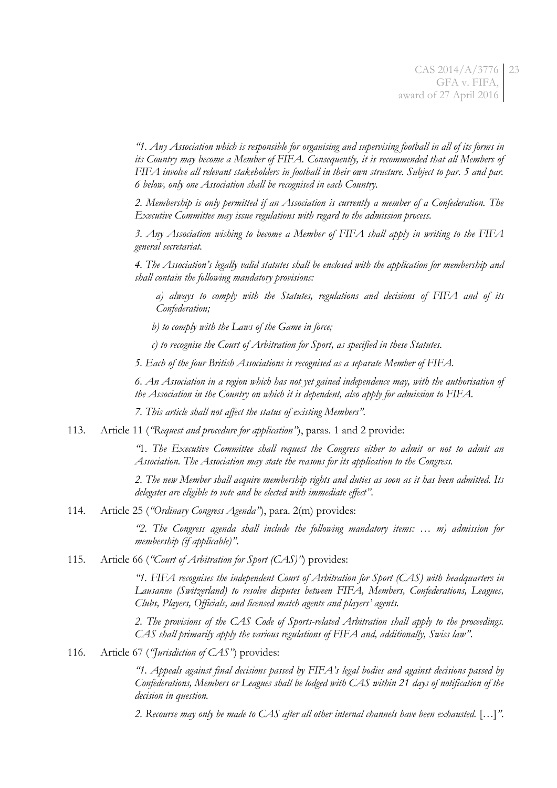*"1. Any Association which is responsible for organising and supervising football in all of its forms in its Country may become a Member of FIFA. Consequently, it is recommended that all Members of FIFA involve all relevant stakeholders in football in their own structure. Subject to par. 5 and par. 6 below, only one Association shall be recognised in each Country.*

*2. Membership is only permitted if an Association is currently a member of a Confederation. The Executive Committee may issue regulations with regard to the admission process.*

*3. Any Association wishing to become a Member of FIFA shall apply in writing to the FIFA general secretariat.*

*4. The Association's legally valid statutes shall be enclosed with the application for membership and shall contain the following mandatory provisions:* 

*a) always to comply with the Statutes, regulations and decisions of FIFA and of its Confederation;* 

*b) to comply with the Laws of the Game in force;* 

*c) to recognise the Court of Arbitration for Sport, as specified in these Statutes.*

*5. Each of the four British Associations is recognised as a separate Member of FIFA.*

*6. An Association in a region which has not yet gained independence may, with the authorisation of the Association in the Country on which it is dependent, also apply for admission to FIFA.*

*7. This article shall not affect the status of existing Members".*

113. Article 11 (*"Request and procedure for application"*), paras. 1 and 2 provide:

*"*1. *The Executive Committee shall request the Congress either to admit or not to admit an Association. The Association may state the reasons for its application to the Congress.*

*2. The new Member shall acquire membership rights and duties as soon as it has been admitted. Its delegates are eligible to vote and be elected with immediate effect"*.

114. Article 25 (*"Ordinary Congress Agenda"*), para. 2(m) provides:

*"2. The Congress agenda shall include the following mandatory items: … m) admission for membership (if applicable)"*.

115. Article 66 (*"Court of Arbitration for Sport (CAS)"*) provides:

*"1. FIFA recognises the independent Court of Arbitration for Sport (CAS) with headquarters in Lausanne (Switzerland) to resolve disputes between FIFA, Members, Confederations, Leagues, Clubs, Players, Officials, and licensed match agents and players' agents.*

*2. The provisions of the CAS Code of Sports-related Arbitration shall apply to the proceedings. CAS shall primarily apply the various regulations of FIFA and, additionally, Swiss law"*.

<span id="page-22-0"></span>116. Article 67 (*"Jurisdiction of CAS"*) provides:

*"1. Appeals against final decisions passed by FIFA's legal bodies and against decisions passed by Confederations, Members or Leagues shall be lodged with CAS within 21 days of notification of the decision in question.*

*2. Recourse may only be made to CAS after all other internal channels have been exhausted.* […]*"*.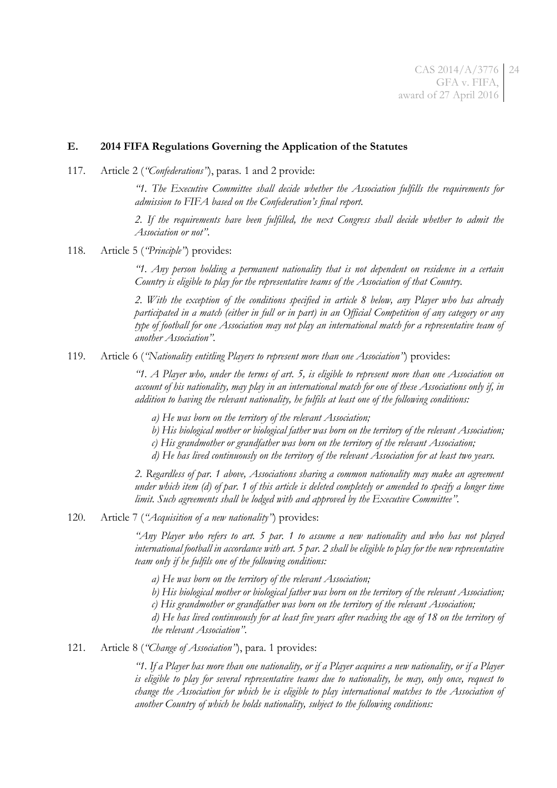#### **E. 2014 FIFA Regulations Governing the Application of the Statutes**

117. Article 2 (*"Confederations"*), paras. 1 and 2 provide:

*"1. The Executive Committee shall decide whether the Association fulfills the requirements for admission to FIFA based on the Confederation's final report.*

*2. If the requirements have been fulfilled, the next Congress shall decide whether to admit the Association or not"*.

<span id="page-23-0"></span>118. Article 5 (*"Principle"*) provides:

*"1. Any person holding a permanent nationality that is not dependent on residence in a certain Country is eligible to play for the representative teams of the Association of that Country.*

*2. With the exception of the conditions specified in article 8 below, any Player who has already participated in a match (either in full or in part) in an Official Competition of any category or any type of football for one Association may not play an international match for a representative team of another Association".*

119. Article 6 (*"Nationality entitling Players to represent more than one Association"*) provides:

*"1. A Player who, under the terms of art. 5, is eligible to represent more than one Association on account of his nationality, may play in an international match for one of these Associations only if, in addition to having the relevant nationality, he fulfils at least one of the following conditions:* 

- *a) He was born on the territory of the relevant Association;*
- *b) His biological mother or biological father was born on the territory of the relevant Association;*

*c) His grandmother or grandfather was born on the territory of the relevant Association;*

*d) He has lived continuously on the territory of the relevant Association for at least two years.*

*2. Regardless of par. 1 above, Associations sharing a common nationality may make an agreement under which item (d) of par. 1 of this article is deleted completely or amended to specify a longer time limit. Such agreements shall be lodged with and approved by the Executive Committee"*.

<span id="page-23-1"></span>120. Article 7 (*"Acquisition of a new nationality"*) provides:

*"Any Player who refers to art. 5 par. 1 to assume a new nationality and who has not played international football in accordance with art. 5 par. 2 shall be eligible to play for the new representative team only if he fulfils one of the following conditions:*

*a) He was born on the territory of the relevant Association;*

*b) His biological mother or biological father was born on the territory of the relevant Association;*

*c) His grandmother or grandfather was born on the territory of the relevant Association;*

*d) He has lived continuously for at least five years after reaching the age of 18 on the territory of the relevant Association"*.

121. Article 8 (*"Change of Association"*), para. 1 provides:

*"1. If a Player has more than one nationality, or if a Player acquires a new nationality, or if a Player is eligible to play for several representative teams due to nationality, he may, only once, request to change the Association for which he is eligible to play international matches to the Association of another Country of which he holds nationality, subject to the following conditions:*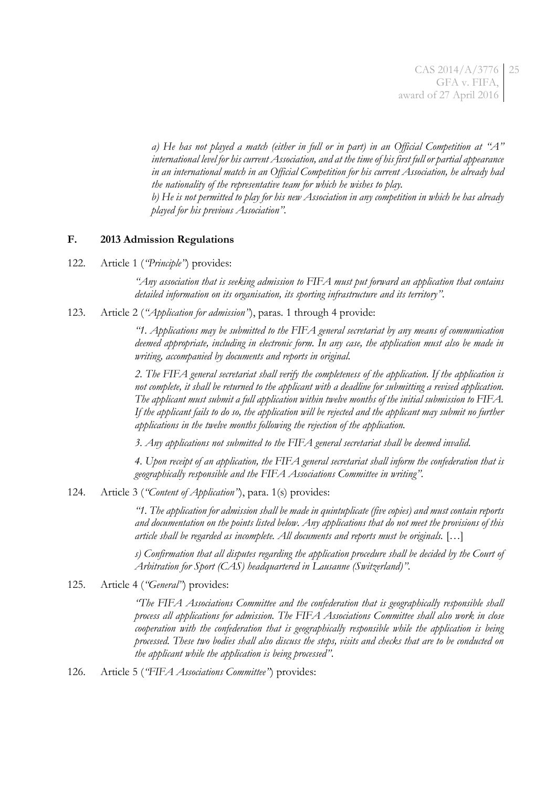*a) He has not played a match (either in full or in part) in an Official Competition at "A" international level for his current Association, and at the time of his first full or partial appearance in an international match in an Official Competition for his current Association, he already had the nationality of the representative team for which he wishes to play. b) He is not permitted to play for his new Association in any competition in which he has already played for his previous Association".*

### **F. 2013 Admission Regulations**

122. Article 1 (*"Principle"*) provides:

*"Any association that is seeking admission to FIFA must put forward an application that contains detailed information on its organisation, its sporting infrastructure and its territory"*.

123. Article 2 (*"Application for admission"*), paras. 1 through 4 provide:

*"1. Applications may be submitted to the FIFA general secretariat by any means of communication deemed appropriate, including in electronic form. In any case, the application must also be made in writing, accompanied by documents and reports in original.*

*2. The FIFA general secretariat shall verify the completeness of the application. If the application is not complete, it shall be returned to the applicant with a deadline for submitting a revised application. The applicant must submit a full application within twelve months of the initial submission to FIFA. If the applicant fails to do so, the application will be rejected and the applicant may submit no further applications in the twelve months following the rejection of the application.*

*3. Any applications not submitted to the FIFA general secretariat shall be deemed invalid.*

*4. Upon receipt of an application, the FIFA general secretariat shall inform the confederation that is geographically responsible and the FIFA Associations Committee in writing".*

124. Article 3 (*"Content of Application"*), para. 1(s) provides:

*"1. The application for admission shall be made in quintuplicate (five copies) and must contain reports and documentation on the points listed below. Any applications that do not meet the provisions of this article shall be regarded as incomplete. All documents and reports must be originals.* […]

*s) Confirmation that all disputes regarding the application procedure shall be decided by the Court of Arbitration for Sport (CAS) headquartered in Lausanne (Switzerland)"*.

125. Article 4 (*"General"*) provides:

*"The FIFA Associations Committee and the confederation that is geographically responsible shall process all applications for admission. The FIFA Associations Committee shall also work in close cooperation with the confederation that is geographically responsible while the application is being processed. These two bodies shall also discuss the steps, visits and checks that are to be conducted on the applicant while the application is being processed"*.

126. Article 5 (*"FIFA Associations Committee"*) provides: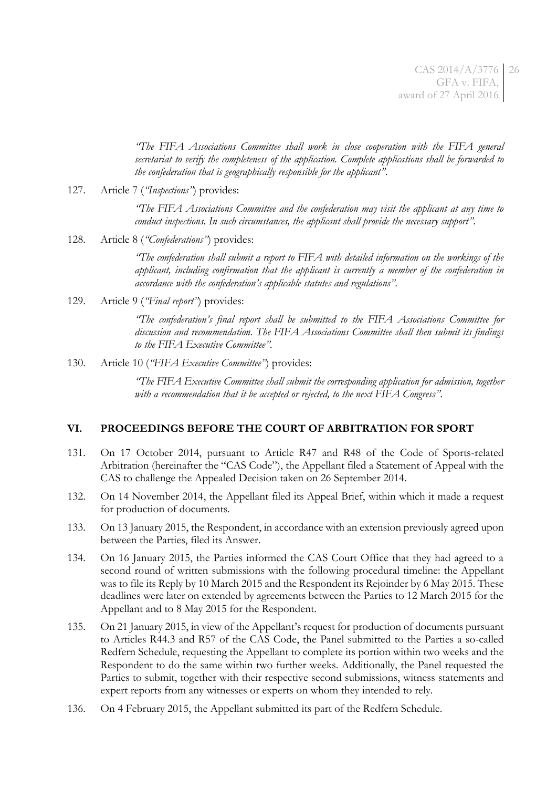*"The FIFA Associations Committee shall work in close cooperation with the FIFA general secretariat to verify the completeness of the application. Complete applications shall be forwarded to the confederation that is geographically responsible for the applicant"*.

127. Article 7 (*"Inspections"*) provides:

*"The FIFA Associations Committee and the confederation may visit the applicant at any time to conduct inspections. In such circumstances, the applicant shall provide the necessary support"*.

128. Article 8 (*"Confederations"*) provides:

*"The confederation shall submit a report to FIFA with detailed information on the workings of the applicant, including confirmation that the applicant is currently a member of the confederation in accordance with the confederation's applicable statutes and regulations"*.

129. Article 9 (*"Final report"*) provides:

*"The confederation's final report shall be submitted to the FIFA Associations Committee for discussion and recommendation. The FIFA Associations Committee shall then submit its findings to the FIFA Executive Committee".*

130. Article 10 (*"FIFA Executive Committee"*) provides:

*"The FIFA Executive Committee shall submit the corresponding application for admission, together with a recommendation that it be accepted or rejected, to the next FIFA Congress"*.

### **VI. PROCEEDINGS BEFORE THE COURT OF ARBITRATION FOR SPORT**

- 131. On 17 October 2014, pursuant to Article R47 and R48 of the Code of Sports-related Arbitration (hereinafter the "CAS Code"), the Appellant filed a Statement of Appeal with the CAS to challenge the Appealed Decision taken on 26 September 2014.
- 132. On 14 November 2014, the Appellant filed its Appeal Brief, within which it made a request for production of documents.
- 133. On 13 January 2015, the Respondent, in accordance with an extension previously agreed upon between the Parties, filed its Answer.
- 134. On 16 January 2015, the Parties informed the CAS Court Office that they had agreed to a second round of written submissions with the following procedural timeline: the Appellant was to file its Reply by 10 March 2015 and the Respondent its Rejoinder by 6 May 2015. These deadlines were later on extended by agreements between the Parties to 12 March 2015 for the Appellant and to 8 May 2015 for the Respondent.
- 135. On 21 January 2015, in view of the Appellant's request for production of documents pursuant to Articles R44.3 and R57 of the CAS Code, the Panel submitted to the Parties a so-called Redfern Schedule, requesting the Appellant to complete its portion within two weeks and the Respondent to do the same within two further weeks. Additionally, the Panel requested the Parties to submit, together with their respective second submissions, witness statements and expert reports from any witnesses or experts on whom they intended to rely.
- 136. On 4 February 2015, the Appellant submitted its part of the Redfern Schedule.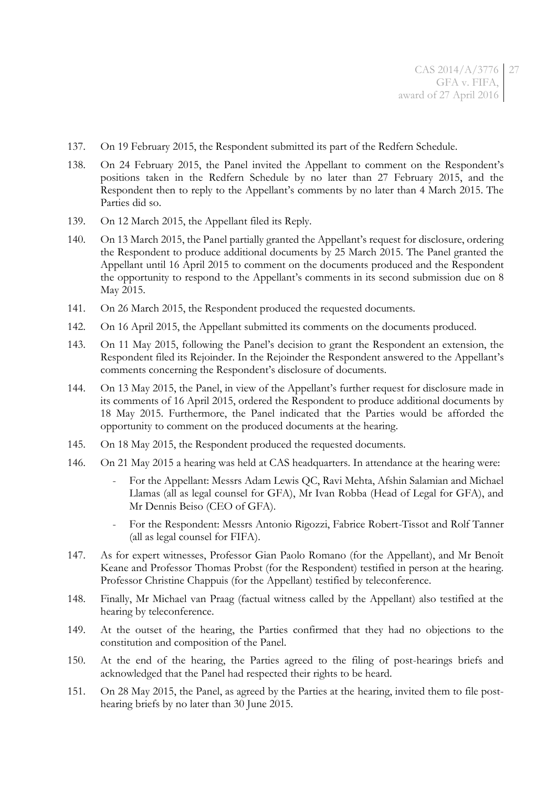- 137. On 19 February 2015, the Respondent submitted its part of the Redfern Schedule.
- 138. On 24 February 2015, the Panel invited the Appellant to comment on the Respondent's positions taken in the Redfern Schedule by no later than 27 February 2015, and the Respondent then to reply to the Appellant's comments by no later than 4 March 2015. The Parties did so.
- 139. On 12 March 2015, the Appellant filed its Reply.
- 140. On 13 March 2015, the Panel partially granted the Appellant's request for disclosure, ordering the Respondent to produce additional documents by 25 March 2015. The Panel granted the Appellant until 16 April 2015 to comment on the documents produced and the Respondent the opportunity to respond to the Appellant's comments in its second submission due on 8 May 2015.
- 141. On 26 March 2015, the Respondent produced the requested documents.
- 142. On 16 April 2015, the Appellant submitted its comments on the documents produced.
- 143. On 11 May 2015, following the Panel's decision to grant the Respondent an extension, the Respondent filed its Rejoinder. In the Rejoinder the Respondent answered to the Appellant's comments concerning the Respondent's disclosure of documents.
- 144. On 13 May 2015, the Panel, in view of the Appellant's further request for disclosure made in its comments of 16 April 2015, ordered the Respondent to produce additional documents by 18 May 2015. Furthermore, the Panel indicated that the Parties would be afforded the opportunity to comment on the produced documents at the hearing.
- 145. On 18 May 2015, the Respondent produced the requested documents.
- 146. On 21 May 2015 a hearing was held at CAS headquarters. In attendance at the hearing were:
	- For the Appellant: Messrs Adam Lewis QC, Ravi Mehta, Afshin Salamian and Michael Llamas (all as legal counsel for GFA), Mr Ivan Robba (Head of Legal for GFA), and Mr Dennis Beiso (CEO of GFA).
	- For the Respondent: Messrs Antonio Rigozzi, Fabrice Robert-Tissot and Rolf Tanner (all as legal counsel for FIFA).
- 147. As for expert witnesses, Professor Gian Paolo Romano (for the Appellant), and Mr Benoît Keane and Professor Thomas Probst (for the Respondent) testified in person at the hearing. Professor Christine Chappuis (for the Appellant) testified by teleconference.
- 148. Finally, Mr Michael van Praag (factual witness called by the Appellant) also testified at the hearing by teleconference.
- 149. At the outset of the hearing, the Parties confirmed that they had no objections to the constitution and composition of the Panel.
- 150. At the end of the hearing, the Parties agreed to the filing of post-hearings briefs and acknowledged that the Panel had respected their rights to be heard.
- 151. On 28 May 2015, the Panel, as agreed by the Parties at the hearing, invited them to file posthearing briefs by no later than 30 June 2015.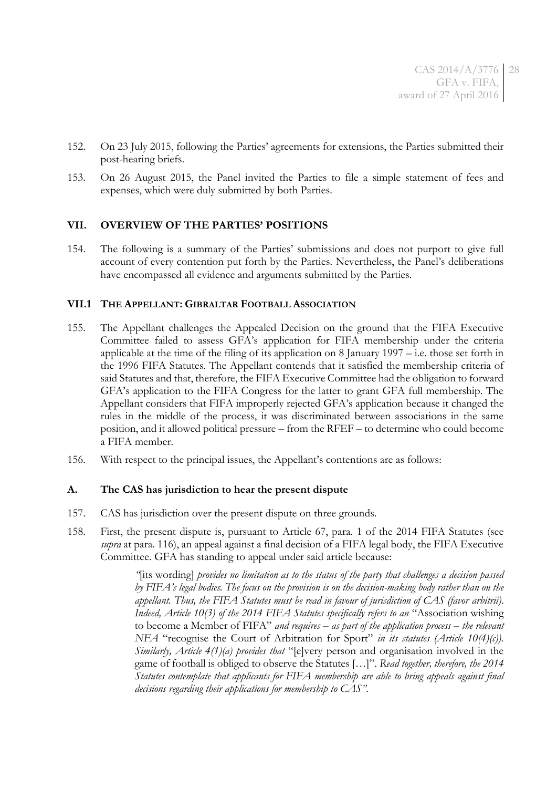- 152. On 23 July 2015, following the Parties' agreements for extensions, the Parties submitted their post-hearing briefs.
- 153. On 26 August 2015, the Panel invited the Parties to file a simple statement of fees and expenses, which were duly submitted by both Parties.

# **VII. OVERVIEW OF THE PARTIES' POSITIONS**

154. The following is a summary of the Parties' submissions and does not purport to give full account of every contention put forth by the Parties. Nevertheless, the Panel's deliberations have encompassed all evidence and arguments submitted by the Parties.

### **VII.1 THE APPELLANT: GIBRALTAR FOOTBALL ASSOCIATION**

- 155. The Appellant challenges the Appealed Decision on the ground that the FIFA Executive Committee failed to assess GFA's application for FIFA membership under the criteria applicable at the time of the filing of its application on 8 January 1997 – i.e. those set forth in the 1996 FIFA Statutes. The Appellant contends that it satisfied the membership criteria of said Statutes and that, therefore, the FIFA Executive Committee had the obligation to forward GFA's application to the FIFA Congress for the latter to grant GFA full membership. The Appellant considers that FIFA improperly rejected GFA's application because it changed the rules in the middle of the process, it was discriminated between associations in the same position, and it allowed political pressure – from the RFEF – to determine who could become a FIFA member.
- 156. With respect to the principal issues, the Appellant's contentions are as follows:

# **A. The CAS has jurisdiction to hear the present dispute**

- 157. CAS has jurisdiction over the present dispute on three grounds.
- 158. First, the present dispute is, pursuant to Article 67, para. 1 of the 2014 FIFA Statutes (see *supra* at para. [116\)](#page-22-0), an appeal against a final decision of a FIFA legal body, the FIFA Executive Committee. GFA has standing to appeal under said article because:

*"*[its wording] *provides no limitation as to the status of the party that challenges a decision passed by FIFA's legal bodies. The focus on the provision is on the decision-making body rather than on the appellant. Thus, the FIFA Statutes must be read in favour of jurisdiction of CAS (favor arbitrii)*. *Indeed, Article 10(3) of the 2014 FIFA Statutes specifically refers to an* "Association wishing to become a Member of FIFA" *and requires – as part of the application process – the relevant NFA* "recognise the Court of Arbitration for Sport" *in its statutes (Article 10(4)(c)). Similarly, Article 4(1)(a) provides that* "[e]very person and organisation involved in the game of football is obliged to observe the Statutes […]". *Read together, therefore, the 2014 Statutes contemplate that applicants for FIFA membership are able to bring appeals against final decisions regarding their applications for membership to CAS"*.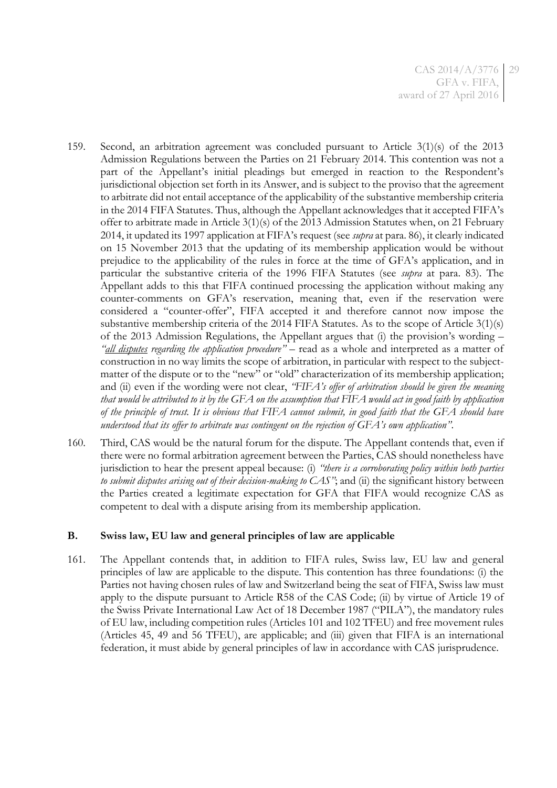- 159. Second, an arbitration agreement was concluded pursuant to Article 3(1)(s) of the 2013 Admission Regulations between the Parties on 21 February 2014. This contention was not a part of the Appellant's initial pleadings but emerged in reaction to the Respondent's jurisdictional objection set forth in its Answer, and is subject to the proviso that the agreement to arbitrate did not entail acceptance of the applicability of the substantive membership criteria in the 2014 FIFA Statutes. Thus, although the Appellant acknowledges that it accepted FIFA's offer to arbitrate made in Article 3(1)(s) of the 2013 Admission Statutes when, on 21 February 2014, it updated its 1997 application at FIFA's request (see *supra* at para[. 86\)](#page-15-0), it clearly indicated on 15 November 2013 that the updating of its membership application would be without prejudice to the applicability of the rules in force at the time of GFA's application, and in particular the substantive criteria of the 1996 FIFA Statutes (see *supra* at para. [83\)](#page-14-0). The Appellant adds to this that FIFA continued processing the application without making any counter-comments on GFA's reservation, meaning that, even if the reservation were considered a "counter-offer", FIFA accepted it and therefore cannot now impose the substantive membership criteria of the 2014 FIFA Statutes. As to the scope of Article 3(1)(s) of the 2013 Admission Regulations, the Appellant argues that (i) the provision's wording – *"all disputes regarding the application procedure"* – read as a whole and interpreted as a matter of construction in no way limits the scope of arbitration, in particular with respect to the subjectmatter of the dispute or to the "new" or "old" characterization of its membership application; and (ii) even if the wording were not clear, *"FIFA's offer of arbitration should be given the meaning that would be attributed to it by the GFA on the assumption that FIFA would act in good faith by application of the principle of trust. It is obvious that FIFA cannot submit, in good faith that the GFA should have understood that its offer to arbitrate was contingent on the rejection of GFA's own application"*.
- 160. Third, CAS would be the natural forum for the dispute. The Appellant contends that, even if there were no formal arbitration agreement between the Parties, CAS should nonetheless have jurisdiction to hear the present appeal because: (i) *"there is a corroborating policy within both parties to submit disputes arising out of their decision-making to CAS"*; and (ii) the significant history between the Parties created a legitimate expectation for GFA that FIFA would recognize CAS as competent to deal with a dispute arising from its membership application.

### **B. Swiss law, EU law and general principles of law are applicable**

161. The Appellant contends that, in addition to FIFA rules, Swiss law, EU law and general principles of law are applicable to the dispute. This contention has three foundations: (i) the Parties not having chosen rules of law and Switzerland being the seat of FIFA, Swiss law must apply to the dispute pursuant to Article R58 of the CAS Code; (ii) by virtue of Article 19 of the Swiss Private International Law Act of 18 December 1987 ("PILA"), the mandatory rules of EU law, including competition rules (Articles 101 and 102 TFEU) and free movement rules (Articles 45, 49 and 56 TFEU), are applicable; and (iii) given that FIFA is an international federation, it must abide by general principles of law in accordance with CAS jurisprudence.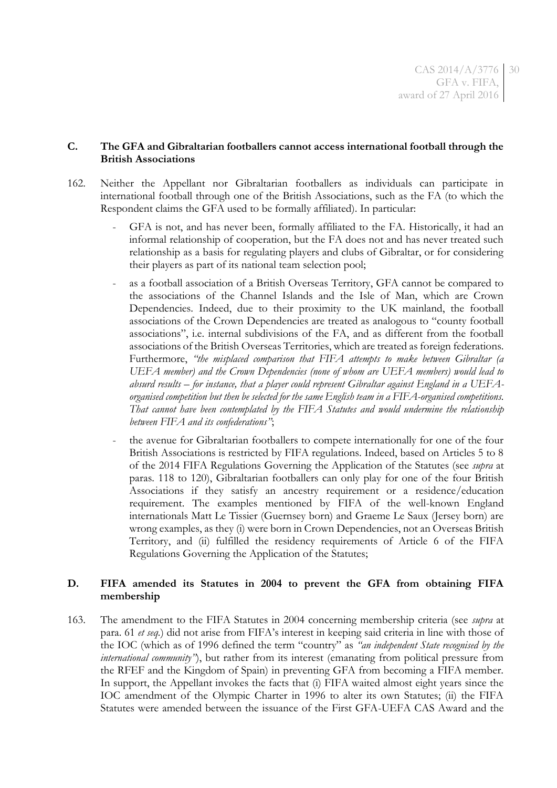### **C. The GFA and Gibraltarian footballers cannot access international football through the British Associations**

- 162. Neither the Appellant nor Gibraltarian footballers as individuals can participate in international football through one of the British Associations, such as the FA (to which the Respondent claims the GFA used to be formally affiliated). In particular:
	- GFA is not, and has never been, formally affiliated to the FA. Historically, it had an informal relationship of cooperation, but the FA does not and has never treated such relationship as a basis for regulating players and clubs of Gibraltar, or for considering their players as part of its national team selection pool;
	- as a football association of a British Overseas Territory, GFA cannot be compared to the associations of the Channel Islands and the Isle of Man, which are Crown Dependencies. Indeed, due to their proximity to the UK mainland, the football associations of the Crown Dependencies are treated as analogous to "county football associations", i.e. internal subdivisions of the FA, and as different from the football associations of the British Overseas Territories, which are treated as foreign federations. Furthermore, *"the misplaced comparison that FIFA attempts to make between Gibraltar (a UEFA member) and the Crown Dependencies (none of whom are UEFA members) would lead to absurd results – for instance, that a player could represent Gibraltar against England in a UEFAorganised competition but then be selected for the same English team in a FIFA-organised competitions. That cannot have been contemplated by the FIFA Statutes and would undermine the relationship between FIFA and its confederations"*;
	- the avenue for Gibraltarian footballers to compete internationally for one of the four British Associations is restricted by FIFA regulations. Indeed, based on Articles 5 to 8 of the 2014 FIFA Regulations Governing the Application of the Statutes (see *supra* at paras. [118](#page-23-0) to [120\)](#page-23-1), Gibraltarian footballers can only play for one of the four British Associations if they satisfy an ancestry requirement or a residence/education requirement. The examples mentioned by FIFA of the well-known England internationals Matt Le Tissier (Guernsey born) and Graeme Le Saux (Jersey born) are wrong examples, as they (i) were born in Crown Dependencies, not an Overseas British Territory, and (ii) fulfilled the residency requirements of Article 6 of the FIFA Regulations Governing the Application of the Statutes;

# **D. FIFA amended its Statutes in 2004 to prevent the GFA from obtaining FIFA membership**

163. The amendment to the FIFA Statutes in 2004 concerning membership criteria (see *supra* at para. [61](#page-11-0) *et seq.*) did not arise from FIFA's interest in keeping said criteria in line with those of the IOC (which as of 1996 defined the term "country" as *"an independent State recognised by the international community<sup>"</sup>*), but rather from its interest (emanating from political pressure from the RFEF and the Kingdom of Spain) in preventing GFA from becoming a FIFA member. In support, the Appellant invokes the facts that (i) FIFA waited almost eight years since the IOC amendment of the Olympic Charter in 1996 to alter its own Statutes; (ii) the FIFA Statutes were amended between the issuance of the First GFA-UEFA CAS Award and the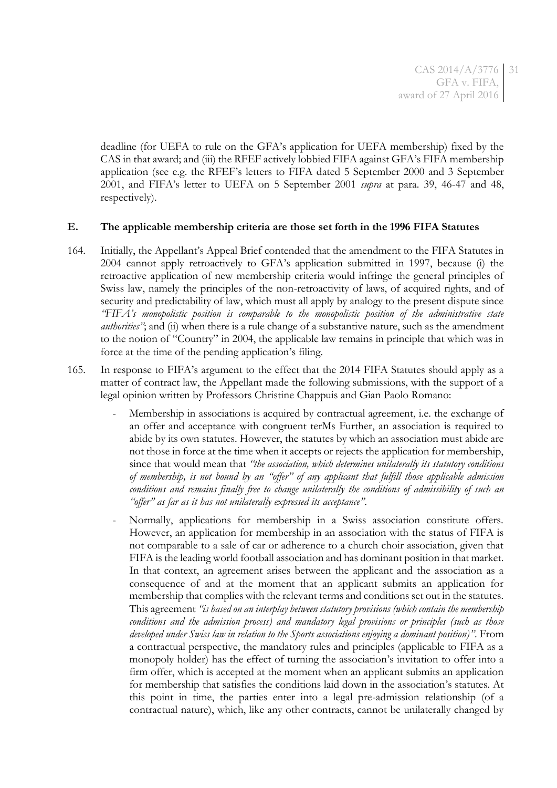deadline (for UEFA to rule on the GFA's application for UEFA membership) fixed by the CAS in that award; and (iii) the RFEF actively lobbied FIFA against GFA's FIFA membership application (see e.g. the RFEF's letters to FIFA dated 5 September 2000 and 3 September 2001, and FIFA's letter to UEFA on 5 September 2001 *supra* at para. [39,](#page-8-0) [46](#page-8-1)[-47](#page-8-2) and [48,](#page-9-0) respectively).

### **E. The applicable membership criteria are those set forth in the 1996 FIFA Statutes**

- 164. Initially, the Appellant's Appeal Brief contended that the amendment to the FIFA Statutes in 2004 cannot apply retroactively to GFA's application submitted in 1997, because (i) the retroactive application of new membership criteria would infringe the general principles of Swiss law, namely the principles of the non-retroactivity of laws, of acquired rights, and of security and predictability of law, which must all apply by analogy to the present dispute since *"FIFA's monopolistic position is comparable to the monopolistic position of the administrative state authorities*<sup>"</sup>; and (ii) when there is a rule change of a substantive nature, such as the amendment to the notion of "Country" in 2004, the applicable law remains in principle that which was in force at the time of the pending application's filing.
- 165. In response to FIFA's argument to the effect that the 2014 FIFA Statutes should apply as a matter of contract law, the Appellant made the following submissions, with the support of a legal opinion written by Professors Christine Chappuis and Gian Paolo Romano:
	- Membership in associations is acquired by contractual agreement, i.e. the exchange of an offer and acceptance with congruent terMs Further, an association is required to abide by its own statutes. However, the statutes by which an association must abide are not those in force at the time when it accepts or rejects the application for membership, since that would mean that *"the association, which determines unilaterally its statutory conditions of membership, is not bound by an "offer" of any applicant that fulfill those applicable admission conditions and remains finally free to change unilaterally the conditions of admissibility of such an "offer" as far as it has not unilaterally expressed its acceptance"*.
	- Normally, applications for membership in a Swiss association constitute offers. However, an application for membership in an association with the status of FIFA is not comparable to a sale of car or adherence to a church choir association, given that FIFA is the leading world football association and has dominant position in that market. In that context, an agreement arises between the applicant and the association as a consequence of and at the moment that an applicant submits an application for membership that complies with the relevant terms and conditions set out in the statutes. This agreement *"is based on an interplay between statutory provisions (which contain the membership conditions and the admission process) and mandatory legal provisions or principles (such as those developed under Swiss law in relation to the Sports associations enjoying a dominant position)"*. From a contractual perspective, the mandatory rules and principles (applicable to FIFA as a monopoly holder) has the effect of turning the association's invitation to offer into a firm offer, which is accepted at the moment when an applicant submits an application for membership that satisfies the conditions laid down in the association's statutes. At this point in time, the parties enter into a legal pre-admission relationship (of a contractual nature), which, like any other contracts, cannot be unilaterally changed by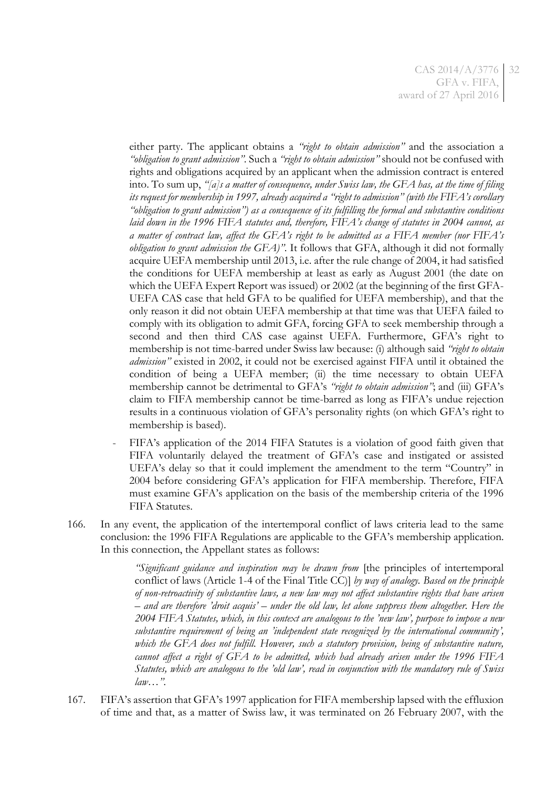either party. The applicant obtains a *"right to obtain admission"* and the association a *"obligation to grant admission"*. Such a *"right to obtain admission"* should not be confused with rights and obligations acquired by an applicant when the admission contract is entered into. To sum up, *"[a]s a matter of consequence, under Swiss law, the GFA has, at the time of filing its request for membership in 1997, already acquired a "right to admission" (with the FIFA's corollary "obligation to grant admission") as a consequence of its fulfilling the formal and substantive conditions laid down in the 1996 FIFA statutes and, therefore, FIFA's change of statutes in 2004 cannot, as a matter of contract law, affect the GFA's right to be admitted as a FIFA member (nor FIFA's obligation to grant admission the GFA)"*. It follows that GFA, although it did not formally acquire UEFA membership until 2013, i.e. after the rule change of 2004, it had satisfied the conditions for UEFA membership at least as early as August 2001 (the date on which the UEFA Expert Report was issued) or 2002 (at the beginning of the first GFA-UEFA CAS case that held GFA to be qualified for UEFA membership), and that the only reason it did not obtain UEFA membership at that time was that UEFA failed to comply with its obligation to admit GFA, forcing GFA to seek membership through a second and then third CAS case against UEFA. Furthermore, GFA's right to membership is not time-barred under Swiss law because: (i) although said *"right to obtain admission"* existed in 2002, it could not be exercised against FIFA until it obtained the condition of being a UEFA member; (ii) the time necessary to obtain UEFA membership cannot be detrimental to GFA's *"right to obtain admission"*; and (iii) GFA's claim to FIFA membership cannot be time-barred as long as FIFA's undue rejection results in a continuous violation of GFA's personality rights (on which GFA's right to membership is based).

- FIFA's application of the 2014 FIFA Statutes is a violation of good faith given that FIFA voluntarily delayed the treatment of GFA's case and instigated or assisted UEFA's delay so that it could implement the amendment to the term "Country" in 2004 before considering GFA's application for FIFA membership. Therefore, FIFA must examine GFA's application on the basis of the membership criteria of the 1996 FIFA Statutes.
- 166. In any event, the application of the intertemporal conflict of laws criteria lead to the same conclusion: the 1996 FIFA Regulations are applicable to the GFA's membership application. In this connection, the Appellant states as follows:

*"Significant guidance and inspiration may be drawn from* [the principles of intertemporal conflict of laws (Article 1-4 of the Final Title CC)] *by way of analogy. Based on the principle of non-retroactivity of substantive laws, a new law may not affect substantive rights that have arisen – and are therefore 'droit acquis' – under the old law, let alone suppress them altogether. Here the 2004 FIFA Statutes, which, in this context are analogous to the 'new law', purpose to impose a new substantive requirement of being an 'independent state recognized by the international community', which the GFA does not fulfill. However, such a statutory provision, being of substantive nature, cannot affect a right of GFA to be admitted, which had already arisen under the 1996 FIFA Statutes, which are analogous to the 'old law', read in conjunction with the mandatory rule of Swiss law*…*".*

167. FIFA's assertion that GFA's 1997 application for FIFA membership lapsed with the effluxion of time and that, as a matter of Swiss law, it was terminated on 26 February 2007, with the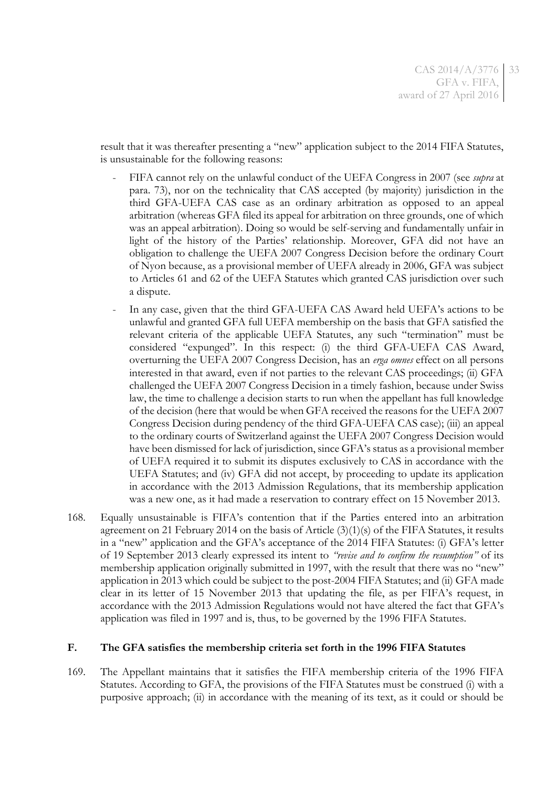result that it was thereafter presenting a "new" application subject to the 2014 FIFA Statutes, is unsustainable for the following reasons:

- FIFA cannot rely on the unlawful conduct of the UEFA Congress in 2007 (see *supra* at para. [73\)](#page-13-0), nor on the technicality that CAS accepted (by majority) jurisdiction in the third GFA-UEFA CAS case as an ordinary arbitration as opposed to an appeal arbitration (whereas GFA filed its appeal for arbitration on three grounds, one of which was an appeal arbitration). Doing so would be self-serving and fundamentally unfair in light of the history of the Parties' relationship. Moreover, GFA did not have an obligation to challenge the UEFA 2007 Congress Decision before the ordinary Court of Nyon because, as a provisional member of UEFA already in 2006, GFA was subject to Articles 61 and 62 of the UEFA Statutes which granted CAS jurisdiction over such a dispute.
- In any case, given that the third GFA-UEFA CAS Award held UEFA's actions to be unlawful and granted GFA full UEFA membership on the basis that GFA satisfied the relevant criteria of the applicable UEFA Statutes, any such "termination" must be considered "expunged". In this respect: (i) the third GFA-UEFA CAS Award, overturning the UEFA 2007 Congress Decision, has an *erga omnes* effect on all persons interested in that award, even if not parties to the relevant CAS proceedings; (ii) GFA challenged the UEFA 2007 Congress Decision in a timely fashion, because under Swiss law, the time to challenge a decision starts to run when the appellant has full knowledge of the decision (here that would be when GFA received the reasons for the UEFA 2007 Congress Decision during pendency of the third GFA-UEFA CAS case); (iii) an appeal to the ordinary courts of Switzerland against the UEFA 2007 Congress Decision would have been dismissed for lack of jurisdiction, since GFA's status as a provisional member of UEFA required it to submit its disputes exclusively to CAS in accordance with the UEFA Statutes; and (iv) GFA did not accept, by proceeding to update its application in accordance with the 2013 Admission Regulations, that its membership application was a new one, as it had made a reservation to contrary effect on 15 November 2013.
- 168. Equally unsustainable is FIFA's contention that if the Parties entered into an arbitration agreement on 21 February 2014 on the basis of Article (3)(1)(s) of the FIFA Statutes, it results in a "new" application and the GFA's acceptance of the 2014 FIFA Statutes: (i) GFA's letter of 19 September 2013 clearly expressed its intent to *"revise and to confirm the resumption"* of its membership application originally submitted in 1997, with the result that there was no "new" application in 2013 which could be subject to the post-2004 FIFA Statutes; and (ii) GFA made clear in its letter of 15 November 2013 that updating the file, as per FIFA's request, in accordance with the 2013 Admission Regulations would not have altered the fact that GFA's application was filed in 1997 and is, thus, to be governed by the 1996 FIFA Statutes.

#### **F. The GFA satisfies the membership criteria set forth in the 1996 FIFA Statutes**

169. The Appellant maintains that it satisfies the FIFA membership criteria of the 1996 FIFA Statutes. According to GFA, the provisions of the FIFA Statutes must be construed (i) with a purposive approach; (ii) in accordance with the meaning of its text, as it could or should be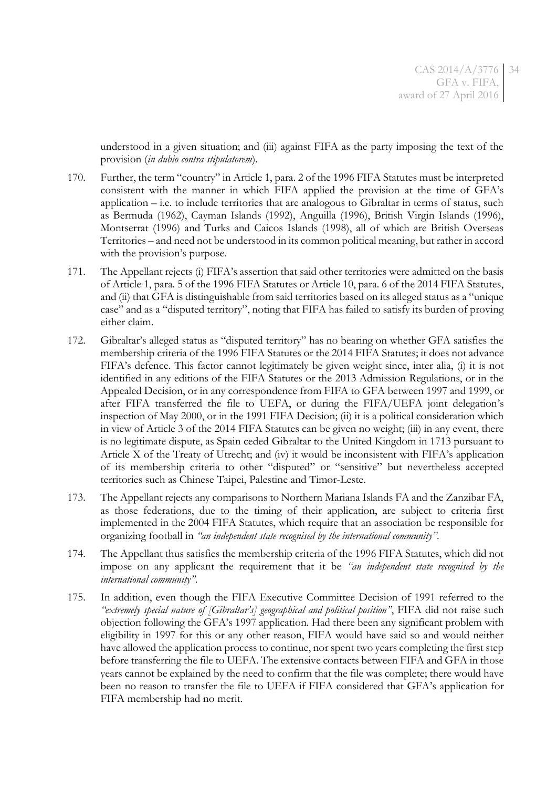understood in a given situation; and (iii) against FIFA as the party imposing the text of the provision (*in dubio contra stipulatorem*).

- 170. Further, the term "country" in Article 1, para. 2 of the 1996 FIFA Statutes must be interpreted consistent with the manner in which FIFA applied the provision at the time of GFA's application – i.e. to include territories that are analogous to Gibraltar in terms of status, such as Bermuda (1962), Cayman Islands (1992), Anguilla (1996), British Virgin Islands (1996), Montserrat (1996) and Turks and Caicos Islands (1998), all of which are British Overseas Territories – and need not be understood in its common political meaning, but rather in accord with the provision's purpose.
- 171. The Appellant rejects (i) FIFA's assertion that said other territories were admitted on the basis of Article 1, para. 5 of the 1996 FIFA Statutes or Article 10, para. 6 of the 2014 FIFA Statutes, and (ii) that GFA is distinguishable from said territories based on its alleged status as a "unique case" and as a "disputed territory", noting that FIFA has failed to satisfy its burden of proving either claim.
- <span id="page-33-0"></span>172. Gibraltar's alleged status as "disputed territory" has no bearing on whether GFA satisfies the membership criteria of the 1996 FIFA Statutes or the 2014 FIFA Statutes; it does not advance FIFA's defence. This factor cannot legitimately be given weight since, inter alia, (i) it is not identified in any editions of the FIFA Statutes or the 2013 Admission Regulations, or in the Appealed Decision, or in any correspondence from FIFA to GFA between 1997 and 1999, or after FIFA transferred the file to UEFA, or during the FIFA/UEFA joint delegation's inspection of May 2000, or in the 1991 FIFA Decision; (ii) it is a political consideration which in view of Article 3 of the 2014 FIFA Statutes can be given no weight; (iii) in any event, there is no legitimate dispute, as Spain ceded Gibraltar to the United Kingdom in 1713 pursuant to Article X of the Treaty of Utrecht; and (iv) it would be inconsistent with FIFA's application of its membership criteria to other "disputed" or "sensitive" but nevertheless accepted territories such as Chinese Taipei, Palestine and Timor-Leste.
- 173. The Appellant rejects any comparisons to Northern Mariana Islands FA and the Zanzibar FA, as those federations, due to the timing of their application, are subject to criteria first implemented in the 2004 FIFA Statutes, which require that an association be responsible for organizing football in *"an independent state recognised by the international community"*.
- 174. The Appellant thus satisfies the membership criteria of the 1996 FIFA Statutes, which did not impose on any applicant the requirement that it be *"an independent state recognised by the international community"*.
- 175. In addition, even though the FIFA Executive Committee Decision of 1991 referred to the *"extremely special nature of [Gibraltar's] geographical and political position"*, FIFA did not raise such objection following the GFA's 1997 application. Had there been any significant problem with eligibility in 1997 for this or any other reason, FIFA would have said so and would neither have allowed the application process to continue, nor spent two years completing the first step before transferring the file to UEFA. The extensive contacts between FIFA and GFA in those years cannot be explained by the need to confirm that the file was complete; there would have been no reason to transfer the file to UEFA if FIFA considered that GFA's application for FIFA membership had no merit.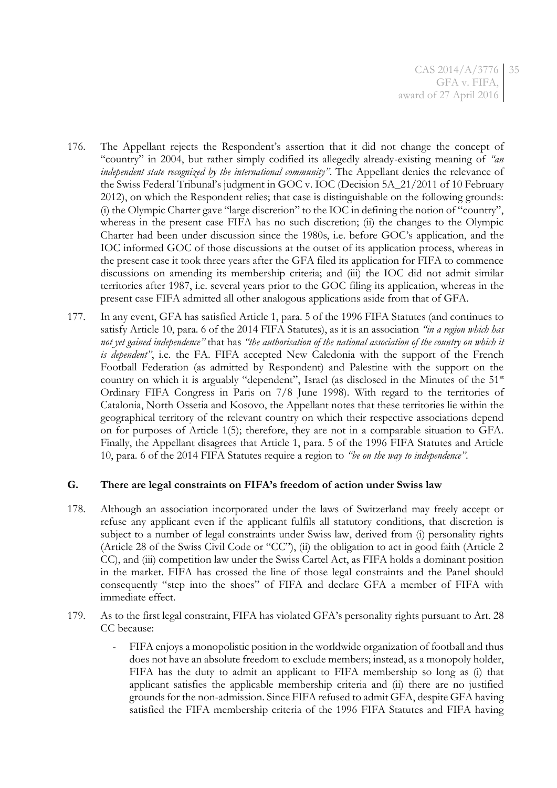- <span id="page-34-0"></span>176. The Appellant rejects the Respondent's assertion that it did not change the concept of "country" in 2004, but rather simply codified its allegedly already-existing meaning of *"an independent state recognized by the international community"*. The Appellant denies the relevance of the Swiss Federal Tribunal's judgment in GOC v. IOC (Decision 5A\_21/2011 of 10 February 2012), on which the Respondent relies; that case is distinguishable on the following grounds: (i) the Olympic Charter gave "large discretion" to the IOC in defining the notion of "country", whereas in the present case FIFA has no such discretion; (ii) the changes to the Olympic Charter had been under discussion since the 1980s, i.e. before GOC's application, and the IOC informed GOC of those discussions at the outset of its application process, whereas in the present case it took three years after the GFA filed its application for FIFA to commence discussions on amending its membership criteria; and (iii) the IOC did not admit similar territories after 1987, i.e. several years prior to the GOC filing its application, whereas in the present case FIFA admitted all other analogous applications aside from that of GFA.
- 177. In any event, GFA has satisfied Article 1, para. 5 of the 1996 FIFA Statutes (and continues to satisfy Article 10, para. 6 of the 2014 FIFA Statutes), as it is an association *"in a region which has not yet gained independence"* that has *"the authorisation of the national association of the country on which it is dependent"*, i.e. the FA. FIFA accepted New Caledonia with the support of the French Football Federation (as admitted by Respondent) and Palestine with the support on the country on which it is arguably "dependent", Israel (as disclosed in the Minutes of the  $51<sup>st</sup>$ Ordinary FIFA Congress in Paris on 7/8 June 1998). With regard to the territories of Catalonia, North Ossetia and Kosovo, the Appellant notes that these territories lie within the geographical territory of the relevant country on which their respective associations depend on for purposes of Article 1(5); therefore, they are not in a comparable situation to GFA. Finally, the Appellant disagrees that Article 1, para. 5 of the 1996 FIFA Statutes and Article 10, para. 6 of the 2014 FIFA Statutes require a region to *"be on the way to independence"*.

### **G. There are legal constraints on FIFA's freedom of action under Swiss law**

- 178. Although an association incorporated under the laws of Switzerland may freely accept or refuse any applicant even if the applicant fulfils all statutory conditions, that discretion is subject to a number of legal constraints under Swiss law, derived from (i) personality rights (Article 28 of the Swiss Civil Code or "CC"), (ii) the obligation to act in good faith (Article 2 CC), and (iii) competition law under the Swiss Cartel Act, as FIFA holds a dominant position in the market. FIFA has crossed the line of those legal constraints and the Panel should consequently "step into the shoes" of FIFA and declare GFA a member of FIFA with immediate effect.
- 179. As to the first legal constraint, FIFA has violated GFA's personality rights pursuant to Art. 28 CC because:
	- FIFA enjoys a monopolistic position in the worldwide organization of football and thus does not have an absolute freedom to exclude members; instead, as a monopoly holder, FIFA has the duty to admit an applicant to FIFA membership so long as (i) that applicant satisfies the applicable membership criteria and (ii) there are no justified grounds for the non-admission. Since FIFA refused to admit GFA, despite GFA having satisfied the FIFA membership criteria of the 1996 FIFA Statutes and FIFA having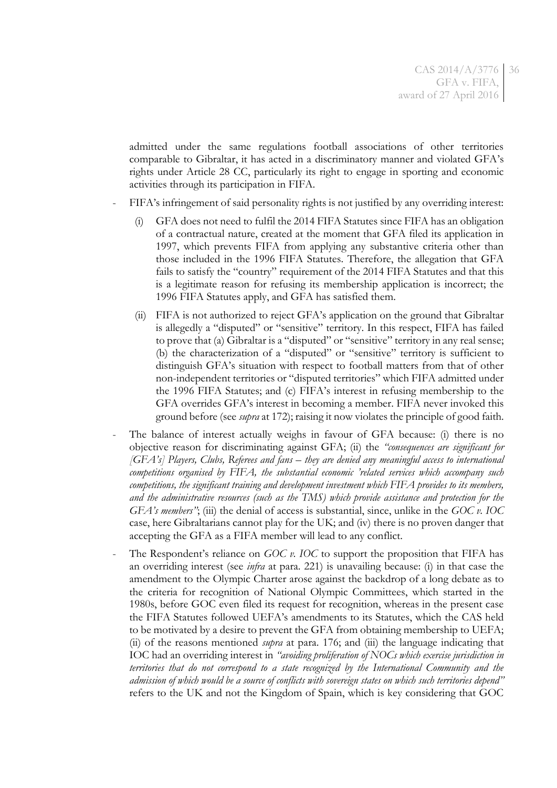admitted under the same regulations football associations of other territories comparable to Gibraltar, it has acted in a discriminatory manner and violated GFA's rights under Article 28 CC, particularly its right to engage in sporting and economic activities through its participation in FIFA.

- FIFA's infringement of said personality rights is not justified by any overriding interest:
	- (i) GFA does not need to fulfil the 2014 FIFA Statutes since FIFA has an obligation of a contractual nature, created at the moment that GFA filed its application in 1997, which prevents FIFA from applying any substantive criteria other than those included in the 1996 FIFA Statutes. Therefore, the allegation that GFA fails to satisfy the "country" requirement of the 2014 FIFA Statutes and that this is a legitimate reason for refusing its membership application is incorrect; the 1996 FIFA Statutes apply, and GFA has satisfied them.
	- (ii) FIFA is not authorized to reject GFA's application on the ground that Gibraltar is allegedly a "disputed" or "sensitive" territory. In this respect, FIFA has failed to prove that (a) Gibraltar is a "disputed" or "sensitive" territory in any real sense; (b) the characterization of a "disputed" or "sensitive" territory is sufficient to distinguish GFA's situation with respect to football matters from that of other non-independent territories or "disputed territories" which FIFA admitted under the 1996 FIFA Statutes; and (c) FIFA's interest in refusing membership to the GFA overrides GFA's interest in becoming a member. FIFA never invoked this ground before (see *supra* at [172\)](#page-33-0); raising it now violates the principle of good faith.
- The balance of interest actually weighs in favour of GFA because: (i) there is no objective reason for discriminating against GFA; (ii) the *"consequences are significant for [GFA's] Players, Clubs, Referees and fans – they are denied any meaningful access to international competitions organised by FIFA, the substantial economic 'related services which accompany such competitions, the significant training and development investment which FIFA provides to its members, and the administrative resources (such as the TMS) which provide assistance and protection for the GFA's members"*; (iii) the denial of access is substantial, since, unlike in the *GOC v. IOC* case, here Gibraltarians cannot play for the UK; and (iv) there is no proven danger that accepting the GFA as a FIFA member will lead to any conflict.
- The Respondent's reliance on *GOC v. IOC* to support the proposition that FIFA has an overriding interest (see *infra* at para. [221\)](#page-50-0) is unavailing because: (i) in that case the amendment to the Olympic Charter arose against the backdrop of a long debate as to the criteria for recognition of National Olympic Committees, which started in the 1980s, before GOC even filed its request for recognition, whereas in the present case the FIFA Statutes followed UEFA's amendments to its Statutes, which the CAS held to be motivated by a desire to prevent the GFA from obtaining membership to UEFA; (ii) of the reasons mentioned *supra* at para. [176;](#page-34-0) and (iii) the language indicating that IOC had an overriding interest in *"avoiding proliferation of NOCs which exercise jurisdiction in territories that do not correspond to a state recognized by the International Community and the admission of which would be a source of conflicts with sovereign states on which such territories depend"* refers to the UK and not the Kingdom of Spain, which is key considering that GOC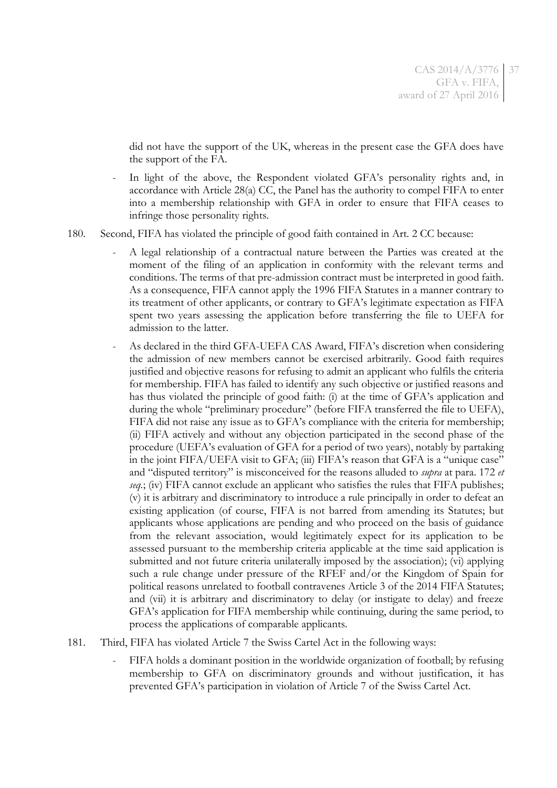did not have the support of the UK, whereas in the present case the GFA does have the support of the FA.

- In light of the above, the Respondent violated GFA's personality rights and, in accordance with Article 28(a) CC, the Panel has the authority to compel FIFA to enter into a membership relationship with GFA in order to ensure that FIFA ceases to infringe those personality rights.
- <span id="page-36-0"></span>180. Second, FIFA has violated the principle of good faith contained in Art. 2 CC because:
	- A legal relationship of a contractual nature between the Parties was created at the moment of the filing of an application in conformity with the relevant terms and conditions. The terms of that pre-admission contract must be interpreted in good faith. As a consequence, FIFA cannot apply the 1996 FIFA Statutes in a manner contrary to its treatment of other applicants, or contrary to GFA's legitimate expectation as FIFA spent two years assessing the application before transferring the file to UEFA for admission to the latter.
	- As declared in the third GFA-UEFA CAS Award, FIFA's discretion when considering the admission of new members cannot be exercised arbitrarily. Good faith requires justified and objective reasons for refusing to admit an applicant who fulfils the criteria for membership. FIFA has failed to identify any such objective or justified reasons and has thus violated the principle of good faith: (i) at the time of GFA's application and during the whole "preliminary procedure" (before FIFA transferred the file to UEFA), FIFA did not raise any issue as to GFA's compliance with the criteria for membership; (ii) FIFA actively and without any objection participated in the second phase of the procedure (UEFA's evaluation of GFA for a period of two years), notably by partaking in the joint FIFA/UEFA visit to GFA; (iii) FIFA's reason that GFA is a "unique case" and "disputed territory" is misconceived for the reasons alluded to *supra* at para. [172](#page-33-0) *et seq.*; (iv) FIFA cannot exclude an applicant who satisfies the rules that FIFA publishes; (v) it is arbitrary and discriminatory to introduce a rule principally in order to defeat an existing application (of course, FIFA is not barred from amending its Statutes; but applicants whose applications are pending and who proceed on the basis of guidance from the relevant association, would legitimately expect for its application to be assessed pursuant to the membership criteria applicable at the time said application is submitted and not future criteria unilaterally imposed by the association); (vi) applying such a rule change under pressure of the RFEF and/or the Kingdom of Spain for political reasons unrelated to football contravenes Article 3 of the 2014 FIFA Statutes; and (vii) it is arbitrary and discriminatory to delay (or instigate to delay) and freeze GFA's application for FIFA membership while continuing, during the same period, to process the applications of comparable applicants.
- 181. Third, FIFA has violated Article 7 the Swiss Cartel Act in the following ways:
	- FIFA holds a dominant position in the worldwide organization of football; by refusing membership to GFA on discriminatory grounds and without justification, it has prevented GFA's participation in violation of Article 7 of the Swiss Cartel Act.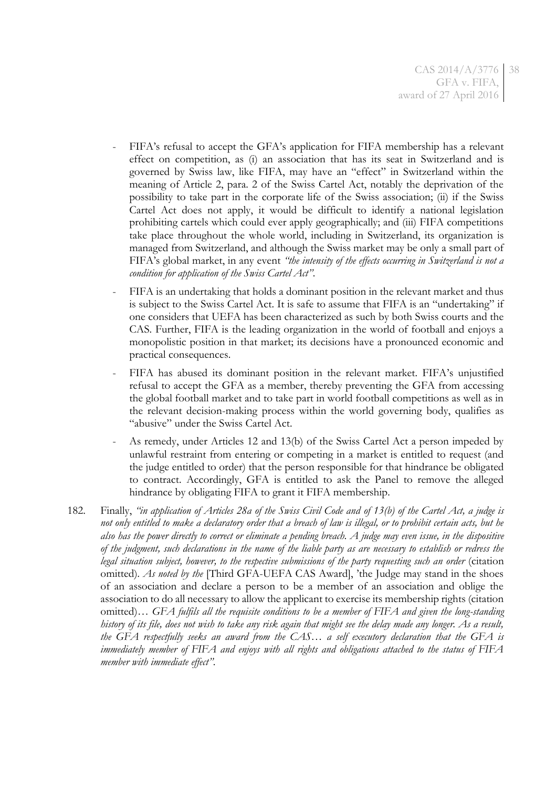- FIFA's refusal to accept the GFA's application for FIFA membership has a relevant effect on competition, as (i) an association that has its seat in Switzerland and is governed by Swiss law, like FIFA, may have an "effect" in Switzerland within the meaning of Article 2, para. 2 of the Swiss Cartel Act, notably the deprivation of the possibility to take part in the corporate life of the Swiss association; (ii) if the Swiss Cartel Act does not apply, it would be difficult to identify a national legislation prohibiting cartels which could ever apply geographically; and (iii) FIFA competitions take place throughout the whole world, including in Switzerland, its organization is managed from Switzerland, and although the Swiss market may be only a small part of FIFA's global market, in any event *"the intensity of the effects occurring in Switzerland is not a condition for application of the Swiss Cartel Act"*.
- FIFA is an undertaking that holds a dominant position in the relevant market and thus is subject to the Swiss Cartel Act. It is safe to assume that FIFA is an "undertaking" if one considers that UEFA has been characterized as such by both Swiss courts and the CAS. Further, FIFA is the leading organization in the world of football and enjoys a monopolistic position in that market; its decisions have a pronounced economic and practical consequences.
- FIFA has abused its dominant position in the relevant market. FIFA's unjustified refusal to accept the GFA as a member, thereby preventing the GFA from accessing the global football market and to take part in world football competitions as well as in the relevant decision-making process within the world governing body, qualifies as "abusive" under the Swiss Cartel Act.
- As remedy, under Articles 12 and 13(b) of the Swiss Cartel Act a person impeded by unlawful restraint from entering or competing in a market is entitled to request (and the judge entitled to order) that the person responsible for that hindrance be obligated to contract. Accordingly, GFA is entitled to ask the Panel to remove the alleged hindrance by obligating FIFA to grant it FIFA membership.
- 182. Finally, *"in application of Articles 28a of the Swiss Civil Code and of 13(b) of the Cartel Act, a judge is not only entitled to make a declaratory order that a breach of law is illegal, or to prohibit certain acts, but he also has the power directly to correct or eliminate a pending breach. A judge may even issue, in the dispositive of the judgment, such declarations in the name of the liable party as are necessary to establish or redress the legal situation subject, however, to the respective submissions of the party requesting such an order* (citation omitted)*. As noted by the* [Third GFA-UEFA CAS Award], 'the Judge may stand in the shoes of an association and declare a person to be a member of an association and oblige the association to do all necessary to allow the applicant to exercise its membership rights (citation omitted)… *GFA fulfils all the requisite conditions to be a member of FIFA and given the long-standing history of its file, does not wish to take any risk again that might see the delay made any longer. As a result, the GFA respectfully seeks an award from the CAS… a self executory declaration that the GFA is immediately member of FIFA and enjoys with all rights and obligations attached to the status of FIFA member with immediate effect"*.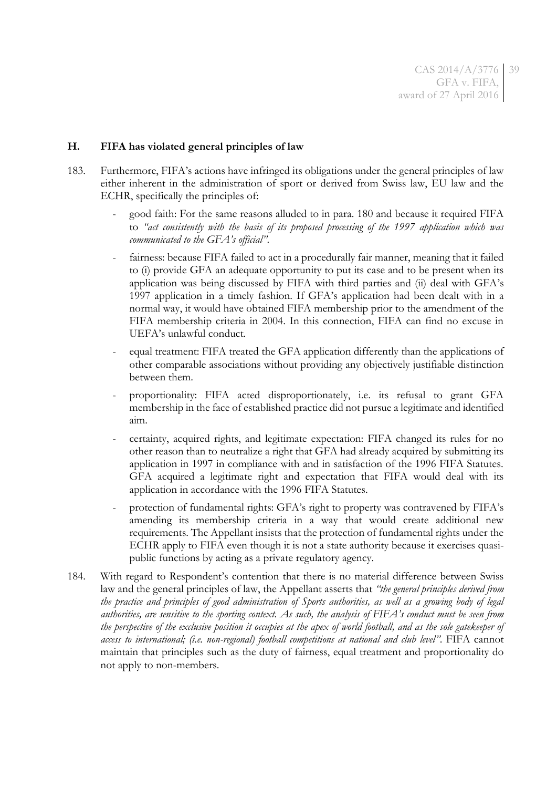## **H. FIFA has violated general principles of law**

- 183. Furthermore, FIFA's actions have infringed its obligations under the general principles of law either inherent in the administration of sport or derived from Swiss law, EU law and the ECHR, specifically the principles of:
	- good faith: For the same reasons alluded to in para. [180](#page-36-0) and because it required FIFA to *"act consistently with the basis of its proposed processing of the 1997 application which was communicated to the GFA's official"*.
	- fairness: because FIFA failed to act in a procedurally fair manner, meaning that it failed to (i) provide GFA an adequate opportunity to put its case and to be present when its application was being discussed by FIFA with third parties and (ii) deal with GFA's 1997 application in a timely fashion. If GFA's application had been dealt with in a normal way, it would have obtained FIFA membership prior to the amendment of the FIFA membership criteria in 2004. In this connection, FIFA can find no excuse in UEFA's unlawful conduct.
	- equal treatment: FIFA treated the GFA application differently than the applications of other comparable associations without providing any objectively justifiable distinction between them.
	- proportionality: FIFA acted disproportionately, i.e. its refusal to grant GFA membership in the face of established practice did not pursue a legitimate and identified aim.
	- certainty, acquired rights, and legitimate expectation: FIFA changed its rules for no other reason than to neutralize a right that GFA had already acquired by submitting its application in 1997 in compliance with and in satisfaction of the 1996 FIFA Statutes. GFA acquired a legitimate right and expectation that FIFA would deal with its application in accordance with the 1996 FIFA Statutes.
	- protection of fundamental rights: GFA's right to property was contravened by FIFA's amending its membership criteria in a way that would create additional new requirements. The Appellant insists that the protection of fundamental rights under the ECHR apply to FIFA even though it is not a state authority because it exercises quasipublic functions by acting as a private regulatory agency.
- 184. With regard to Respondent's contention that there is no material difference between Swiss law and the general principles of law, the Appellant asserts that *"the general principles derived from the practice and principles of good administration of Sports authorities, as well as a growing body of legal authorities, are sensitive to the sporting context. As such, the analysis of FIFA's conduct must be seen from the perspective of the exclusive position it occupies at the apex of world football, and as the sole gatekeeper of access to international; (i.e. non-regional) football competitions at national and club level"*. FIFA cannot maintain that principles such as the duty of fairness, equal treatment and proportionality do not apply to non-members.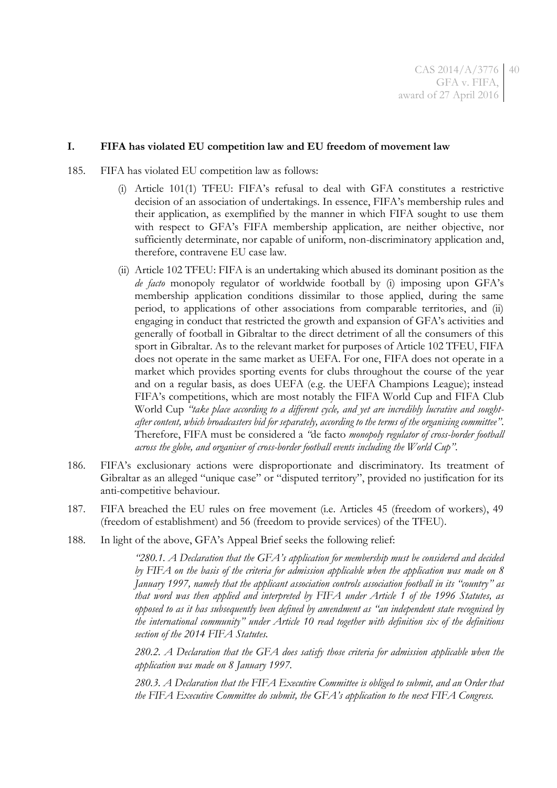### **I. FIFA has violated EU competition law and EU freedom of movement law**

- 185. FIFA has violated EU competition law as follows:
	- (i) Article 101(1) TFEU: FIFA's refusal to deal with GFA constitutes a restrictive decision of an association of undertakings. In essence, FIFA's membership rules and their application, as exemplified by the manner in which FIFA sought to use them with respect to GFA's FIFA membership application, are neither objective, nor sufficiently determinate, nor capable of uniform, non-discriminatory application and, therefore, contravene EU case law.
	- (ii) Article 102 TFEU: FIFA is an undertaking which abused its dominant position as the *de facto* monopoly regulator of worldwide football by (i) imposing upon GFA's membership application conditions dissimilar to those applied, during the same period, to applications of other associations from comparable territories, and (ii) engaging in conduct that restricted the growth and expansion of GFA's activities and generally of football in Gibraltar to the direct detriment of all the consumers of this sport in Gibraltar. As to the relevant market for purposes of Article 102 TFEU, FIFA does not operate in the same market as UEFA. For one, FIFA does not operate in a market which provides sporting events for clubs throughout the course of the year and on a regular basis, as does UEFA (e.g. the UEFA Champions League); instead FIFA's competitions, which are most notably the FIFA World Cup and FIFA Club World Cup *"take place according to a different cycle, and yet are incredibly lucrative and soughtafter content, which broadcasters bid for separately, according to the terms of the organising committee"*. Therefore, FIFA must be considered a *"*de facto *monopoly regulator of cross-border football across the globe, and organiser of cross-border football events including the World Cup"*.
- 186. FIFA's exclusionary actions were disproportionate and discriminatory. Its treatment of Gibraltar as an alleged "unique case" or "disputed territory", provided no justification for its anti-competitive behaviour.
- 187. FIFA breached the EU rules on free movement (i.e. Articles 45 (freedom of workers), 49 (freedom of establishment) and 56 (freedom to provide services) of the TFEU).
- 188. In light of the above, GFA's Appeal Brief seeks the following relief:

*"280.1. A Declaration that the GFA's application for membership must be considered and decided by FIFA on the basis of the criteria for admission applicable when the application was made on 8 January 1997, namely that the applicant association controls association football in its "country" as that word was then applied and interpreted by FIFA under Article 1 of the 1996 Statutes, as opposed to as it has subsequently been defined by amendment as "an independent state recognised by the international community" under Article 10 read together with definition six of the definitions section of the 2014 FIFA Statutes.*

*280.2. A Declaration that the GFA does satisfy those criteria for admission applicable when the application was made on 8 January 1997.*

*280.3. A Declaration that the FIFA Executive Committee is obliged to submit, and an Order that the FIFA Executive Committee do submit, the GFA's application to the next FIFA Congress.*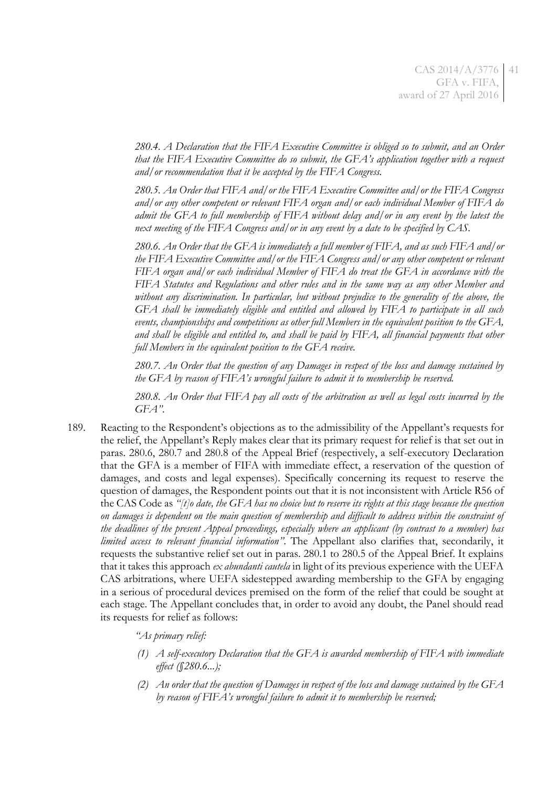*280.4. A Declaration that the FIFA Executive Committee is obliged so to submit, and an Order that the FIFA Executive Committee do so submit, the GFA's application together with a request and/or recommendation that it be accepted by the FIFA Congress.*

*280.5. An Order that FIFA and/or the FIFA Executive Committee and/or the FIFA Congress and/or any other competent or relevant FIFA organ and/or each individual Member of FIFA do admit the GFA to full membership of FIFA without delay and/or in any event by the latest the next meeting of the FIFA Congress and/or in any event by a date to be specified by CAS.*

*280.6. An Order that the GFA is immediately a full member of FIFA, and as such FIFA and/or the FIFA Executive Committee and/or the FIFA Congress and/or any other competent or relevant FIFA organ and/or each individual Member of FIFA do treat the GFA in accordance with the FIFA Statutes and Regulations and other rules and in the same way as any other Member and without any discrimination. In particular, but without prejudice to the generality of the above, the GFA shall be immediately eligible and entitled and allowed by FIFA to participate in all such events, championships and competitions as other full Members in the equivalent position to the GFA, and shall be eligible and entitled to, and shall be paid by FIFA, all financial payments that other full Members in the equivalent position to the GFA receive.*

*280.7. An Order that the question of any Damages in respect of the loss and damage sustained by the GFA by reason of FIFA's wrongful failure to admit it to membership be reserved.*

*280.8. An Order that FIFA pay all costs of the arbitration as well as legal costs incurred by the GFA"*.

189. Reacting to the Respondent's objections as to the admissibility of the Appellant's requests for the relief, the Appellant's Reply makes clear that its primary request for relief is that set out in paras. 280.6, 280.7 and 280.8 of the Appeal Brief (respectively, a self-executory Declaration that the GFA is a member of FIFA with immediate effect, a reservation of the question of damages, and costs and legal expenses). Specifically concerning its request to reserve the question of damages, the Respondent points out that it is not inconsistent with Article R56 of the CAS Code as *"[t]o date, the GFA has no choice but to reserve its rights at this stage because the question on damages is dependent on the main question of membership and difficult to address within the constraint of the deadlines of the present Appeal proceedings, especially where an applicant (by contrast to a member) has limited access to relevant financial information"*. The Appellant also clarifies that, secondarily, it requests the substantive relief set out in paras. 280.1 to 280.5 of the Appeal Brief. It explains that it takes this approach *ex abundanti cautela* in light of its previous experience with the UEFA CAS arbitrations, where UEFA sidestepped awarding membership to the GFA by engaging in a serious of procedural devices premised on the form of the relief that could be sought at each stage. The Appellant concludes that, in order to avoid any doubt, the Panel should read its requests for relief as follows:

*"As primary relief:*

- *(1) A self-executory Declaration that the GFA is awarded membership of FIFA with immediate effect (§280.6...);*
- *(2) An order that the question of Damages in respect of the loss and damage sustained by the GFA by reason of FIFA's wrongful failure to admit it to membership be reserved;*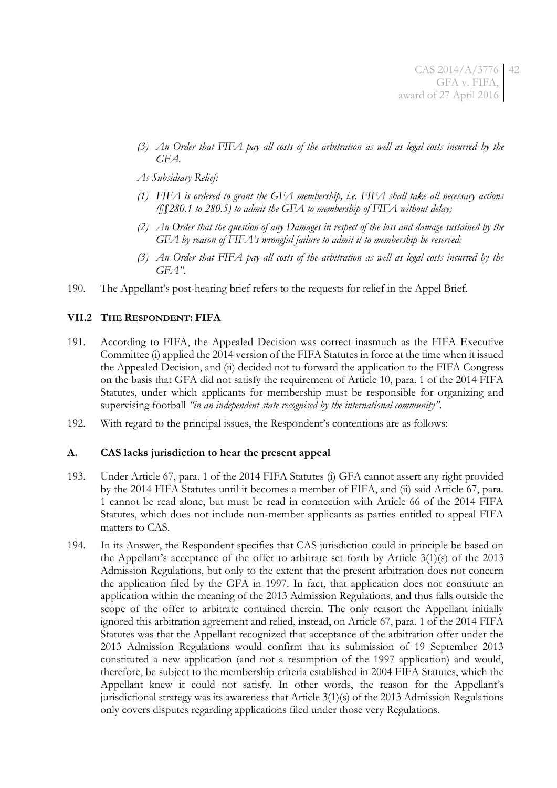- *(3) An Order that FIFA pay all costs of the arbitration as well as legal costs incurred by the GFA.*
- *As Subsidiary Relief:*
- *(1) FIFA is ordered to grant the GFA membership, i.e. FIFA shall take all necessary actions (§§280.1 to 280.5) to admit the GFA to membership of FIFA without delay;*
- *(2) An Order that the question of any Damages in respect of the loss and damage sustained by the GFA by reason of FIFA's wrongful failure to admit it to membership be reserved;*
- *(3) An Order that FIFA pay all costs of the arbitration as well as legal costs incurred by the GFA"*.
- 190. The Appellant's post-hearing brief refers to the requests for relief in the Appel Brief.

## **VII.2 THE RESPONDENT: FIFA**

- 191. According to FIFA, the Appealed Decision was correct inasmuch as the FIFA Executive Committee (i) applied the 2014 version of the FIFA Statutes in force at the time when it issued the Appealed Decision, and (ii) decided not to forward the application to the FIFA Congress on the basis that GFA did not satisfy the requirement of Article 10, para. 1 of the 2014 FIFA Statutes, under which applicants for membership must be responsible for organizing and supervising football *"in an independent state recognised by the international community"*.
- 192. With regard to the principal issues, the Respondent's contentions are as follows:

### **A. CAS lacks jurisdiction to hear the present appeal**

- <span id="page-41-0"></span>193. Under Article 67, para. 1 of the 2014 FIFA Statutes (i) GFA cannot assert any right provided by the 2014 FIFA Statutes until it becomes a member of FIFA, and (ii) said Article 67, para. 1 cannot be read alone, but must be read in connection with Article 66 of the 2014 FIFA Statutes, which does not include non-member applicants as parties entitled to appeal FIFA matters to CAS.
- 194. In its Answer, the Respondent specifies that CAS jurisdiction could in principle be based on the Appellant's acceptance of the offer to arbitrate set forth by Article 3(1)(s) of the 2013 Admission Regulations, but only to the extent that the present arbitration does not concern the application filed by the GFA in 1997. In fact, that application does not constitute an application within the meaning of the 2013 Admission Regulations, and thus falls outside the scope of the offer to arbitrate contained therein. The only reason the Appellant initially ignored this arbitration agreement and relied, instead, on Article 67, para. 1 of the 2014 FIFA Statutes was that the Appellant recognized that acceptance of the arbitration offer under the 2013 Admission Regulations would confirm that its submission of 19 September 2013 constituted a new application (and not a resumption of the 1997 application) and would, therefore, be subject to the membership criteria established in 2004 FIFA Statutes, which the Appellant knew it could not satisfy. In other words, the reason for the Appellant's jurisdictional strategy was its awareness that Article 3(1)(s) of the 2013 Admission Regulations only covers disputes regarding applications filed under those very Regulations.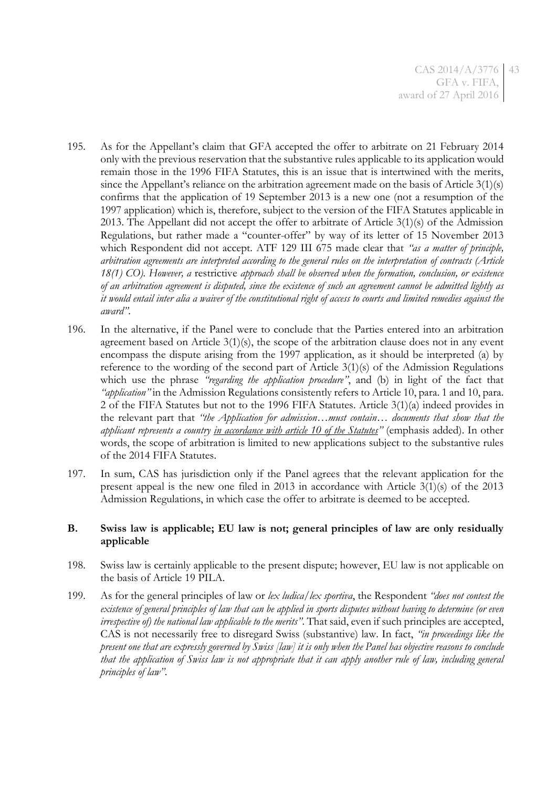- 195. As for the Appellant's claim that GFA accepted the offer to arbitrate on 21 February 2014 only with the previous reservation that the substantive rules applicable to its application would remain those in the 1996 FIFA Statutes, this is an issue that is intertwined with the merits, since the Appellant's reliance on the arbitration agreement made on the basis of Article 3(1)(s) confirms that the application of 19 September 2013 is a new one (not a resumption of the 1997 application) which is, therefore, subject to the version of the FIFA Statutes applicable in 2013. The Appellant did not accept the offer to arbitrate of Article 3(1)(s) of the Admission Regulations, but rather made a "counter-offer" by way of its letter of 15 November 2013 which Respondent did not accept. ATF 129 III 675 made clear that *"as a matter of principle, arbitration agreements are interpreted according to the general rules on the interpretation of contracts (Article 18(1) CO). However, a* restrictive *approach shall be observed when the formation, conclusion, or existence of an arbitration agreement is disputed, since the existence of such an agreement cannot be admitted lightly as it would entail inter alia a waiver of the constitutional right of access to courts and limited remedies against the award"*.
- 196. In the alternative, if the Panel were to conclude that the Parties entered into an arbitration agreement based on Article 3(1)(s), the scope of the arbitration clause does not in any event encompass the dispute arising from the 1997 application, as it should be interpreted (a) by reference to the wording of the second part of Article 3(1)(s) of the Admission Regulations which use the phrase *"regarding the application procedure"*, and (b) in light of the fact that *"application"* in the Admission Regulations consistently refers to Article 10, para. 1 and 10, para. 2 of the FIFA Statutes but not to the 1996 FIFA Statutes. Article 3(1)(a) indeed provides in the relevant part that *"the Application for admission…must contain… documents that show that the applicant represents a country in accordance with article 10 of the Statutes"* (emphasis added). In other words, the scope of arbitration is limited to new applications subject to the substantive rules of the 2014 FIFA Statutes.
- 197. In sum, CAS has jurisdiction only if the Panel agrees that the relevant application for the present appeal is the new one filed in 2013 in accordance with Article 3(1)(s) of the 2013 Admission Regulations, in which case the offer to arbitrate is deemed to be accepted.

## **B. Swiss law is applicable; EU law is not; general principles of law are only residually applicable**

- 198. Swiss law is certainly applicable to the present dispute; however, EU law is not applicable on the basis of Article 19 PILA.
- 199. As for the general principles of law or *lex ludica/lex sportiva*, the Respondent *"does not contest the existence of general principles of law that can be applied in sports disputes without having to determine (or even irrespective of) the national law applicable to the merits"*. That said, even if such principles are accepted, CAS is not necessarily free to disregard Swiss (substantive) law. In fact, *"in proceedings like the present one that are expressly governed by Swiss [law] it is only when the Panel has objective reasons to conclude that the application of Swiss law is not appropriate that it can apply another rule of law, including general principles of law"*.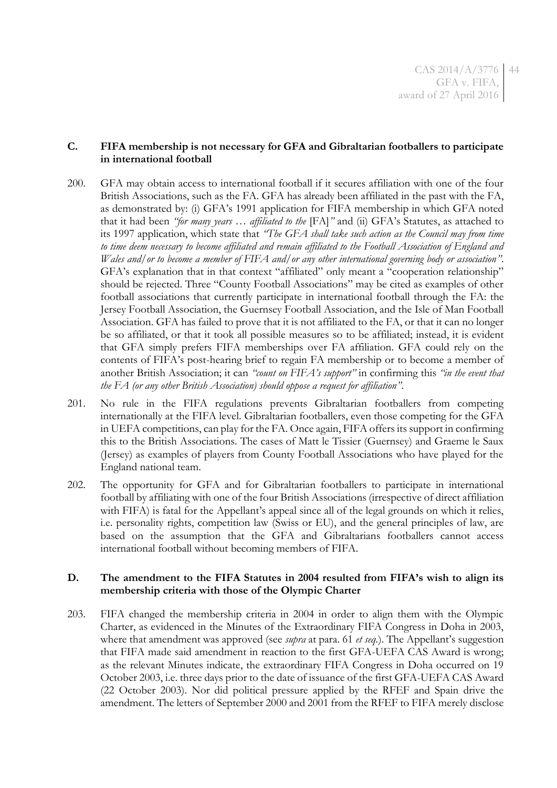## **C. FIFA membership is not necessary for GFA and Gibraltarian footballers to participate in international football**

- 200. GFA may obtain access to international football if it secures affiliation with one of the four British Associations, such as the FA. GFA has already been affiliated in the past with the FA, as demonstrated by: (i) GFA's 1991 application for FIFA membership in which GFA noted that it had been *"for many years … affiliated to the* [FA]*"* and (ii) GFA's Statutes, as attached to its 1997 application, which state that *"The GFA shall take such action as the Council may from time to time deem necessary to become affiliated and remain affiliated to the Football Association of England and Wales and/or to become a member of FIFA and/or any other international governing body or association"*. GFA's explanation that in that context "affiliated" only meant a "cooperation relationship" should be rejected. Three "County Football Associations" may be cited as examples of other football associations that currently participate in international football through the FA: the Jersey Football Association, the Guernsey Football Association, and the Isle of Man Football Association. GFA has failed to prove that it is not affiliated to the FA, or that it can no longer be so affiliated, or that it took all possible measures so to be affiliated; instead, it is evident that GFA simply prefers FIFA memberships over FA affiliation. GFA could rely on the contents of FIFA's post-hearing brief to regain FA membership or to become a member of another British Association; it can *"count on FIFA's support"* in confirming this *"in the event that the FA (or any other British Association) should oppose a request for affiliation"*.
- <span id="page-43-0"></span>201. No rule in the FIFA regulations prevents Gibraltarian footballers from competing internationally at the FIFA level. Gibraltarian footballers, even those competing for the GFA in UEFA competitions, can play for the FA. Once again, FIFA offers its support in confirming this to the British Associations. The cases of Matt le Tissier (Guernsey) and Graeme le Saux (Jersey) as examples of players from County Football Associations who have played for the England national team.
- 202. The opportunity for GFA and for Gibraltarian footballers to participate in international football by affiliating with one of the four British Associations (irrespective of direct affiliation with FIFA) is fatal for the Appellant's appeal since all of the legal grounds on which it relies, i.e. personality rights, competition law (Swiss or EU), and the general principles of law, are based on the assumption that the GFA and Gibraltarians footballers cannot access international football without becoming members of FIFA.

## **D. The amendment to the FIFA Statutes in 2004 resulted from FIFA's wish to align its membership criteria with those of the Olympic Charter**

203. FIFA changed the membership criteria in 2004 in order to align them with the Olympic Charter, as evidenced in the Minutes of the Extraordinary FIFA Congress in Doha in 2003, where that amendment was approved (see *supra* at para. [61](#page-11-0) *et seq.*). The Appellant's suggestion that FIFA made said amendment in reaction to the first GFA-UEFA CAS Award is wrong; as the relevant Minutes indicate, the extraordinary FIFA Congress in Doha occurred on 19 October 2003, i.e. three days prior to the date of issuance of the first GFA-UEFA CAS Award (22 October 2003). Nor did political pressure applied by the RFEF and Spain drive the amendment. The letters of September 2000 and 2001 from the RFEF to FIFA merely disclose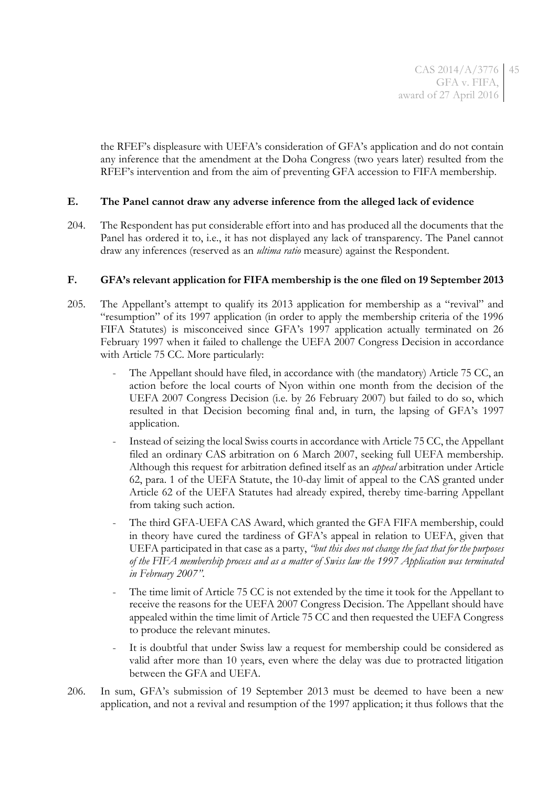the RFEF's displeasure with UEFA's consideration of GFA's application and do not contain any inference that the amendment at the Doha Congress (two years later) resulted from the RFEF's intervention and from the aim of preventing GFA accession to FIFA membership.

## **E. The Panel cannot draw any adverse inference from the alleged lack of evidence**

204. The Respondent has put considerable effort into and has produced all the documents that the Panel has ordered it to, i.e., it has not displayed any lack of transparency. The Panel cannot draw any inferences (reserved as an *ultima ratio* measure) against the Respondent.

## **F. GFA's relevant application for FIFA membership is the one filed on 19 September 2013**

- 205. The Appellant's attempt to qualify its 2013 application for membership as a "revival" and "resumption" of its 1997 application (in order to apply the membership criteria of the 1996 FIFA Statutes) is misconceived since GFA's 1997 application actually terminated on 26 February 1997 when it failed to challenge the UEFA 2007 Congress Decision in accordance with Article 75 CC. More particularly:
	- The Appellant should have filed, in accordance with (the mandatory) Article 75 CC, an action before the local courts of Nyon within one month from the decision of the UEFA 2007 Congress Decision (i.e. by 26 February 2007) but failed to do so, which resulted in that Decision becoming final and, in turn, the lapsing of GFA's 1997 application.
	- Instead of seizing the local Swiss courts in accordance with Article 75 CC, the Appellant filed an ordinary CAS arbitration on 6 March 2007, seeking full UEFA membership. Although this request for arbitration defined itself as an *appeal* arbitration under Article 62, para. 1 of the UEFA Statute, the 10-day limit of appeal to the CAS granted under Article 62 of the UEFA Statutes had already expired, thereby time-barring Appellant from taking such action.
	- The third GFA-UEFA CAS Award, which granted the GFA FIFA membership, could in theory have cured the tardiness of GFA's appeal in relation to UEFA, given that UEFA participated in that case as a party, *"but this does not change the fact that for the purposes of the FIFA membership process and as a matter of Swiss law the 1997 Application was terminated in February 2007"*.
	- The time limit of Article 75 CC is not extended by the time it took for the Appellant to receive the reasons for the UEFA 2007 Congress Decision. The Appellant should have appealed within the time limit of Article 75 CC and then requested the UEFA Congress to produce the relevant minutes.
	- It is doubtful that under Swiss law a request for membership could be considered as valid after more than 10 years, even where the delay was due to protracted litigation between the GFA and UEFA.
- 206. In sum, GFA's submission of 19 September 2013 must be deemed to have been a new application, and not a revival and resumption of the 1997 application; it thus follows that the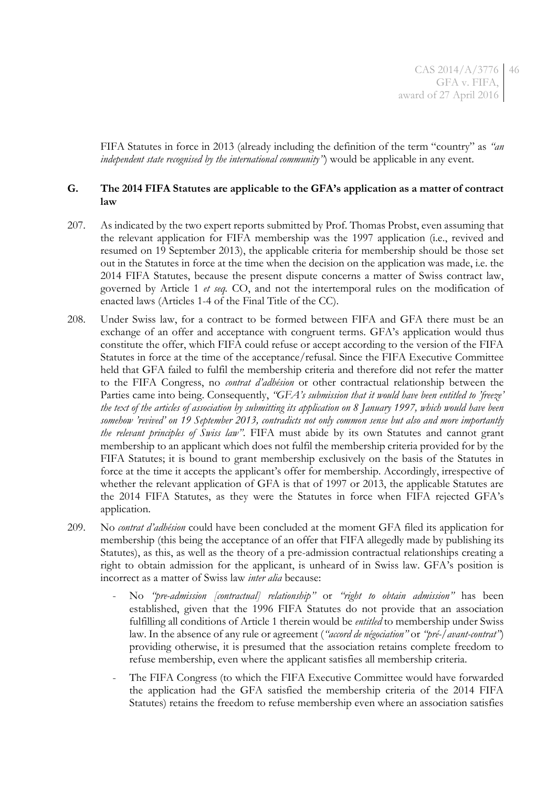FIFA Statutes in force in 2013 (already including the definition of the term "country" as *"an independent state recognised by the international community"*) would be applicable in any event.

## **G. The 2014 FIFA Statutes are applicable to the GFA's application as a matter of contract law**

- 207. As indicated by the two expert reports submitted by Prof. Thomas Probst, even assuming that the relevant application for FIFA membership was the 1997 application (i.e., revived and resumed on 19 September 2013), the applicable criteria for membership should be those set out in the Statutes in force at the time when the decision on the application was made, i.e. the 2014 FIFA Statutes, because the present dispute concerns a matter of Swiss contract law, governed by Article 1 *et seq.* CO, and not the intertemporal rules on the modification of enacted laws (Articles 1-4 of the Final Title of the CC).
- 208. Under Swiss law, for a contract to be formed between FIFA and GFA there must be an exchange of an offer and acceptance with congruent terms. GFA's application would thus constitute the offer, which FIFA could refuse or accept according to the version of the FIFA Statutes in force at the time of the acceptance/refusal. Since the FIFA Executive Committee held that GFA failed to fulfil the membership criteria and therefore did not refer the matter to the FIFA Congress, no *contrat d'adhésion* or other contractual relationship between the Parties came into being. Consequently, *"GFA's submission that it would have been entitled to 'freeze' the text of the articles of association by submitting its application on 8 January 1997, which would have been somehow 'revived' on 19 September 2013, contradicts not only common sense but also and more importantly the relevant principles of Swiss law"*. FIFA must abide by its own Statutes and cannot grant membership to an applicant which does not fulfil the membership criteria provided for by the FIFA Statutes; it is bound to grant membership exclusively on the basis of the Statutes in force at the time it accepts the applicant's offer for membership. Accordingly, irrespective of whether the relevant application of GFA is that of 1997 or 2013, the applicable Statutes are the 2014 FIFA Statutes, as they were the Statutes in force when FIFA rejected GFA's application.
- 209. No *contrat d'adhésion* could have been concluded at the moment GFA filed its application for membership (this being the acceptance of an offer that FIFA allegedly made by publishing its Statutes), as this, as well as the theory of a pre-admission contractual relationships creating a right to obtain admission for the applicant, is unheard of in Swiss law. GFA's position is incorrect as a matter of Swiss law *inter alia* because:
	- No *"pre-admission [contractual] relationship"* or *"right to obtain admission"* has been established, given that the 1996 FIFA Statutes do not provide that an association fulfilling all conditions of Article 1 therein would be *entitled* to membership under Swiss law. In the absence of any rule or agreement (*"accord de négociation"* or *"pré-/avant-contrat"*) providing otherwise, it is presumed that the association retains complete freedom to refuse membership, even where the applicant satisfies all membership criteria.
	- The FIFA Congress (to which the FIFA Executive Committee would have forwarded the application had the GFA satisfied the membership criteria of the 2014 FIFA Statutes) retains the freedom to refuse membership even where an association satisfies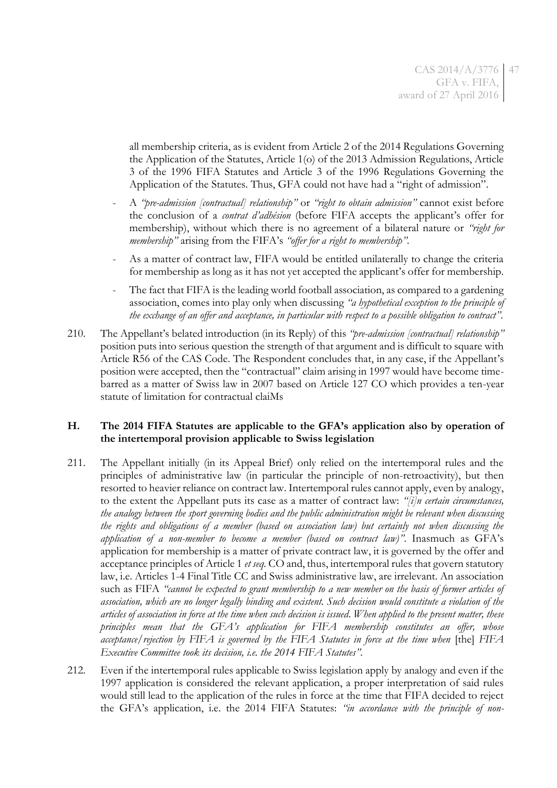all membership criteria, as is evident from Article 2 of the 2014 Regulations Governing the Application of the Statutes, Article 1(o) of the 2013 Admission Regulations, Article 3 of the 1996 FIFA Statutes and Article 3 of the 1996 Regulations Governing the Application of the Statutes. Thus, GFA could not have had a "right of admission".

- A *"pre-admission [contractual] relationship"* or *"right to obtain admission"* cannot exist before the conclusion of a *contrat d'adhésion* (before FIFA accepts the applicant's offer for membership), without which there is no agreement of a bilateral nature or *"right for membership"* arising from the FIFA's *"offer for a right to membership"*.
- As a matter of contract law, FIFA would be entitled unilaterally to change the criteria for membership as long as it has not yet accepted the applicant's offer for membership.
- The fact that FIFA is the leading world football association, as compared to a gardening association, comes into play only when discussing *"a hypothetical exception to the principle of the exchange of an offer and acceptance, in particular with respect to a possible obligation to contract"*.
- 210. The Appellant's belated introduction (in its Reply) of this *"pre-admission [contractual] relationship"* position puts into serious question the strength of that argument and is difficult to square with Article R56 of the CAS Code. The Respondent concludes that, in any case, if the Appellant's position were accepted, then the "contractual" claim arising in 1997 would have become timebarred as a matter of Swiss law in 2007 based on Article 127 CO which provides a ten-year statute of limitation for contractual claiMs

## **H. The 2014 FIFA Statutes are applicable to the GFA's application also by operation of the intertemporal provision applicable to Swiss legislation**

- 211. The Appellant initially (in its Appeal Brief) only relied on the intertemporal rules and the principles of administrative law (in particular the principle of non-retroactivity), but then resorted to heavier reliance on contract law. Intertemporal rules cannot apply, even by analogy, to the extent the Appellant puts its case as a matter of contract law: *"[i]n certain circumstances, the analogy between the sport governing bodies and the public administration might be relevant when discussing the rights and obligations of a member (based on association law) but certainly not when discussing the application of a non-member to become a member (based on contract law)"*. Inasmuch as GFA's application for membership is a matter of private contract law, it is governed by the offer and acceptance principles of Article 1 *et seq.* CO and, thus, intertemporal rules that govern statutory law, i.e. Articles 1-4 Final Title CC and Swiss administrative law, are irrelevant. An association such as FIFA *"cannot be expected to grant membership to a new member on the basis of former articles of association, which are no longer legally binding and existent. Such decision would constitute a violation of the articles of association in force at the time when such decision is issued*. *When applied to the present matter, these principles mean that the GFA's application for FIFA membership constitutes an offer, whose acceptance/rejection by FIFA is governed by the FIFA Statutes in force at the time when* [the] *FIFA Executive Committee took its decision, i.e. the 2014 FIFA Statutes".*
- 212. Even if the intertemporal rules applicable to Swiss legislation apply by analogy and even if the 1997 application is considered the relevant application, a proper interpretation of said rules would still lead to the application of the rules in force at the time that FIFA decided to reject the GFA's application, i.e. the 2014 FIFA Statutes: *"in accordance with the principle of non-*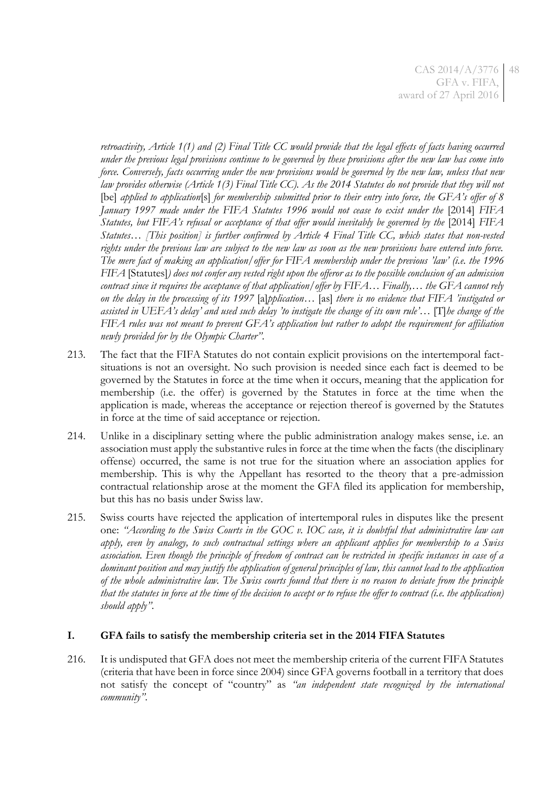*retroactivity, Article 1(1) and (2) Final Title CC would provide that the legal effects of facts having occurred under the previous legal provisions continue to be governed by these provisions after the new law has come into force. Conversely, facts occurring under the new provisions would be governed by the new law, unless that new law provides otherwise (Article 1(3) Final Title CC). As the 2014 Statutes do not provide that they will not* [be] *applied to application*[s] *for membership submitted prior to their entry into force, the GFA's offer of 8 January 1997 made under the FIFA Statutes 1996 would not cease to exist under the* [2014] *FIFA Statutes, but FIFA's refusal or acceptance of that offer would inevitably be governed by the* [2014] *FIFA Statutes*… *[This position] is further confirmed by Article 4 Final Title CC, which states that non-vested rights under the previous law are subject to the new law as soon as the new provisions have entered into force. The mere fact of making an application/offer for FIFA membership under the previous 'law' (i.e. the 1996 FIFA* [Statutes]*) does not confer any vested right upon the offeror as to the possible conclusion of an admission contract since it requires the acceptance of that application/offer by FIFA… Finally,… the GFA cannot rely on the delay in the processing of its 1997* [a]*pplication…* [as] *there is no evidence that FIFA 'instigated or assisted in UEFA's delay' and used such delay 'to instigate the change of its own rule'…* [T]*he change of the FIFA rules was not meant to prevent GFA's application but rather to adopt the requirement for affiliation newly provided for by the Olympic Charter"*.

- 213. The fact that the FIFA Statutes do not contain explicit provisions on the intertemporal factsituations is not an oversight. No such provision is needed since each fact is deemed to be governed by the Statutes in force at the time when it occurs, meaning that the application for membership (i.e. the offer) is governed by the Statutes in force at the time when the application is made, whereas the acceptance or rejection thereof is governed by the Statutes in force at the time of said acceptance or rejection.
- <span id="page-47-0"></span>214. Unlike in a disciplinary setting where the public administration analogy makes sense, i.e. an association must apply the substantive rules in force at the time when the facts (the disciplinary offense) occurred, the same is not true for the situation where an association applies for membership. This is why the Appellant has resorted to the theory that a pre-admission contractual relationship arose at the moment the GFA filed its application for membership, but this has no basis under Swiss law.
- 215. Swiss courts have rejected the application of intertemporal rules in disputes like the present one: *"According to the Swiss Courts in the GOC v. IOC case, it is doubtful that administrative law can apply, even by analogy, to such contractual settings where an applicant applies for membership to a Swiss association. Even though the principle of freedom of contract can be restricted in specific instances in case of a dominant position and may justify the application of general principles of law, this cannot lead to the application of the whole administrative law. The Swiss courts found that there is no reason to deviate from the principle that the statutes in force at the time of the decision to accept or to refuse the offer to contract (i.e. the application) should apply"*.

## **I. GFA fails to satisfy the membership criteria set in the 2014 FIFA Statutes**

216. It is undisputed that GFA does not meet the membership criteria of the current FIFA Statutes (criteria that have been in force since 2004) since GFA governs football in a territory that does not satisfy the concept of "country" as *"an independent state recognized by the international community"*.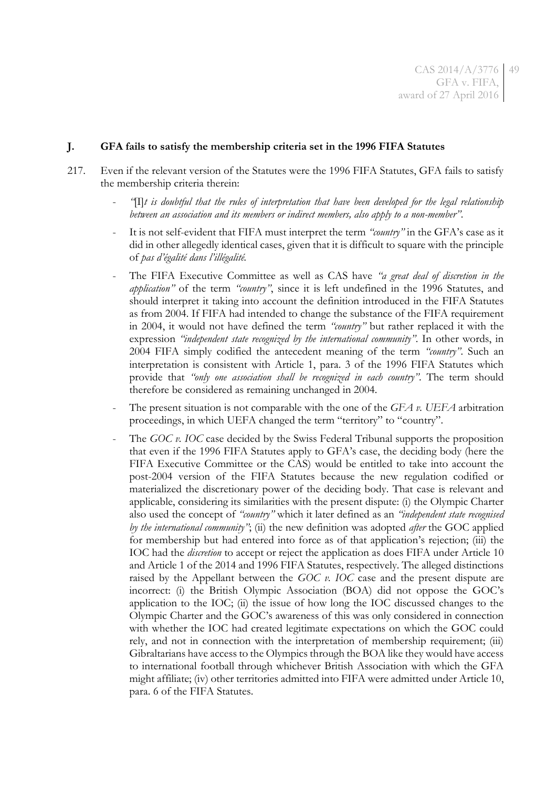### **J. GFA fails to satisfy the membership criteria set in the 1996 FIFA Statutes**

- 217. Even if the relevant version of the Statutes were the 1996 FIFA Statutes, GFA fails to satisfy the membership criteria therein:
	- *"*[I]*t is doubtful that the rules of interpretation that have been developed for the legal relationship between an association and its members or indirect members, also apply to a non-member"*.
	- It is not self-evident that FIFA must interpret the term *"country"* in the GFA's case as it did in other allegedly identical cases, given that it is difficult to square with the principle of *pas d'égalité dans l'illégalité.*
	- The FIFA Executive Committee as well as CAS have *"a great deal of discretion in the application"* of the term *"country"*, since it is left undefined in the 1996 Statutes, and should interpret it taking into account the definition introduced in the FIFA Statutes as from 2004. If FIFA had intended to change the substance of the FIFA requirement in 2004, it would not have defined the term *"country"* but rather replaced it with the expression *"independent state recognized by the international community"*. In other words, in 2004 FIFA simply codified the antecedent meaning of the term *"country"*. Such an interpretation is consistent with Article 1, para. 3 of the 1996 FIFA Statutes which provide that *"only one association shall be recognized in each country"*. The term should therefore be considered as remaining unchanged in 2004.
	- The present situation is not comparable with the one of the *GFA v. UEFA* arbitration proceedings, in which UEFA changed the term "territory" to "country".
	- The *GOC v. IOC* case decided by the Swiss Federal Tribunal supports the proposition that even if the 1996 FIFA Statutes apply to GFA's case, the deciding body (here the FIFA Executive Committee or the CAS) would be entitled to take into account the post-2004 version of the FIFA Statutes because the new regulation codified or materialized the discretionary power of the deciding body. That case is relevant and applicable, considering its similarities with the present dispute: (i) the Olympic Charter also used the concept of *"country"* which it later defined as an *"independent state recognised by the international community"*; (ii) the new definition was adopted *after* the GOC applied for membership but had entered into force as of that application's rejection; (iii) the IOC had the *discretion* to accept or reject the application as does FIFA under Article 10 and Article 1 of the 2014 and 1996 FIFA Statutes, respectively. The alleged distinctions raised by the Appellant between the *GOC v. IOC* case and the present dispute are incorrect: (i) the British Olympic Association (BOA) did not oppose the GOC's application to the IOC; (ii) the issue of how long the IOC discussed changes to the Olympic Charter and the GOC's awareness of this was only considered in connection with whether the IOC had created legitimate expectations on which the GOC could rely, and not in connection with the interpretation of membership requirement; (iii) Gibraltarians have access to the Olympics through the BOA like they would have access to international football through whichever British Association with which the GFA might affiliate; (iv) other territories admitted into FIFA were admitted under Article 10, para. 6 of the FIFA Statutes.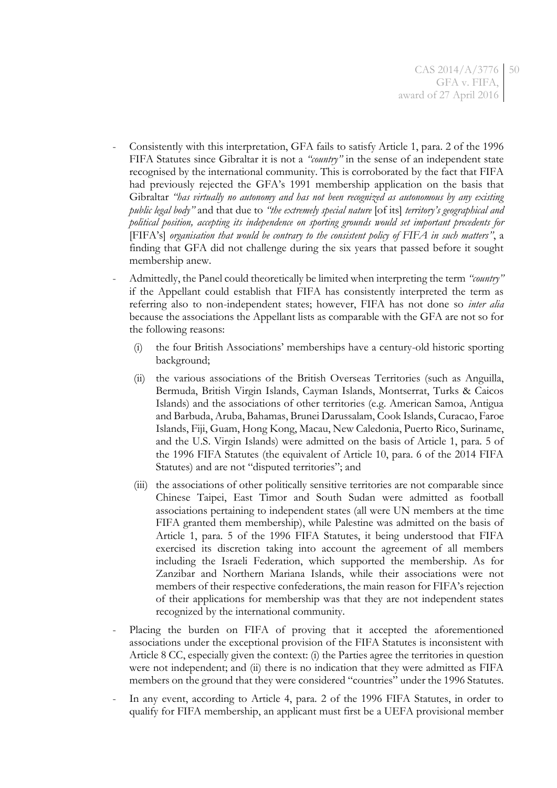- Consistently with this interpretation, GFA fails to satisfy Article 1, para. 2 of the 1996 FIFA Statutes since Gibraltar it is not a *"country"* in the sense of an independent state recognised by the international community. This is corroborated by the fact that FIFA had previously rejected the GFA's 1991 membership application on the basis that Gibraltar *"has virtually no autonomy and has not been recognized as autonomous by any existing public legal body"* and that due to *"the extremely special nature* [of its] *territory's geographical and political position, accepting its independence on sporting grounds would set important precedents for* [FIFA's] *organisation that would be contrary to the consistent policy of FIFA in such matters"*, a finding that GFA did not challenge during the six years that passed before it sought membership anew.
- Admittedly, the Panel could theoretically be limited when interpreting the term *"country"* if the Appellant could establish that FIFA has consistently interpreted the term as referring also to non-independent states; however, FIFA has not done so *inter alia* because the associations the Appellant lists as comparable with the GFA are not so for the following reasons:
	- (i) the four British Associations' memberships have a century-old historic sporting background;
	- (ii) the various associations of the British Overseas Territories (such as Anguilla, Bermuda, British Virgin Islands, Cayman Islands, Montserrat, Turks & Caicos Islands) and the associations of other territories (e.g. American Samoa, Antigua and Barbuda, Aruba, Bahamas, Brunei Darussalam, Cook Islands, Curacao, Faroe Islands, Fiji, Guam, Hong Kong, Macau, New Caledonia, Puerto Rico, Suriname, and the U.S. Virgin Islands) were admitted on the basis of Article 1, para. 5 of the 1996 FIFA Statutes (the equivalent of Article 10, para. 6 of the 2014 FIFA Statutes) and are not "disputed territories"; and
	- (iii) the associations of other politically sensitive territories are not comparable since Chinese Taipei, East Timor and South Sudan were admitted as football associations pertaining to independent states (all were UN members at the time FIFA granted them membership), while Palestine was admitted on the basis of Article 1, para. 5 of the 1996 FIFA Statutes, it being understood that FIFA exercised its discretion taking into account the agreement of all members including the Israeli Federation, which supported the membership. As for Zanzibar and Northern Mariana Islands, while their associations were not members of their respective confederations, the main reason for FIFA's rejection of their applications for membership was that they are not independent states recognized by the international community.
- Placing the burden on FIFA of proving that it accepted the aforementioned associations under the exceptional provision of the FIFA Statutes is inconsistent with Article 8 CC, especially given the context: (i) the Parties agree the territories in question were not independent; and (ii) there is no indication that they were admitted as FIFA members on the ground that they were considered "countries" under the 1996 Statutes.
- In any event, according to Article 4, para. 2 of the 1996 FIFA Statutes, in order to qualify for FIFA membership, an applicant must first be a UEFA provisional member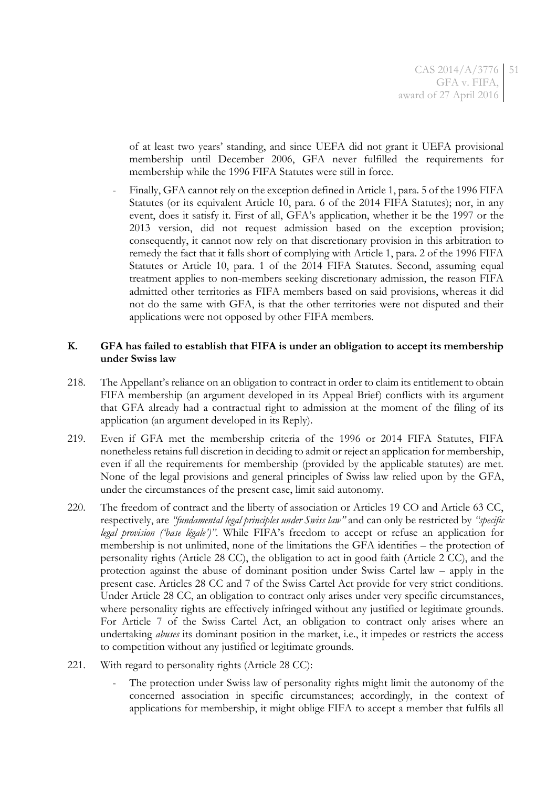of at least two years' standing, and since UEFA did not grant it UEFA provisional membership until December 2006, GFA never fulfilled the requirements for membership while the 1996 FIFA Statutes were still in force.

- Finally, GFA cannot rely on the exception defined in Article 1, para. 5 of the 1996 FIFA Statutes (or its equivalent Article 10, para. 6 of the 2014 FIFA Statutes); nor, in any event, does it satisfy it. First of all, GFA's application, whether it be the 1997 or the 2013 version, did not request admission based on the exception provision; consequently, it cannot now rely on that discretionary provision in this arbitration to remedy the fact that it falls short of complying with Article 1, para. 2 of the 1996 FIFA Statutes or Article 10, para. 1 of the 2014 FIFA Statutes. Second, assuming equal treatment applies to non-members seeking discretionary admission, the reason FIFA admitted other territories as FIFA members based on said provisions, whereas it did not do the same with GFA, is that the other territories were not disputed and their applications were not opposed by other FIFA members.

## **K. GFA has failed to establish that FIFA is under an obligation to accept its membership under Swiss law**

- 218. The Appellant's reliance on an obligation to contract in order to claim its entitlement to obtain FIFA membership (an argument developed in its Appeal Brief) conflicts with its argument that GFA already had a contractual right to admission at the moment of the filing of its application (an argument developed in its Reply).
- 219. Even if GFA met the membership criteria of the 1996 or 2014 FIFA Statutes, FIFA nonetheless retains full discretion in deciding to admit or reject an application for membership, even if all the requirements for membership (provided by the applicable statutes) are met. None of the legal provisions and general principles of Swiss law relied upon by the GFA, under the circumstances of the present case, limit said autonomy.
- 220. The freedom of contract and the liberty of association or Articles 19 CO and Article 63 CC, respectively, are *"fundamental legal principles under Swiss law"* and can only be restricted by *"specific legal provision ('base légale')"*. While FIFA's freedom to accept or refuse an application for membership is not unlimited, none of the limitations the GFA identifies – the protection of personality rights (Article 28 CC), the obligation to act in good faith (Article 2 CC), and the protection against the abuse of dominant position under Swiss Cartel law – apply in the present case. Articles 28 CC and 7 of the Swiss Cartel Act provide for very strict conditions. Under Article 28 CC, an obligation to contract only arises under very specific circumstances, where personality rights are effectively infringed without any justified or legitimate grounds. For Article 7 of the Swiss Cartel Act, an obligation to contract only arises where an undertaking *abuses* its dominant position in the market, i.e., it impedes or restricts the access to competition without any justified or legitimate grounds.
- 221. With regard to personality rights (Article 28 CC):
	- The protection under Swiss law of personality rights might limit the autonomy of the concerned association in specific circumstances; accordingly, in the context of applications for membership, it might oblige FIFA to accept a member that fulfils all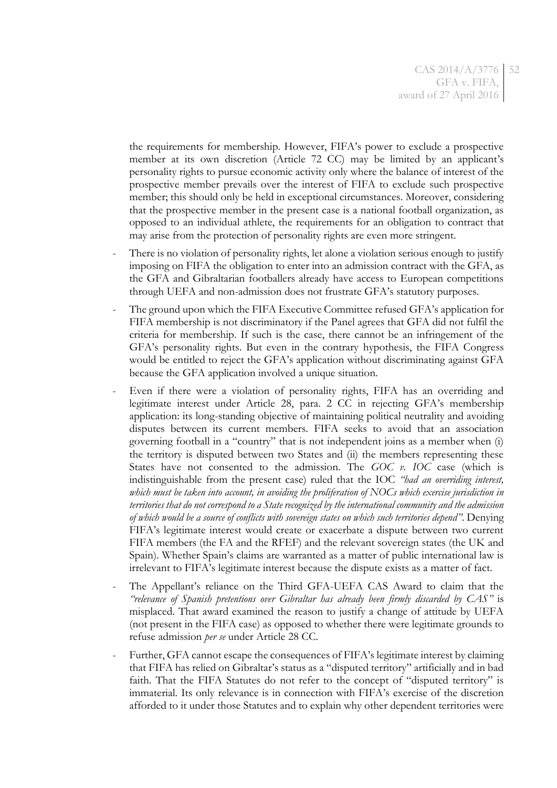the requirements for membership. However, FIFA's power to exclude a prospective member at its own discretion (Article 72 CC) may be limited by an applicant's personality rights to pursue economic activity only where the balance of interest of the prospective member prevails over the interest of FIFA to exclude such prospective member; this should only be held in exceptional circumstances. Moreover, considering that the prospective member in the present case is a national football organization, as opposed to an individual athlete, the requirements for an obligation to contract that may arise from the protection of personality rights are even more stringent.

- There is no violation of personality rights, let alone a violation serious enough to justify imposing on FIFA the obligation to enter into an admission contract with the GFA, as the GFA and Gibraltarian footballers already have access to European competitions through UEFA and non-admission does not frustrate GFA's statutory purposes.
- The ground upon which the FIFA Executive Committee refused GFA's application for FIFA membership is not discriminatory if the Panel agrees that GFA did not fulfil the criteria for membership. If such is the case, there cannot be an infringement of the GFA's personality rights. But even in the contrary hypothesis, the FIFA Congress would be entitled to reject the GFA's application without discriminating against GFA because the GFA application involved a unique situation.
- Even if there were a violation of personality rights, FIFA has an overriding and legitimate interest under Article 28, para. 2 CC in rejecting GFA's membership application: its long-standing objective of maintaining political neutrality and avoiding disputes between its current members. FIFA seeks to avoid that an association governing football in a "country" that is not independent joins as a member when (i) the territory is disputed between two States and (ii) the members representing these States have not consented to the admission. The *GOC v. IOC* case (which is indistinguishable from the present case) ruled that the IOC *"had an overriding interest, which must be taken into account, in avoiding the proliferation of NOCs which exercise jurisdiction in territories that do not correspond to a State recognized by the international community and the admission of which would be a source of conflicts with sovereign states on which such territories depend"*. Denying FIFA's legitimate interest would create or exacerbate a dispute between two current FIFA members (the FA and the RFEF) and the relevant sovereign states (the UK and Spain). Whether Spain's claims are warranted as a matter of public international law is irrelevant to FIFA's legitimate interest because the dispute exists as a matter of fact.
- The Appellant's reliance on the Third GFA-UEFA CAS Award to claim that the *"relevance of Spanish pretentions over Gibraltar has already been firmly discarded by CAS"* is misplaced. That award examined the reason to justify a change of attitude by UEFA (not present in the FIFA case) as opposed to whether there were legitimate grounds to refuse admission *per se* under Article 28 CC.
- Further, GFA cannot escape the consequences of FIFA's legitimate interest by claiming that FIFA has relied on Gibraltar's status as a "disputed territory" artificially and in bad faith. That the FIFA Statutes do not refer to the concept of "disputed territory" is immaterial. Its only relevance is in connection with FIFA's exercise of the discretion afforded to it under those Statutes and to explain why other dependent territories were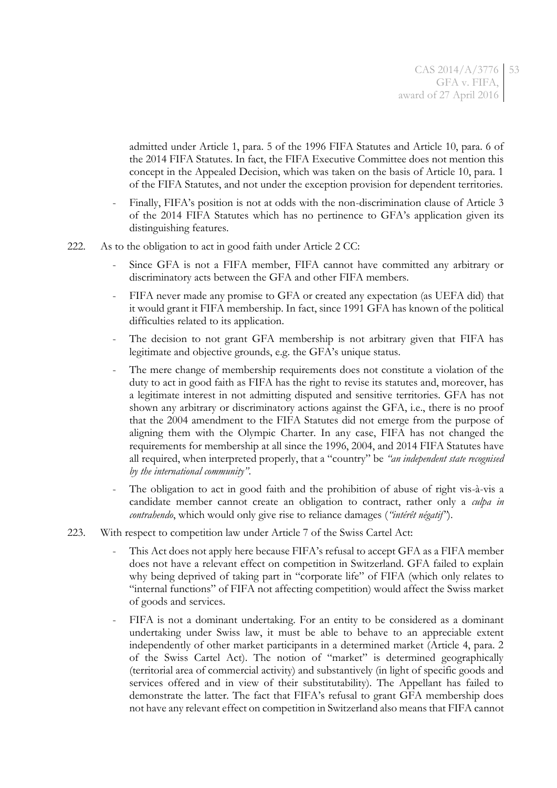admitted under Article 1, para. 5 of the 1996 FIFA Statutes and Article 10, para. 6 of the 2014 FIFA Statutes. In fact, the FIFA Executive Committee does not mention this concept in the Appealed Decision, which was taken on the basis of Article 10, para. 1 of the FIFA Statutes, and not under the exception provision for dependent territories.

- Finally, FIFA's position is not at odds with the non-discrimination clause of Article 3 of the 2014 FIFA Statutes which has no pertinence to GFA's application given its distinguishing features.
- 222. As to the obligation to act in good faith under Article 2 CC:
	- Since GFA is not a FIFA member, FIFA cannot have committed any arbitrary or discriminatory acts between the GFA and other FIFA members.
	- FIFA never made any promise to GFA or created any expectation (as UEFA did) that it would grant it FIFA membership. In fact, since 1991 GFA has known of the political difficulties related to its application.
	- The decision to not grant GFA membership is not arbitrary given that FIFA has legitimate and objective grounds, e.g. the GFA's unique status.
	- The mere change of membership requirements does not constitute a violation of the duty to act in good faith as FIFA has the right to revise its statutes and, moreover, has a legitimate interest in not admitting disputed and sensitive territories. GFA has not shown any arbitrary or discriminatory actions against the GFA, i.e., there is no proof that the 2004 amendment to the FIFA Statutes did not emerge from the purpose of aligning them with the Olympic Charter. In any case, FIFA has not changed the requirements for membership at all since the 1996, 2004, and 2014 FIFA Statutes have all required, when interpreted properly, that a "country" be *"an independent state recognised by the international community"*.
	- The obligation to act in good faith and the prohibition of abuse of right vis-à-vis a candidate member cannot create an obligation to contract, rather only a *culpa in contrahendo*, which would only give rise to reliance damages (*"intérêt négatif"*).
- 223. With respect to competition law under Article 7 of the Swiss Cartel Act:
	- This Act does not apply here because FIFA's refusal to accept GFA as a FIFA member does not have a relevant effect on competition in Switzerland. GFA failed to explain why being deprived of taking part in "corporate life" of FIFA (which only relates to "internal functions" of FIFA not affecting competition) would affect the Swiss market of goods and services.
	- FIFA is not a dominant undertaking. For an entity to be considered as a dominant undertaking under Swiss law, it must be able to behave to an appreciable extent independently of other market participants in a determined market (Article 4, para. 2 of the Swiss Cartel Act). The notion of "market" is determined geographically (territorial area of commercial activity) and substantively (in light of specific goods and services offered and in view of their substitutability). The Appellant has failed to demonstrate the latter. The fact that FIFA's refusal to grant GFA membership does not have any relevant effect on competition in Switzerland also means that FIFA cannot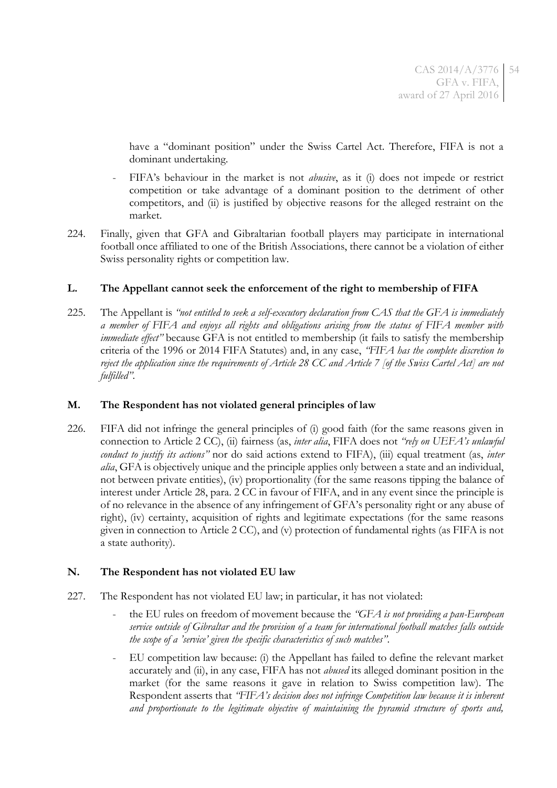have a "dominant position" under the Swiss Cartel Act. Therefore, FIFA is not a dominant undertaking.

- FIFA's behaviour in the market is not *abusive*, as it (i) does not impede or restrict competition or take advantage of a dominant position to the detriment of other competitors, and (ii) is justified by objective reasons for the alleged restraint on the market.
- 224. Finally, given that GFA and Gibraltarian football players may participate in international football once affiliated to one of the British Associations, there cannot be a violation of either Swiss personality rights or competition law.

## **L. The Appellant cannot seek the enforcement of the right to membership of FIFA**

225. The Appellant is *"not entitled to seek a self-executory declaration from CAS that the GFA is immediately a member of FIFA and enjoys all rights and obligations arising from the status of FIFA member with immediate effect*<sup>"</sup> because GFA is not entitled to membership (it fails to satisfy the membership criteria of the 1996 or 2014 FIFA Statutes) and, in any case, *"FIFA has the complete discretion to reject the application since the requirements of Article 28 CC and Article 7 [of the Swiss Cartel Act] are not fulfilled"*.

## **M. The Respondent has not violated general principles of law**

226. FIFA did not infringe the general principles of (i) good faith (for the same reasons given in connection to Article 2 CC), (ii) fairness (as, *inter alia*, FIFA does not *"rely on UEFA's unlawful conduct to justify its actions"* nor do said actions extend to FIFA), (iii) equal treatment (as, *inter alia*, GFA is objectively unique and the principle applies only between a state and an individual, not between private entities), (iv) proportionality (for the same reasons tipping the balance of interest under Article 28, para. 2 CC in favour of FIFA, and in any event since the principle is of no relevance in the absence of any infringement of GFA's personality right or any abuse of right), (iv) certainty, acquisition of rights and legitimate expectations (for the same reasons given in connection to Article 2 CC), and (v) protection of fundamental rights (as FIFA is not a state authority).

# **N. The Respondent has not violated EU law**

- 227. The Respondent has not violated EU law; in particular, it has not violated:
	- the EU rules on freedom of movement because the *"GFA is not providing a pan-European service outside of Gibraltar and the provision of a team for international football matches falls outside the scope of a 'service' given the specific characteristics of such matches"*.
	- EU competition law because: (i) the Appellant has failed to define the relevant market accurately and (ii), in any case, FIFA has not *abused* its alleged dominant position in the market (for the same reasons it gave in relation to Swiss competition law). The Respondent asserts that *"FIFA's decision does not infringe Competition law because it is inherent and proportionate to the legitimate objective of maintaining the pyramid structure of sports and,*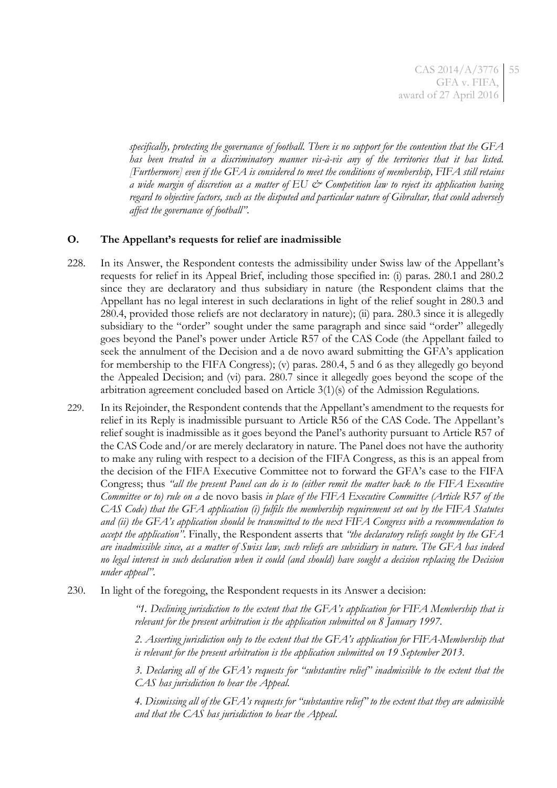CAS 2014/A/3776 55 GFA v. FIFA, award of 27 April 2016

*specifically, protecting the governance of football. There is no support for the contention that the GFA has been treated in a discriminatory manner vis-à-vis any of the territories that it has listed. [Furthermore] even if the GFA is considered to meet the conditions of membership, FIFA still retains a wide margin of discretion as a matter of EU & Competition law to reject its application having regard to objective factors, such as the disputed and particular nature of Gibraltar, that could adversely affect the governance of football"*.

## **O. The Appellant's requests for relief are inadmissible**

- 228. In its Answer, the Respondent contests the admissibility under Swiss law of the Appellant's requests for relief in its Appeal Brief, including those specified in: (i) paras. 280.1 and 280.2 since they are declaratory and thus subsidiary in nature (the Respondent claims that the Appellant has no legal interest in such declarations in light of the relief sought in 280.3 and 280.4, provided those reliefs are not declaratory in nature); (ii) para. 280.3 since it is allegedly subsidiary to the "order" sought under the same paragraph and since said "order" allegedly goes beyond the Panel's power under Article R57 of the CAS Code (the Appellant failed to seek the annulment of the Decision and a de novo award submitting the GFA's application for membership to the FIFA Congress); (v) paras. 280.4, 5 and 6 as they allegedly go beyond the Appealed Decision; and (vi) para. 280.7 since it allegedly goes beyond the scope of the arbitration agreement concluded based on Article 3(1)(s) of the Admission Regulations.
- 229. In its Rejoinder, the Respondent contends that the Appellant's amendment to the requests for relief in its Reply is inadmissible pursuant to Article R56 of the CAS Code. The Appellant's relief sought is inadmissible as it goes beyond the Panel's authority pursuant to Article R57 of the CAS Code and/or are merely declaratory in nature. The Panel does not have the authority to make any ruling with respect to a decision of the FIFA Congress, as this is an appeal from the decision of the FIFA Executive Committee not to forward the GFA's case to the FIFA Congress; thus *"all the present Panel can do is to (either remit the matter back to the FIFA Executive Committee or to) rule on a* de novo basis *in place of the FIFA Executive Committee (Article R57 of the CAS Code) that the GFA application (i) fulfils the membership requirement set out by the FIFA Statutes and (ii) the GFA's application should be transmitted to the next FIFA Congress with a recommendation to accept the application"*. Finally, the Respondent asserts that *"the declaratory reliefs sought by the GFA are inadmissible since, as a matter of Swiss law, such reliefs are subsidiary in nature. The GFA has indeed no legal interest in such declaration when it could (and should) have sought a decision replacing the Decision under appeal"*.
- 230. In light of the foregoing, the Respondent requests in its Answer a decision:

*"1. Declining jurisdiction to the extent that the GFA's application for FIFA Membership that is relevant for the present arbitration is the application submitted on 8 January 1997.*

*2. Asserting jurisdiction only to the extent that the GFA's application for FIFA-Membership that is relevant for the present arbitration is the application submitted on 19 September 2013.*

*3. Declaring all of the GFA's requests for "substantive relief" inadmissible to the extent that the CAS has jurisdiction to hear the Appeal.*

*4. Dismissing all of the GFA's requests for "substantive relief" to the extent that they are admissible and that the CAS has jurisdiction to hear the Appeal.*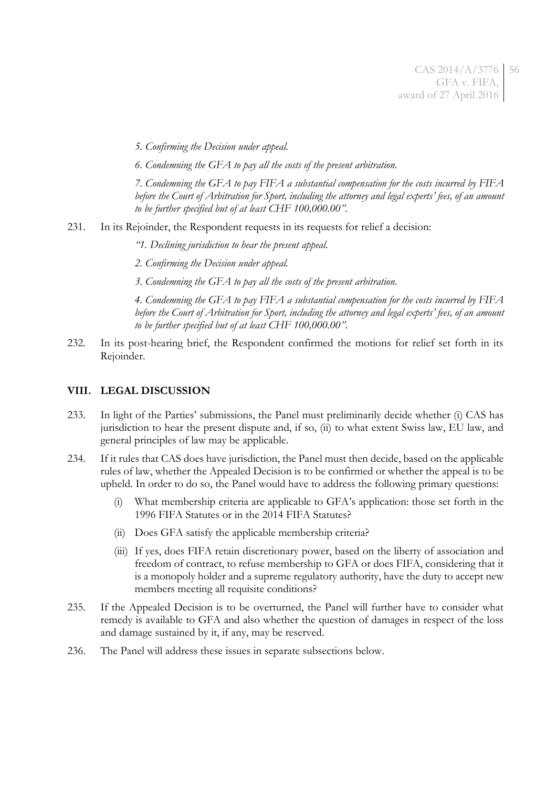*5. Confirming the Decision under appeal.*

*6. Condemning the GFA to pay all the costs of the present arbitration.*

*7. Condemning the GFA to pay FIFA a substantial compensation for the costs incurred by FIFA before the Court of Arbitration for Sport, including the attorney and legal experts' fees, of an amount to be further specified but of at least CHF 100,000.00".*

231. In its Rejoinder, the Respondent requests in its requests for relief a decision:

*"1. Declining jurisdiction to hear the present appeal.*

*2. Confirming the Decision under appeal.*

*3. Condemning the GFA to pay all the costs of the present arbitration.*

*4. Condemning the GFA to pay FIFA a substantial compensation for the costs incurred by FIFA before the Court of Arbitration for Sport, including the attorney and legal experts' fees, of an amount to be further specified but of at least CHF 100,000.00"*.

232. In its post-hearing brief, the Respondent confirmed the motions for relief set forth in its Rejoinder.

## **VIII. LEGAL DISCUSSION**

- 233. In light of the Parties' submissions, the Panel must preliminarily decide whether (i) CAS has jurisdiction to hear the present dispute and, if so, (ii) to what extent Swiss law, EU law, and general principles of law may be applicable.
- 234. If it rules that CAS does have jurisdiction, the Panel must then decide, based on the applicable rules of law, whether the Appealed Decision is to be confirmed or whether the appeal is to be upheld. In order to do so, the Panel would have to address the following primary questions:
	- (i) What membership criteria are applicable to GFA's application: those set forth in the 1996 FIFA Statutes or in the 2014 FIFA Statutes?
	- (ii) Does GFA satisfy the applicable membership criteria?
	- (iii) If yes, does FIFA retain discretionary power, based on the liberty of association and freedom of contract, to refuse membership to GFA or does FIFA, considering that it is a monopoly holder and a supreme regulatory authority, have the duty to accept new members meeting all requisite conditions?
- 235. If the Appealed Decision is to be overturned, the Panel will further have to consider what remedy is available to GFA and also whether the question of damages in respect of the loss and damage sustained by it, if any, may be reserved.
- 236. The Panel will address these issues in separate subsections below.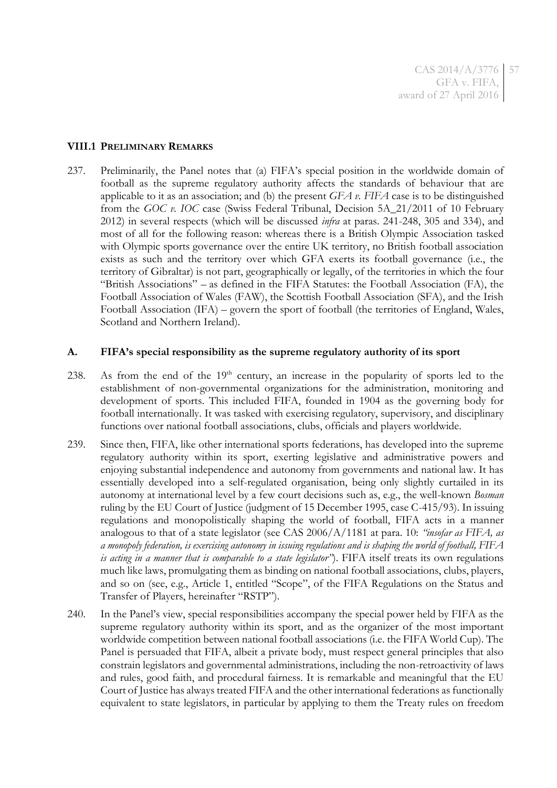CAS 2014/A/3776 GFA v. FIFA, award of 27 April 2016 57

#### **VIII.1 PRELIMINARY REMARKS**

237. Preliminarily, the Panel notes that (a) FIFA's special position in the worldwide domain of football as the supreme regulatory authority affects the standards of behaviour that are applicable to it as an association; and (b) the present *GFA v. FIFA* case is to be distinguished from the *GOC v. IOC* case (Swiss Federal Tribunal, Decision 5A\_21/2011 of 10 February 2012) in several respects (which will be discussed *infra* at paras. [241-](#page-57-0)[248,](#page-58-0) [305](#page-78-0) and [334\)](#page-84-0), and most of all for the following reason: whereas there is a British Olympic Association tasked with Olympic sports governance over the entire UK territory, no British football association exists as such and the territory over which GFA exerts its football governance (i.e., the territory of Gibraltar) is not part, geographically or legally, of the territories in which the four "British Associations" – as defined in the FIFA Statutes: the Football Association (FA), the Football Association of Wales (FAW), the Scottish Football Association (SFA), and the Irish Football Association (IFA) – govern the sport of football (the territories of England, Wales, Scotland and Northern Ireland).

#### **A. FIFA's special responsibility as the supreme regulatory authority of its sport**

- 238. As from the end of the 19<sup>th</sup> century, an increase in the popularity of sports led to the establishment of non-governmental organizations for the administration, monitoring and development of sports. This included FIFA, founded in 1904 as the governing body for football internationally. It was tasked with exercising regulatory, supervisory, and disciplinary functions over national football associations, clubs, officials and players worldwide.
- 239. Since then, FIFA, like other international sports federations, has developed into the supreme regulatory authority within its sport, exerting legislative and administrative powers and enjoying substantial independence and autonomy from governments and national law. It has essentially developed into a self-regulated organisation, being only slightly curtailed in its autonomy at international level by a few court decisions such as, e.g., the well-known *Bosman*  ruling by the EU Court of Justice (judgment of 15 December 1995, case C-415/93). In issuing regulations and monopolistically shaping the world of football, FIFA acts in a manner analogous to that of a state legislator (see CAS 2006/A/1181 at para. 10: *"insofar as FIFA, as a monopoly federation, is exercising autonomy in issuing regulations and is shaping the world of football, FIFA is acting in a manner that is comparable to a state legislator"*). FIFA itself treats its own regulations much like laws, promulgating them as binding on national football associations, clubs, players, and so on (see, e.g., Article 1, entitled "Scope", of the FIFA Regulations on the Status and Transfer of Players, hereinafter "RSTP").
- 240. In the Panel's view, special responsibilities accompany the special power held by FIFA as the supreme regulatory authority within its sport, and as the organizer of the most important worldwide competition between national football associations (i.e. the FIFA World Cup). The Panel is persuaded that FIFA, albeit a private body, must respect general principles that also constrain legislators and governmental administrations, including the non-retroactivity of laws and rules, good faith, and procedural fairness. It is remarkable and meaningful that the EU Court of Justice has always treated FIFA and the other international federations as functionally equivalent to state legislators, in particular by applying to them the Treaty rules on freedom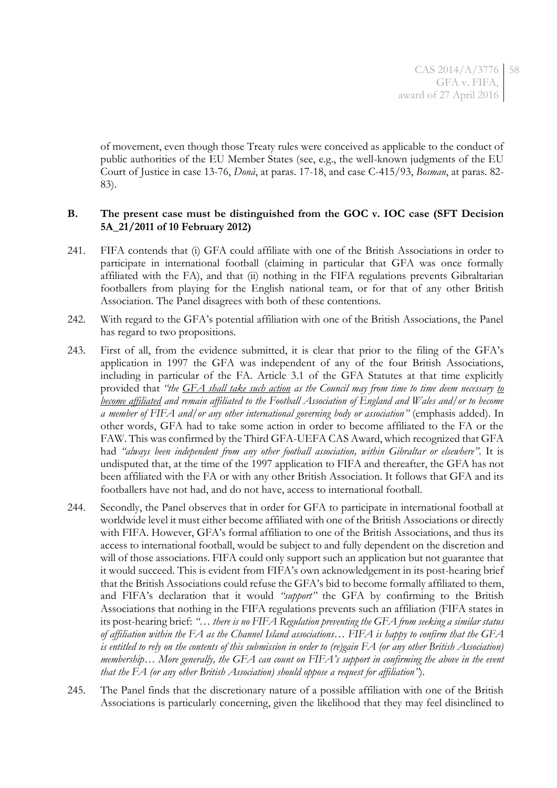of movement, even though those Treaty rules were conceived as applicable to the conduct of public authorities of the EU Member States (see, e.g., the well-known judgments of the EU Court of Justice in case 13-76, *Donà*, at paras. 17-18, and case C-415/93, *Bosman*, at paras. 82- 83).

## **B. The present case must be distinguished from the GOC v. IOC case (SFT Decision 5A\_21/2011 of 10 February 2012)**

- <span id="page-57-0"></span>241. FIFA contends that (i) GFA could affiliate with one of the British Associations in order to participate in international football (claiming in particular that GFA was once formally affiliated with the FA), and that (ii) nothing in the FIFA regulations prevents Gibraltarian footballers from playing for the English national team, or for that of any other British Association. The Panel disagrees with both of these contentions.
- 242. With regard to the GFA's potential affiliation with one of the British Associations, the Panel has regard to two propositions.
- 243. First of all, from the evidence submitted, it is clear that prior to the filing of the GFA's application in 1997 the GFA was independent of any of the four British Associations, including in particular of the FA. Article 3.1 of the GFA Statutes at that time explicitly provided that *"the GFA shall take such action as the Council may from time to time deem necessary to become affiliated and remain affiliated to the Football Association of England and Wales and/or to become a member of FIFA and/or any other international governing body or association"* (emphasis added). In other words, GFA had to take some action in order to become affiliated to the FA or the FAW. This was confirmed by the Third GFA-UEFA CAS Award, which recognized that GFA had *"always been independent from any other football association, within Gibraltar or elsewhere"*. It is undisputed that, at the time of the 1997 application to FIFA and thereafter, the GFA has not been affiliated with the FA or with any other British Association. It follows that GFA and its footballers have not had, and do not have, access to international football.
- 244. Secondly, the Panel observes that in order for GFA to participate in international football at worldwide level it must either become affiliated with one of the British Associations or directly with FIFA. However, GFA's formal affiliation to one of the British Associations, and thus its access to international football, would be subject to and fully dependent on the discretion and will of those associations. FIFA could only support such an application but not guarantee that it would succeed. This is evident from FIFA's own acknowledgement in its post-hearing brief that the British Associations could refuse the GFA's bid to become formally affiliated to them, and FIFA's declaration that it would *"support"* the GFA by confirming to the British Associations that nothing in the FIFA regulations prevents such an affiliation (FIFA states in its post-hearing brief: *"*… *there is no FIFA Regulation preventing the GFA from seeking a similar status of affiliation within the FA as the Channel Island associations… FIFA is happy to confirm that the GFA is entitled to rely on the contents of this submission in order to (re)gain FA (or any other British Association) membership… More generally, the GFA can count on FIFA's support in confirming the above in the event that the FA (or any other British Association) should oppose a request for affiliation"*).
- 245. The Panel finds that the discretionary nature of a possible affiliation with one of the British Associations is particularly concerning, given the likelihood that they may feel disinclined to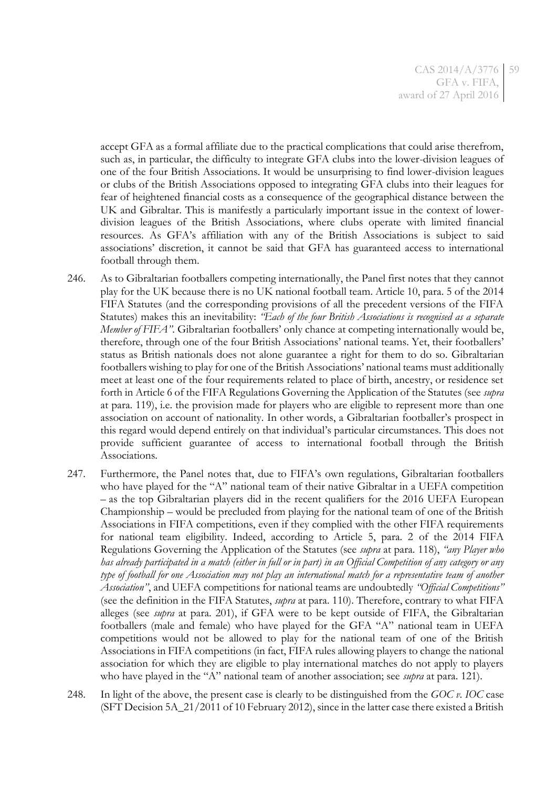accept GFA as a formal affiliate due to the practical complications that could arise therefrom, such as, in particular, the difficulty to integrate GFA clubs into the lower-division leagues of one of the four British Associations. It would be unsurprising to find lower-division leagues or clubs of the British Associations opposed to integrating GFA clubs into their leagues for fear of heightened financial costs as a consequence of the geographical distance between the UK and Gibraltar. This is manifestly a particularly important issue in the context of lowerdivision leagues of the British Associations, where clubs operate with limited financial resources. As GFA's affiliation with any of the British Associations is subject to said associations' discretion, it cannot be said that GFA has guaranteed access to international football through them.

- 246. As to Gibraltarian footballers competing internationally, the Panel first notes that they cannot play for the UK because there is no UK national football team. Article 10, para. 5 of the 2014 FIFA Statutes (and the corresponding provisions of all the precedent versions of the FIFA Statutes) makes this an inevitability: *"Each of the four British Associations is recognised as a separate Member of FIFA"*. Gibraltarian footballers' only chance at competing internationally would be, therefore, through one of the four British Associations' national teams. Yet, their footballers' status as British nationals does not alone guarantee a right for them to do so. Gibraltarian footballers wishing to play for one of the British Associations' national teams must additionally meet at least one of the four requirements related to place of birth, ancestry, or residence set forth in Article 6 of the FIFA Regulations Governing the Application of the Statutes (see *supra*  at para. [119\)](#page-23-0), i.e. the provision made for players who are eligible to represent more than one association on account of nationality. In other words, a Gibraltarian footballer's prospect in this regard would depend entirely on that individual's particular circumstances. This does not provide sufficient guarantee of access to international football through the British Associations.
- 247. Furthermore, the Panel notes that, due to FIFA's own regulations, Gibraltarian footballers who have played for the "A" national team of their native Gibraltar in a UEFA competition – as the top Gibraltarian players did in the recent qualifiers for the 2016 UEFA European Championship – would be precluded from playing for the national team of one of the British Associations in FIFA competitions, even if they complied with the other FIFA requirements for national team eligibility. Indeed, according to Article 5, para. 2 of the 2014 FIFA Regulations Governing the Application of the Statutes (see *supra* at para. [118\)](#page-23-1), *"any Player who has already participated in a match (either in full or in part) in an Official Competition of any category or any type of football for one Association may not play an international match for a representative team of another Association"*, and UEFA competitions for national teams are undoubtedly *"Official Competitions"* (see the definition in the FIFA Statutes, *supra* at para. [110\)](#page-21-0). Therefore, contrary to what FIFA alleges (see *supra* at para. [201\)](#page-43-0), if GFA were to be kept outside of FIFA, the Gibraltarian footballers (male and female) who have played for the GFA "A" national team in UEFA competitions would not be allowed to play for the national team of one of the British Associations in FIFA competitions (in fact, FIFA rules allowing players to change the national association for which they are eligible to play international matches do not apply to players who have played in the "A" national team of another association; see *supra* at para. [121\)](#page-23-2).
- <span id="page-58-0"></span>248. In light of the above, the present case is clearly to be distinguished from the *GOC v. IOC* case (SFT Decision 5A\_21/2011 of 10 February 2012), since in the latter case there existed a British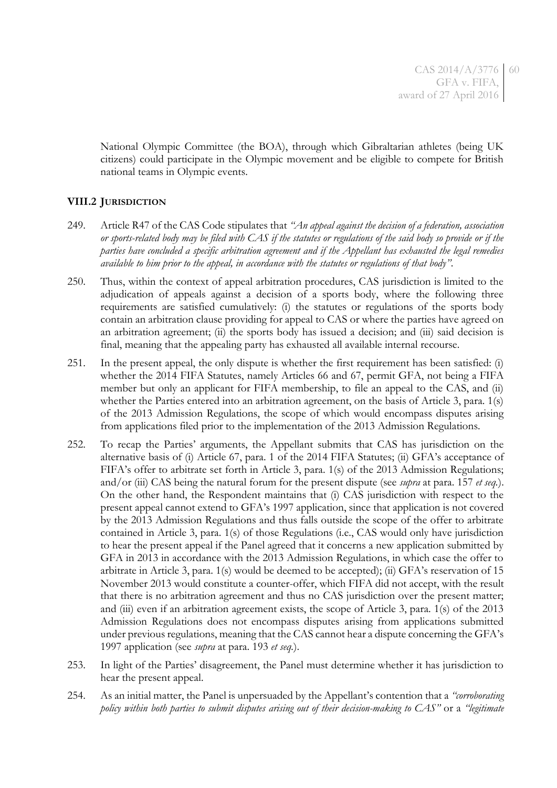National Olympic Committee (the BOA), through which Gibraltarian athletes (being UK citizens) could participate in the Olympic movement and be eligible to compete for British national teams in Olympic events.

## **VIII.2 JURISDICTION**

- 249. Article R47 of the CAS Code stipulates that *"An appeal against the decision of a federation, association or sports-related body may be filed with CAS if the statutes or regulations of the said body so provide or if the parties have concluded a specific arbitration agreement and if the Appellant has exhausted the legal remedies available to him prior to the appeal, in accordance with the statutes or regulations of that body"*.
- 250. Thus, within the context of appeal arbitration procedures, CAS jurisdiction is limited to the adjudication of appeals against a decision of a sports body, where the following three requirements are satisfied cumulatively: (i) the statutes or regulations of the sports body contain an arbitration clause providing for appeal to CAS or where the parties have agreed on an arbitration agreement; (ii) the sports body has issued a decision; and (iii) said decision is final, meaning that the appealing party has exhausted all available internal recourse.
- 251. In the present appeal, the only dispute is whether the first requirement has been satisfied: (i) whether the 2014 FIFA Statutes, namely Articles 66 and 67, permit GFA, not being a FIFA member but only an applicant for FIFA membership, to file an appeal to the CAS, and (ii) whether the Parties entered into an arbitration agreement, on the basis of Article 3, para. 1(s) of the 2013 Admission Regulations, the scope of which would encompass disputes arising from applications filed prior to the implementation of the 2013 Admission Regulations.
- 252. To recap the Parties' arguments, the Appellant submits that CAS has jurisdiction on the alternative basis of (i) Article 67, para. 1 of the 2014 FIFA Statutes; (ii) GFA's acceptance of FIFA's offer to arbitrate set forth in Article 3, para. 1(s) of the 2013 Admission Regulations; and/or (iii) CAS being the natural forum for the present dispute (see *supra* at para. [157](#page-27-0) *et seq.*). On the other hand, the Respondent maintains that (i) CAS jurisdiction with respect to the present appeal cannot extend to GFA's 1997 application, since that application is not covered by the 2013 Admission Regulations and thus falls outside the scope of the offer to arbitrate contained in Article 3, para. 1(s) of those Regulations (i.e., CAS would only have jurisdiction to hear the present appeal if the Panel agreed that it concerns a new application submitted by GFA in 2013 in accordance with the 2013 Admission Regulations, in which case the offer to arbitrate in Article 3, para. 1(s) would be deemed to be accepted); (ii) GFA's reservation of 15 November 2013 would constitute a counter-offer, which FIFA did not accept, with the result that there is no arbitration agreement and thus no CAS jurisdiction over the present matter; and (iii) even if an arbitration agreement exists, the scope of Article 3, para. 1(s) of the 2013 Admission Regulations does not encompass disputes arising from applications submitted under previous regulations, meaning that the CAS cannot hear a dispute concerning the GFA's 1997 application (see *supra* at para. [193](#page-41-0) *et seq.*).
- 253. In light of the Parties' disagreement, the Panel must determine whether it has jurisdiction to hear the present appeal.
- 254. As an initial matter, the Panel is unpersuaded by the Appellant's contention that a *"corroborating policy within both parties to submit disputes arising out of their decision-making to CAS"* or a *"legitimate*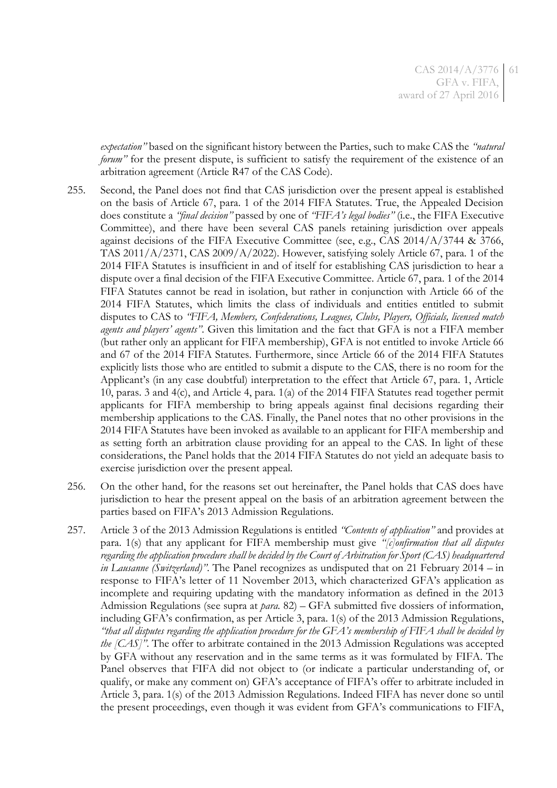*expectation"* based on the significant history between the Parties, such to make CAS the *"natural forum*<sup>"</sup> for the present dispute, is sufficient to satisfy the requirement of the existence of an arbitration agreement (Article R47 of the CAS Code).

- 255. Second, the Panel does not find that CAS jurisdiction over the present appeal is established on the basis of Article 67, para. 1 of the 2014 FIFA Statutes. True, the Appealed Decision does constitute a *"final decision"* passed by one of *"FIFA's legal bodies"* (i.e., the FIFA Executive Committee), and there have been several CAS panels retaining jurisdiction over appeals against decisions of the FIFA Executive Committee (see, e.g., CAS 2014/A/3744 & 3766, TAS 2011/A/2371, CAS 2009/A/2022). However, satisfying solely Article 67, para. 1 of the 2014 FIFA Statutes is insufficient in and of itself for establishing CAS jurisdiction to hear a dispute over a final decision of the FIFA Executive Committee. Article 67, para. 1 of the 2014 FIFA Statutes cannot be read in isolation, but rather in conjunction with Article 66 of the 2014 FIFA Statutes, which limits the class of individuals and entities entitled to submit disputes to CAS to *"FIFA, Members, Confederations, Leagues, Clubs, Players, Officials, licensed match agents and players' agents"*. Given this limitation and the fact that GFA is not a FIFA member (but rather only an applicant for FIFA membership), GFA is not entitled to invoke Article 66 and 67 of the 2014 FIFA Statutes. Furthermore, since Article 66 of the 2014 FIFA Statutes explicitly lists those who are entitled to submit a dispute to the CAS, there is no room for the Applicant's (in any case doubtful) interpretation to the effect that Article 67, para. 1, Article 10, paras. 3 and 4(c), and Article 4, para. 1(a) of the 2014 FIFA Statutes read together permit applicants for FIFA membership to bring appeals against final decisions regarding their membership applications to the CAS. Finally, the Panel notes that no other provisions in the 2014 FIFA Statutes have been invoked as available to an applicant for FIFA membership and as setting forth an arbitration clause providing for an appeal to the CAS. In light of these considerations, the Panel holds that the 2014 FIFA Statutes do not yield an adequate basis to exercise jurisdiction over the present appeal.
- 256. On the other hand, for the reasons set out hereinafter, the Panel holds that CAS does have jurisdiction to hear the present appeal on the basis of an arbitration agreement between the parties based on FIFA's 2013 Admission Regulations.
- 257. Article 3 of the 2013 Admission Regulations is entitled *"Contents of application"* and provides at para. 1(s) that any applicant for FIFA membership must give *"[c]onfirmation that all disputes regarding the application procedure shall be decided by the Court of Arbitration for Sport (CAS) headquartered in Lausanne (Switzerland)"*. The Panel recognizes as undisputed that on 21 February 2014 – in response to FIFA's letter of 11 November 2013, which characterized GFA's application as incomplete and requiring updating with the mandatory information as defined in the 2013 Admission Regulations (see supra at *para.* [82\)](#page-14-0) – GFA submitted five dossiers of information, including GFA's confirmation, as per Article 3, para. 1(s) of the 2013 Admission Regulations, *"that all disputes regarding the application procedure for the GFA's membership of FIFA shall be decided by the [CAS]"*. The offer to arbitrate contained in the 2013 Admission Regulations was accepted by GFA without any reservation and in the same terms as it was formulated by FIFA. The Panel observes that FIFA did not object to (or indicate a particular understanding of, or qualify, or make any comment on) GFA's acceptance of FIFA's offer to arbitrate included in Article 3, para. 1(s) of the 2013 Admission Regulations. Indeed FIFA has never done so until the present proceedings, even though it was evident from GFA's communications to FIFA,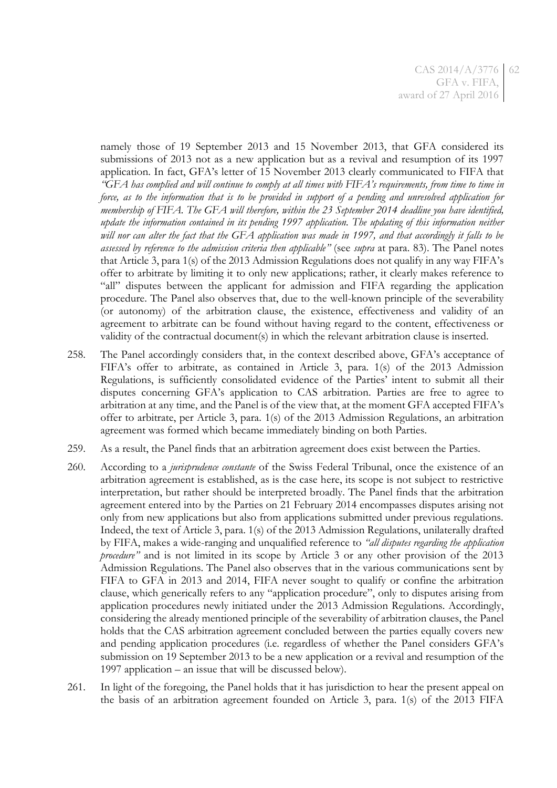namely those of 19 September 2013 and 15 November 2013, that GFA considered its submissions of 2013 not as a new application but as a revival and resumption of its 1997 application. In fact, GFA's letter of 15 November 2013 clearly communicated to FIFA that *"GFA has complied and will continue to comply at all times with FIFA's requirements, from time to time in force, as to the information that is to be provided in support of a pending and unresolved application for membership of FIFA. The GFA will therefore, within the 23 September 2014 deadline you have identified, update the information contained in its pending 1997 application. The updating of this information neither*  will nor can alter the fact that the GFA application was made in 1997, and that accordingly it falls to be *assessed by reference to the admission criteria then applicable"* (see *supra* at para. [83\)](#page-14-1). The Panel notes that Article 3, para 1(s) of the 2013 Admission Regulations does not qualify in any way FIFA's offer to arbitrate by limiting it to only new applications; rather, it clearly makes reference to "all" disputes between the applicant for admission and FIFA regarding the application procedure. The Panel also observes that, due to the well-known principle of the severability (or autonomy) of the arbitration clause, the existence, effectiveness and validity of an agreement to arbitrate can be found without having regard to the content, effectiveness or validity of the contractual document(s) in which the relevant arbitration clause is inserted.

- 258. The Panel accordingly considers that, in the context described above, GFA's acceptance of FIFA's offer to arbitrate, as contained in Article 3, para. 1(s) of the 2013 Admission Regulations, is sufficiently consolidated evidence of the Parties' intent to submit all their disputes concerning GFA's application to CAS arbitration. Parties are free to agree to arbitration at any time, and the Panel is of the view that, at the moment GFA accepted FIFA's offer to arbitrate, per Article 3, para. 1(s) of the 2013 Admission Regulations, an arbitration agreement was formed which became immediately binding on both Parties.
- 259. As a result, the Panel finds that an arbitration agreement does exist between the Parties.
- 260. According to a *jurisprudence constante* of the Swiss Federal Tribunal, once the existence of an arbitration agreement is established, as is the case here, its scope is not subject to restrictive interpretation, but rather should be interpreted broadly. The Panel finds that the arbitration agreement entered into by the Parties on 21 February 2014 encompasses disputes arising not only from new applications but also from applications submitted under previous regulations. Indeed, the text of Article 3, para. 1(s) of the 2013 Admission Regulations, unilaterally drafted by FIFA, makes a wide-ranging and unqualified reference to *"all disputes regarding the application procedure*<sup>"</sup> and is not limited in its scope by Article 3 or any other provision of the 2013 Admission Regulations. The Panel also observes that in the various communications sent by FIFA to GFA in 2013 and 2014, FIFA never sought to qualify or confine the arbitration clause, which generically refers to any "application procedure", only to disputes arising from application procedures newly initiated under the 2013 Admission Regulations. Accordingly, considering the already mentioned principle of the severability of arbitration clauses, the Panel holds that the CAS arbitration agreement concluded between the parties equally covers new and pending application procedures (i.e. regardless of whether the Panel considers GFA's submission on 19 September 2013 to be a new application or a revival and resumption of the 1997 application – an issue that will be discussed below).
- 261. In light of the foregoing, the Panel holds that it has jurisdiction to hear the present appeal on the basis of an arbitration agreement founded on Article 3, para. 1(s) of the 2013 FIFA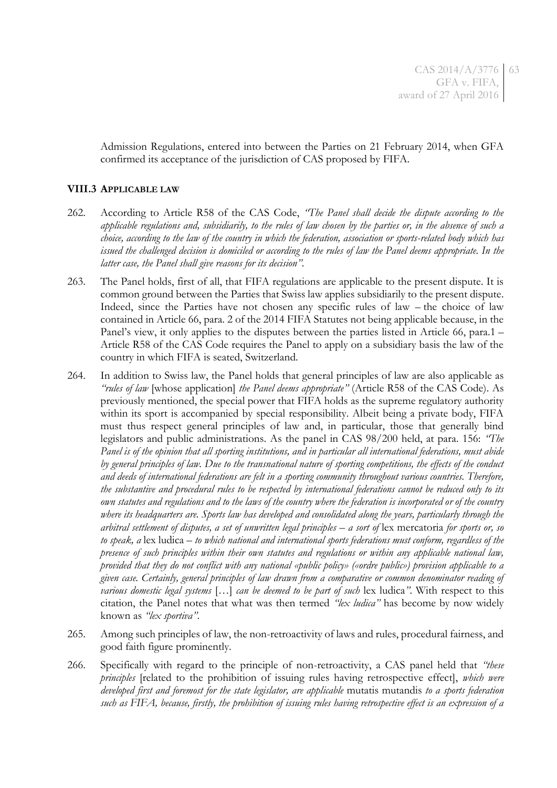Admission Regulations, entered into between the Parties on 21 February 2014, when GFA confirmed its acceptance of the jurisdiction of CAS proposed by FIFA.

### **VIII.3 APPLICABLE LAW**

- 262. According to Article R58 of the CAS Code, *"The Panel shall decide the dispute according to the applicable regulations and, subsidiarily, to the rules of law chosen by the parties or, in the absence of such a choice, according to the law of the country in which the federation, association or sports-related body which has issued the challenged decision is domiciled or according to the rules of law the Panel deems appropriate. In the latter case, the Panel shall give reasons for its decision"*.
- 263. The Panel holds, first of all, that FIFA regulations are applicable to the present dispute. It is common ground between the Parties that Swiss law applies subsidiarily to the present dispute. Indeed, since the Parties have not chosen any specific rules of law – the choice of law contained in Article 66, para. 2 of the 2014 FIFA Statutes not being applicable because, in the Panel's view, it only applies to the disputes between the parties listed in Article 66, para.1 – Article R58 of the CAS Code requires the Panel to apply on a subsidiary basis the law of the country in which FIFA is seated, Switzerland.
- <span id="page-62-0"></span>264. In addition to Swiss law, the Panel holds that general principles of law are also applicable as *"rules of law* [whose application] *the Panel deems appropriate"* (Article R58 of the CAS Code). As previously mentioned, the special power that FIFA holds as the supreme regulatory authority within its sport is accompanied by special responsibility. Albeit being a private body, FIFA must thus respect general principles of law and, in particular, those that generally bind legislators and public administrations. As the panel in CAS 98/200 held, at para. 156: *"The Panel is of the opinion that all sporting institutions, and in particular all international federations, must abide by general principles of law. Due to the transnational nature of sporting competitions, the effects of the conduct and deeds of international federations are felt in a sporting community throughout various countries. Therefore, the substantive and procedural rules to be respected by international federations cannot be reduced only to its own statutes and regulations and to the laws of the country where the federation is incorporated or of the country where its headquarters are. Sports law has developed and consolidated along the years, particularly through the arbitral settlement of disputes, a set of unwritten legal principles – a sort of* lex mercatoria *for sports or, so to speak, a* lex ludica *– to which national and international sports federations must conform, regardless of the presence of such principles within their own statutes and regulations or within any applicable national law, provided that they do not conflict with any national «public policy» («ordre public») provision applicable to a given case. Certainly, general principles of law drawn from a comparative or common denominator reading of various domestic legal systems* […] *can be deemed to be part of such* lex ludica*"*. With respect to this citation, the Panel notes that what was then termed *"lex ludica"* has become by now widely known as *"lex sportiva"*.
- 265. Among such principles of law, the non-retroactivity of laws and rules, procedural fairness, and good faith figure prominently.
- 266. Specifically with regard to the principle of non-retroactivity, a CAS panel held that *"these principles* [related to the prohibition of issuing rules having retrospective effect], *which were developed first and foremost for the state legislator, are applicable* mutatis mutandis *to a sports federation such as FIFA, because, firstly, the prohibition of issuing rules having retrospective effect is an expression of a*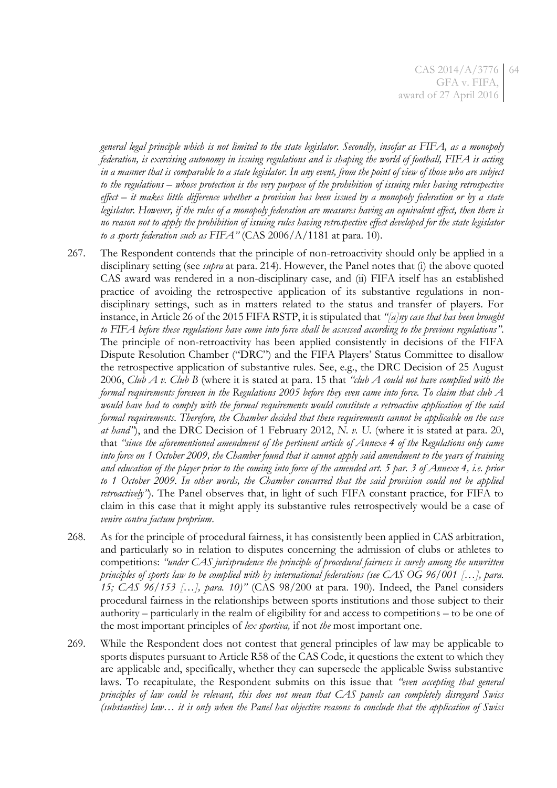*general legal principle which is not limited to the state legislator. Secondly, insofar as FIFA, as a monopoly federation, is exercising autonomy in issuing regulations and is shaping the world of football, FIFA is acting in a manner that is comparable to a state legislator. In any event, from the point of view of those who are subject to the regulations – whose protection is the very purpose of the prohibition of issuing rules having retrospective effect – it makes little difference whether a provision has been issued by a monopoly federation or by a state legislator. However, if the rules of a monopoly federation are measures having an equivalent effect, then there is no reason not to apply the prohibition of issuing rules having retrospective effect developed for the state legislator to a sports federation such as FIFA"* (CAS 2006/A/1181 at para. 10).

- 267. The Respondent contends that the principle of non-retroactivity should only be applied in a disciplinary setting (see *supra* at para[. 214\)](#page-47-0). However, the Panel notes that (i) the above quoted CAS award was rendered in a non-disciplinary case, and (ii) FIFA itself has an established practice of avoiding the retrospective application of its substantive regulations in nondisciplinary settings, such as in matters related to the status and transfer of players. For instance, in Article 26 of the 2015 FIFA RSTP, it is stipulated that *"[a]ny case that has been brought to FIFA before these regulations have come into force shall be assessed according to the previous regulations"*. The principle of non-retroactivity has been applied consistently in decisions of the FIFA Dispute Resolution Chamber ("DRC") and the FIFA Players' Status Committee to disallow the retrospective application of substantive rules. See, e.g., the DRC Decision of 25 August 2006, *Club A v. Club B* (where it is stated at para. 15 that *"club A could not have complied with the formal requirements foreseen in the Regulations 2005 before they even came into force. To claim that club A would have had to comply with the formal requirements would constitute a retroactive application of the said formal requirements. Therefore, the Chamber decided that these requirements cannot be applicable on the case at hand"*), and the DRC Decision of 1 February 2012, *N. v. U.* (where it is stated at para. 20, that *"since the aforementioned amendment of the pertinent article of Annexe 4 of the Regulations only came into force on 1 October 2009, the Chamber found that it cannot apply said amendment to the years of training and education of the player prior to the coming into force of the amended art. 5 par. 3 of Annexe 4, i.e. prior to 1 October 2009. In other words, the Chamber concurred that the said provision could not be applied retroactively"*). The Panel observes that, in light of such FIFA constant practice, for FIFA to claim in this case that it might apply its substantive rules retrospectively would be a case of *venire contra factum proprium*.
- 268. As for the principle of procedural fairness, it has consistently been applied in CAS arbitration, and particularly so in relation to disputes concerning the admission of clubs or athletes to competitions: *"under CAS jurisprudence the principle of procedural fairness is surely among the unwritten principles of sports law to be complied with by international federations (see CAS OG 96/001 […], para. 15; CAS 96/153 […], para. 10)"* (CAS 98/200 at para. 190). Indeed, the Panel considers procedural fairness in the relationships between sports institutions and those subject to their authority – particularly in the realm of eligibility for and access to competitions – to be one of the most important principles of *lex sportiva,* if not *the* most important one.
- 269. While the Respondent does not contest that general principles of law may be applicable to sports disputes pursuant to Article R58 of the CAS Code, it questions the extent to which they are applicable and, specifically, whether they can supersede the applicable Swiss substantive laws. To recapitulate, the Respondent submits on this issue that *"even accepting that general principles of law could be relevant, this does not mean that CAS panels can completely disregard Swiss (substantive) law… it is only when the Panel has objective reasons to conclude that the application of Swiss*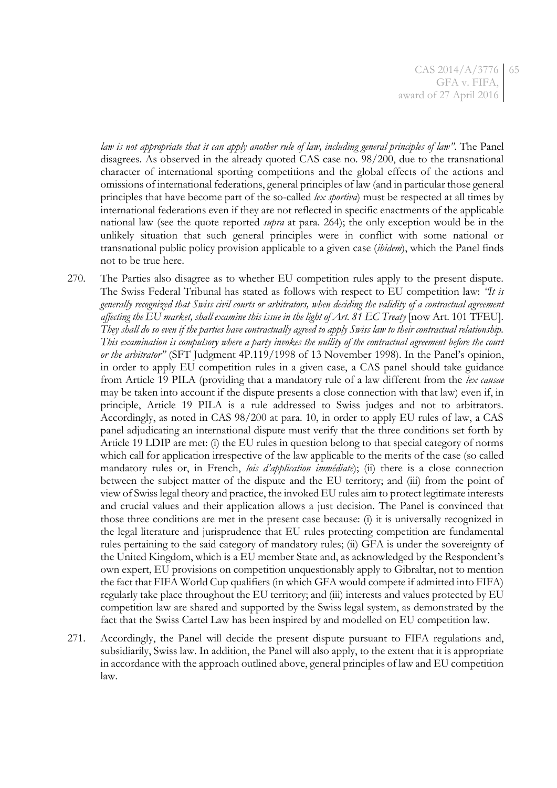*law is not appropriate that it can apply another rule of law, including general principles of law"*. The Panel disagrees. As observed in the already quoted CAS case no. 98/200, due to the transnational character of international sporting competitions and the global effects of the actions and omissions of international federations, general principles of law (and in particular those general principles that have become part of the so-called *lex sportiva*) must be respected at all times by international federations even if they are not reflected in specific enactments of the applicable national law (see the quote reported *supra* at para. [264\)](#page-62-0); the only exception would be in the unlikely situation that such general principles were in conflict with some national or transnational public policy provision applicable to a given case (*ibidem*), which the Panel finds not to be true here.

270. The Parties also disagree as to whether EU competition rules apply to the present dispute. The Swiss Federal Tribunal has stated as follows with respect to EU competition law: *"It is generally recognized that Swiss civil courts or arbitrators, when deciding the validity of a contractual agreement affecting the EU market, shall examine this issue in the light of Art. 81 EC Treaty* [now Art. 101 TFEU]*. They shall do so even if the parties have contractually agreed to apply Swiss law to their contractual relationship. This examination is compulsory where a party invokes the nullity of the contractual agreement before the court or the arbitrator"* (SFT Judgment 4P.119/1998 of 13 November 1998). In the Panel's opinion, in order to apply EU competition rules in a given case, a CAS panel should take guidance from Article 19 PILA (providing that a mandatory rule of a law different from the *lex causae* may be taken into account if the dispute presents a close connection with that law) even if, in principle, Article 19 PILA is a rule addressed to Swiss judges and not to arbitrators. Accordingly, as noted in CAS 98/200 at para. 10, in order to apply EU rules of law, a CAS panel adjudicating an international dispute must verify that the three conditions set forth by Article 19 LDIP are met: (i) the EU rules in question belong to that special category of norms which call for application irrespective of the law applicable to the merits of the case (so called mandatory rules or, in French, *lois d'application immédiate*); (ii) there is a close connection between the subject matter of the dispute and the EU territory; and (iii) from the point of view of Swiss legal theory and practice, the invoked EU rules aim to protect legitimate interests and crucial values and their application allows a just decision. The Panel is convinced that those three conditions are met in the present case because: (i) it is universally recognized in the legal literature and jurisprudence that EU rules protecting competition are fundamental rules pertaining to the said category of mandatory rules; (ii) GFA is under the sovereignty of the United Kingdom, which is a EU member State and, as acknowledged by the Respondent's own expert, EU provisions on competition unquestionably apply to Gibraltar, not to mention the fact that FIFA World Cup qualifiers (in which GFA would compete if admitted into FIFA) regularly take place throughout the EU territory; and (iii) interests and values protected by EU competition law are shared and supported by the Swiss legal system, as demonstrated by the fact that the Swiss Cartel Law has been inspired by and modelled on EU competition law.

271. Accordingly, the Panel will decide the present dispute pursuant to FIFA regulations and, subsidiarily, Swiss law. In addition, the Panel will also apply, to the extent that it is appropriate in accordance with the approach outlined above, general principles of law and EU competition law.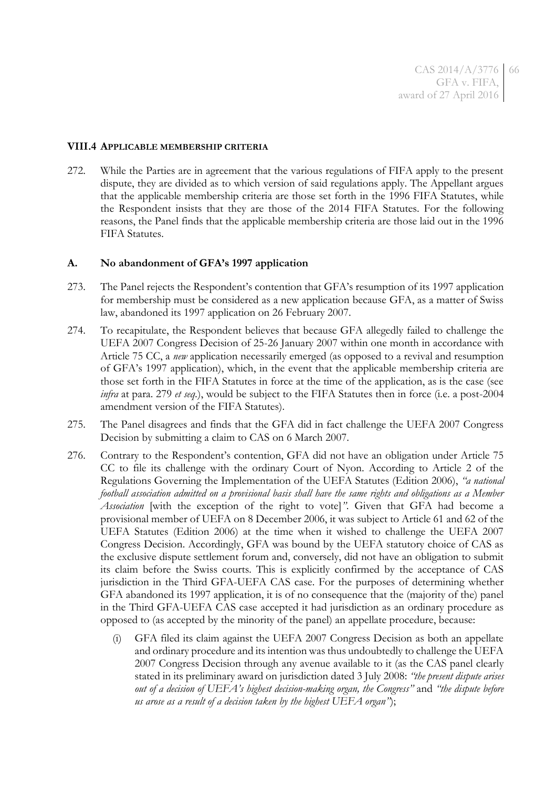#### **VIII.4 APPLICABLE MEMBERSHIP CRITERIA**

272. While the Parties are in agreement that the various regulations of FIFA apply to the present dispute, they are divided as to which version of said regulations apply. The Appellant argues that the applicable membership criteria are those set forth in the 1996 FIFA Statutes, while the Respondent insists that they are those of the 2014 FIFA Statutes. For the following reasons, the Panel finds that the applicable membership criteria are those laid out in the 1996 FIFA Statutes.

#### **A. No abandonment of GFA's 1997 application**

- <span id="page-65-0"></span>273. The Panel rejects the Respondent's contention that GFA's resumption of its 1997 application for membership must be considered as a new application because GFA, as a matter of Swiss law, abandoned its 1997 application on 26 February 2007.
- 274. To recapitulate, the Respondent believes that because GFA allegedly failed to challenge the UEFA 2007 Congress Decision of 25-26 January 2007 within one month in accordance with Article 75 CC, a *new* application necessarily emerged (as opposed to a revival and resumption of GFA's 1997 application), which, in the event that the applicable membership criteria are those set forth in the FIFA Statutes in force at the time of the application, as is the case (see *infra* at para. [279](#page-67-0) *et seq.*), would be subject to the FIFA Statutes then in force (i.e. a post-2004 amendment version of the FIFA Statutes).
- 275. The Panel disagrees and finds that the GFA did in fact challenge the UEFA 2007 Congress Decision by submitting a claim to CAS on 6 March 2007.
- 276. Contrary to the Respondent's contention, GFA did not have an obligation under Article 75 CC to file its challenge with the ordinary Court of Nyon. According to Article 2 of the Regulations Governing the Implementation of the UEFA Statutes (Edition 2006), *"a national football association admitted on a provisional basis shall have the same rights and obligations as a Member Association* [with the exception of the right to vote]*"*. Given that GFA had become a provisional member of UEFA on 8 December 2006, it was subject to Article 61 and 62 of the UEFA Statutes (Edition 2006) at the time when it wished to challenge the UEFA 2007 Congress Decision. Accordingly, GFA was bound by the UEFA statutory choice of CAS as the exclusive dispute settlement forum and, conversely, did not have an obligation to submit its claim before the Swiss courts. This is explicitly confirmed by the acceptance of CAS jurisdiction in the Third GFA-UEFA CAS case. For the purposes of determining whether GFA abandoned its 1997 application, it is of no consequence that the (majority of the) panel in the Third GFA-UEFA CAS case accepted it had jurisdiction as an ordinary procedure as opposed to (as accepted by the minority of the panel) an appellate procedure, because:
	- GFA filed its claim against the UEFA 2007 Congress Decision as both an appellate and ordinary procedure and its intention was thus undoubtedly to challenge the UEFA 2007 Congress Decision through any avenue available to it (as the CAS panel clearly stated in its preliminary award on jurisdiction dated 3 July 2008: *"the present dispute arises out of a decision of UEFA's highest decision-making organ, the Congress"* and *"the dispute before us arose as a result of a decision taken by the highest UEFA organ"*);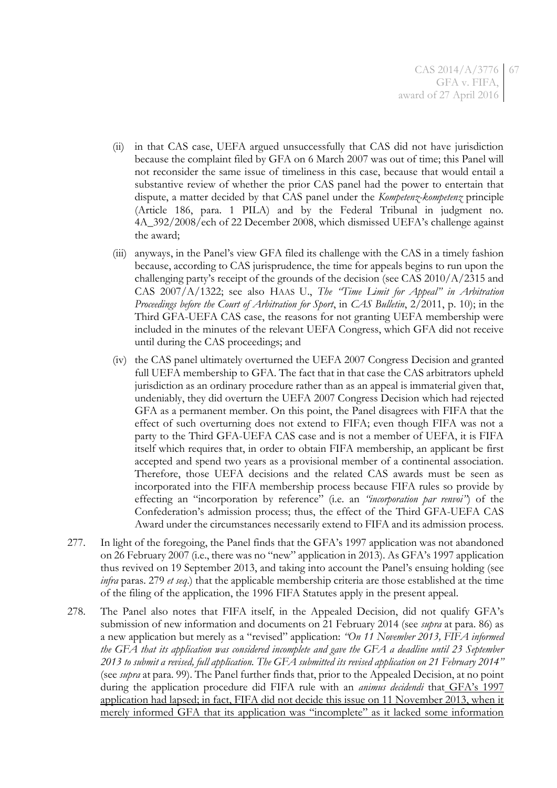- (ii) in that CAS case, UEFA argued unsuccessfully that CAS did not have jurisdiction because the complaint filed by GFA on 6 March 2007 was out of time; this Panel will not reconsider the same issue of timeliness in this case, because that would entail a substantive review of whether the prior CAS panel had the power to entertain that dispute, a matter decided by that CAS panel under the *Kompetenz-kompetenz* principle (Article 186, para. 1 PILA) and by the Federal Tribunal in judgment no. 4A\_392/2008/ech of 22 December 2008, which dismissed UEFA's challenge against the award;
- (iii) anyways, in the Panel's view GFA filed its challenge with the CAS in a timely fashion because, according to CAS jurisprudence, the time for appeals begins to run upon the challenging party's receipt of the grounds of the decision (see CAS  $2010/A/2315$  and CAS 2007/A/1322; see also HAAS U., *The "Time Limit for Appeal" in Arbitration Proceedings before the Court of Arbitration for Sport*, in *CAS Bulletin*, 2/2011, p. 10); in the Third GFA-UEFA CAS case, the reasons for not granting UEFA membership were included in the minutes of the relevant UEFA Congress, which GFA did not receive until during the CAS proceedings; and
- (iv) the CAS panel ultimately overturned the UEFA 2007 Congress Decision and granted full UEFA membership to GFA. The fact that in that case the CAS arbitrators upheld jurisdiction as an ordinary procedure rather than as an appeal is immaterial given that, undeniably, they did overturn the UEFA 2007 Congress Decision which had rejected GFA as a permanent member. On this point, the Panel disagrees with FIFA that the effect of such overturning does not extend to FIFA; even though FIFA was not a party to the Third GFA-UEFA CAS case and is not a member of UEFA, it is FIFA itself which requires that, in order to obtain FIFA membership, an applicant be first accepted and spend two years as a provisional member of a continental association. Therefore, those UEFA decisions and the related CAS awards must be seen as incorporated into the FIFA membership process because FIFA rules so provide by effecting an "incorporation by reference" (i.e. an *"incorporation par renvoi"*) of the Confederation's admission process; thus, the effect of the Third GFA-UEFA CAS Award under the circumstances necessarily extend to FIFA and its admission process.
- 277. In light of the foregoing, the Panel finds that the GFA's 1997 application was not abandoned on 26 February 2007 (i.e., there was no "new" application in 2013). As GFA's 1997 application thus revived on 19 September 2013, and taking into account the Panel's ensuing holding (see *infra* paras. [279](#page-67-0) *et seq*.) that the applicable membership criteria are those established at the time of the filing of the application, the 1996 FIFA Statutes apply in the present appeal.
- 278. The Panel also notes that FIFA itself, in the Appealed Decision, did not qualify GFA's submission of new information and documents on 21 February 2014 (see *supra* at para. [86\)](#page-15-0) as a new application but merely as a "revised" application: *"On 11 November 2013, FIFA informed the GFA that its application was considered incomplete and gave the GFA a deadline until 23 September 2013 to submit a revised, full application. The GFA submitted its revised application on 21 February 2014"* (see *supra* at para. [99\)](#page-17-0). The Panel further finds that, prior to the Appealed Decision, at no point during the application procedure did FIFA rule with an *animus decidendi* that GFA's 1997 application had lapsed; in fact, FIFA did not decide this issue on 11 November 2013, when it merely informed GFA that its application was "incomplete" as it lacked some information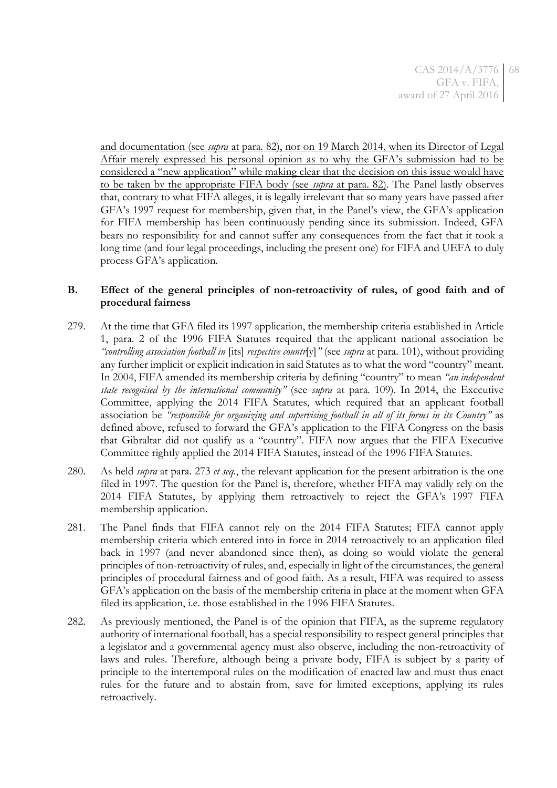and documentation (see *supra* at para. [82\)](#page-14-0), nor on 19 March 2014, when its Director of Legal Affair merely expressed his personal opinion as to why the GFA's submission had to be considered a "new application" while making clear that the decision on this issue would have to be taken by the appropriate FIFA body (see *supra* at para. [82\)](#page-14-0). The Panel lastly observes that, contrary to what FIFA alleges, it is legally irrelevant that so many years have passed after GFA's 1997 request for membership, given that, in the Panel's view, the GFA's application for FIFA membership has been continuously pending since its submission. Indeed, GFA bears no responsibility for and cannot suffer any consequences from the fact that it took a long time (and four legal proceedings, including the present one) for FIFA and UEFA to duly process GFA's application.

## **B. Effect of the general principles of non-retroactivity of rules, of good faith and of procedural fairness**

- <span id="page-67-0"></span>279. At the time that GFA filed its 1997 application, the membership criteria established in Article 1, para. 2 of the 1996 FIFA Statutes required that the applicant national association be *"controlling association football in* [its] *respective countr*[y]*"* (see *supra* at para. [101\)](#page-19-0), without providing any further implicit or explicit indication in said Statutes as to what the word "country" meant. In 2004, FIFA amended its membership criteria by defining "country" to mean *"an independent state recognised by the international community"* (see *supra* at para. [109\)](#page-21-1). In 2014, the Executive Committee, applying the 2014 FIFA Statutes, which required that an applicant football association be *"responsible for organizing and supervising football in all of its forms in its Country"* as defined above, refused to forward the GFA's application to the FIFA Congress on the basis that Gibraltar did not qualify as a "country". FIFA now argues that the FIFA Executive Committee rightly applied the 2014 FIFA Statutes, instead of the 1996 FIFA Statutes.
- 280. As held *supra* at para. [273](#page-65-0) *et seq.*, the relevant application for the present arbitration is the one filed in 1997. The question for the Panel is, therefore, whether FIFA may validly rely on the 2014 FIFA Statutes, by applying them retroactively to reject the GFA's 1997 FIFA membership application.
- 281. The Panel finds that FIFA cannot rely on the 2014 FIFA Statutes; FIFA cannot apply membership criteria which entered into in force in 2014 retroactively to an application filed back in 1997 (and never abandoned since then), as doing so would violate the general principles of non-retroactivity of rules, and, especially in light of the circumstances, the general principles of procedural fairness and of good faith. As a result, FIFA was required to assess GFA's application on the basis of the membership criteria in place at the moment when GFA filed its application, i.e. those established in the 1996 FIFA Statutes.
- 282. As previously mentioned, the Panel is of the opinion that FIFA, as the supreme regulatory authority of international football, has a special responsibility to respect general principles that a legislator and a governmental agency must also observe, including the non-retroactivity of laws and rules. Therefore, although being a private body, FIFA is subject by a parity of principle to the intertemporal rules on the modification of enacted law and must thus enact rules for the future and to abstain from, save for limited exceptions, applying its rules retroactively.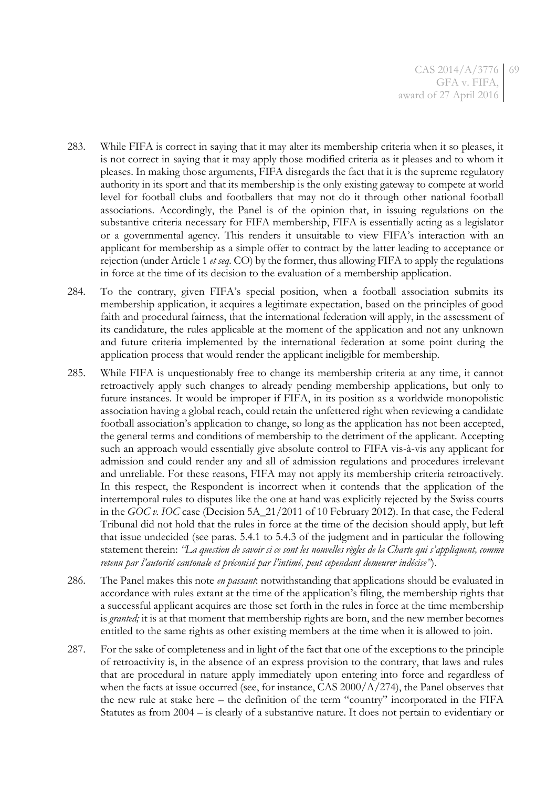- 283. While FIFA is correct in saying that it may alter its membership criteria when it so pleases, it is not correct in saying that it may apply those modified criteria as it pleases and to whom it pleases. In making those arguments, FIFA disregards the fact that it is the supreme regulatory authority in its sport and that its membership is the only existing gateway to compete at world level for football clubs and footballers that may not do it through other national football associations. Accordingly, the Panel is of the opinion that, in issuing regulations on the substantive criteria necessary for FIFA membership, FIFA is essentially acting as a legislator or a governmental agency. This renders it unsuitable to view FIFA's interaction with an applicant for membership as a simple offer to contract by the latter leading to acceptance or rejection (under Article 1 *et seq.* CO) by the former, thus allowing FIFA to apply the regulations in force at the time of its decision to the evaluation of a membership application.
- 284. To the contrary, given FIFA's special position, when a football association submits its membership application, it acquires a legitimate expectation, based on the principles of good faith and procedural fairness, that the international federation will apply, in the assessment of its candidature, the rules applicable at the moment of the application and not any unknown and future criteria implemented by the international federation at some point during the application process that would render the applicant ineligible for membership.
- 285. While FIFA is unquestionably free to change its membership criteria at any time, it cannot retroactively apply such changes to already pending membership applications, but only to future instances. It would be improper if FIFA, in its position as a worldwide monopolistic association having a global reach, could retain the unfettered right when reviewing a candidate football association's application to change, so long as the application has not been accepted, the general terms and conditions of membership to the detriment of the applicant. Accepting such an approach would essentially give absolute control to FIFA vis-à-vis any applicant for admission and could render any and all of admission regulations and procedures irrelevant and unreliable. For these reasons, FIFA may not apply its membership criteria retroactively. In this respect, the Respondent is incorrect when it contends that the application of the intertemporal rules to disputes like the one at hand was explicitly rejected by the Swiss courts in the *GOC v. IOC* case (Decision 5A\_21/2011 of 10 February 2012). In that case, the Federal Tribunal did not hold that the rules in force at the time of the decision should apply, but left that issue undecided (see paras. 5.4.1 to 5.4.3 of the judgment and in particular the following statement therein: *"La question de savoir si ce sont les nouvelles règles de la Charte qui s'appliquent, comme retenu par l'autorité cantonale et préconisé par l'intimé, peut cependant demeurer indécise"*).
- 286. The Panel makes this note *en passant*: notwithstanding that applications should be evaluated in accordance with rules extant at the time of the application's filing, the membership rights that a successful applicant acquires are those set forth in the rules in force at the time membership is *granted;* it is at that moment that membership rights are born, and the new member becomes entitled to the same rights as other existing members at the time when it is allowed to join.
- 287. For the sake of completeness and in light of the fact that one of the exceptions to the principle of retroactivity is, in the absence of an express provision to the contrary, that laws and rules that are procedural in nature apply immediately upon entering into force and regardless of when the facts at issue occurred (see, for instance, CAS 2000/A/274), the Panel observes that the new rule at stake here – the definition of the term "country" incorporated in the FIFA Statutes as from 2004 – is clearly of a substantive nature. It does not pertain to evidentiary or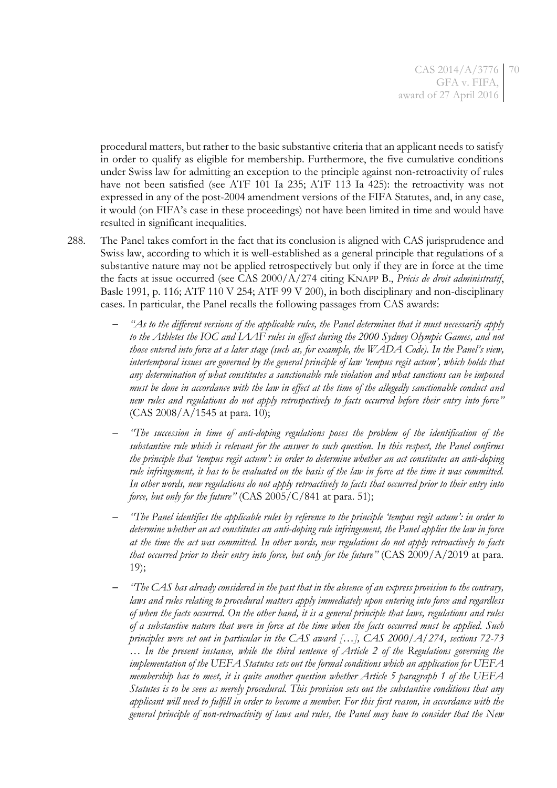procedural matters, but rather to the basic substantive criteria that an applicant needs to satisfy in order to qualify as eligible for membership. Furthermore, the five cumulative conditions under Swiss law for admitting an exception to the principle against non-retroactivity of rules have not been satisfied (see ATF 101 Ia 235; ATF 113 Ia 425): the retroactivity was not expressed in any of the post-2004 amendment versions of the FIFA Statutes, and, in any case, it would (on FIFA's case in these proceedings) not have been limited in time and would have resulted in significant inequalities.

- 288. The Panel takes comfort in the fact that its conclusion is aligned with CAS jurisprudence and Swiss law, according to which it is well-established as a general principle that regulations of a substantive nature may not be applied retrospectively but only if they are in force at the time the facts at issue occurred (see CAS 2000/A/274 citing KNAPP B., *Précis de droit administratif*, Basle 1991, p. 116; ATF 110 V 254; ATF 99 V 200), in both disciplinary and non-disciplinary cases. In particular, the Panel recalls the following passages from CAS awards:
	- *"As to the different versions of the applicable rules, the Panel determines that it must necessarily apply to the Athletes the IOC and IAAF rules in effect during the 2000 Sydney Olympic Games, and not those entered into force at a later stage (such as, for example, the WADA Code). In the Panel's view, intertemporal issues are governed by the general principle of law 'tempus regit actum', which holds that any determination of what constitutes a sanctionable rule violation and what sanctions can be imposed must be done in accordance with the law in effect at the time of the allegedly sanctionable conduct and new rules and regulations do not apply retrospectively to facts occurred before their entry into force"* (CAS 2008/A/1545 at para. 10);
	- *"The succession in time of anti-doping regulations poses the problem of the identification of the substantive rule which is relevant for the answer to such question. In this respect, the Panel confirms the principle that 'tempus regit actum': in order to determine whether an act constitutes an anti-doping rule infringement, it has to be evaluated on the basis of the law in force at the time it was committed. In other words, new regulations do not apply retroactively to facts that occurred prior to their entry into force, but only for the future*<sup>"</sup> (CAS 2005/C/841 at para. 51);
	- *"The Panel identifies the applicable rules by reference to the principle 'tempus regit actum': in order to determine whether an act constitutes an anti-doping rule infringement, the Panel applies the law in force at the time the act was committed. In other words, new regulations do not apply retroactively to facts that occurred prior to their entry into force, but only for the future"* (CAS 2009/A/2019 at para. 19);
	- *"The CAS has already considered in the past that in the absence of an express provision to the contrary, laws and rules relating to procedural matters apply immediately upon entering into force and regardless of when the facts occurred. On the other hand, it is a general principle that laws, regulations and rules of a substantive nature that were in force at the time when the facts occurred must be applied. Such principles were set out in particular in the CAS award […], CAS 2000/A/274, sections 72-73 … In the present instance, while the third sentence of Article 2 of the Regulations governing the implementation of the UEFA Statutes sets out the formal conditions which an application for UEFA membership has to meet, it is quite another question whether Article 5 paragraph 1 of the UEFA Statutes is to be seen as merely procedural. This provision sets out the substantive conditions that any applicant will need to fulfill in order to become a member. For this first reason, in accordance with the general principle of non-retroactivity of laws and rules, the Panel may have to consider that the New*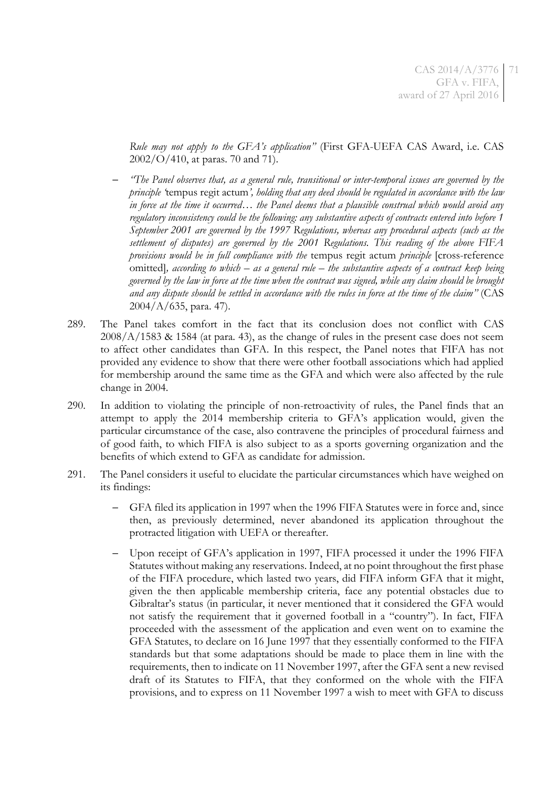*Rule may not apply to the GFA's application"* (First GFA-UEFA CAS Award, i.e. CAS 2002/O/410, at paras. 70 and 71).

- *"The Panel observes that, as a general rule, transitional or inter-temporal issues are governed by the principle '*tempus regit actum*', holding that any deed should be regulated in accordance with the law in force at the time it occurred… the Panel deems that a plausible construal which would avoid any regulatory inconsistency could be the following: any substantive aspects of contracts entered into before 1 September 2001 are governed by the 1997 Regulations, whereas any procedural aspects (such as the settlement of disputes) are governed by the 2001 Regulations. This reading of the above FIFA provisions would be in full compliance with the* tempus regit actum *principle* [cross-reference omitted]*, according to which – as a general rule – the substantive aspects of a contract keep being governed by the law in force at the time when the contract was signed, while any claim should be brought and any dispute should be settled in accordance with the rules in force at the time of the claim"* (CAS 2004/A/635, para. 47).
- 289. The Panel takes comfort in the fact that its conclusion does not conflict with CAS 2008/A/1583 & 1584 (at para. 43), as the change of rules in the present case does not seem to affect other candidates than GFA. In this respect, the Panel notes that FIFA has not provided any evidence to show that there were other football associations which had applied for membership around the same time as the GFA and which were also affected by the rule change in 2004.
- 290. In addition to violating the principle of non-retroactivity of rules, the Panel finds that an attempt to apply the 2014 membership criteria to GFA's application would, given the particular circumstance of the case, also contravene the principles of procedural fairness and of good faith, to which FIFA is also subject to as a sports governing organization and the benefits of which extend to GFA as candidate for admission.
- 291. The Panel considers it useful to elucidate the particular circumstances which have weighed on its findings:
	- GFA filed its application in 1997 when the 1996 FIFA Statutes were in force and, since then, as previously determined, never abandoned its application throughout the protracted litigation with UEFA or thereafter.
	- Upon receipt of GFA's application in 1997, FIFA processed it under the 1996 FIFA Statutes without making any reservations. Indeed, at no point throughout the first phase of the FIFA procedure, which lasted two years, did FIFA inform GFA that it might, given the then applicable membership criteria, face any potential obstacles due to Gibraltar's status (in particular, it never mentioned that it considered the GFA would not satisfy the requirement that it governed football in a "country"). In fact, FIFA proceeded with the assessment of the application and even went on to examine the GFA Statutes, to declare on 16 June 1997 that they essentially conformed to the FIFA standards but that some adaptations should be made to place them in line with the requirements, then to indicate on 11 November 1997, after the GFA sent a new revised draft of its Statutes to FIFA, that they conformed on the whole with the FIFA provisions, and to express on 11 November 1997 a wish to meet with GFA to discuss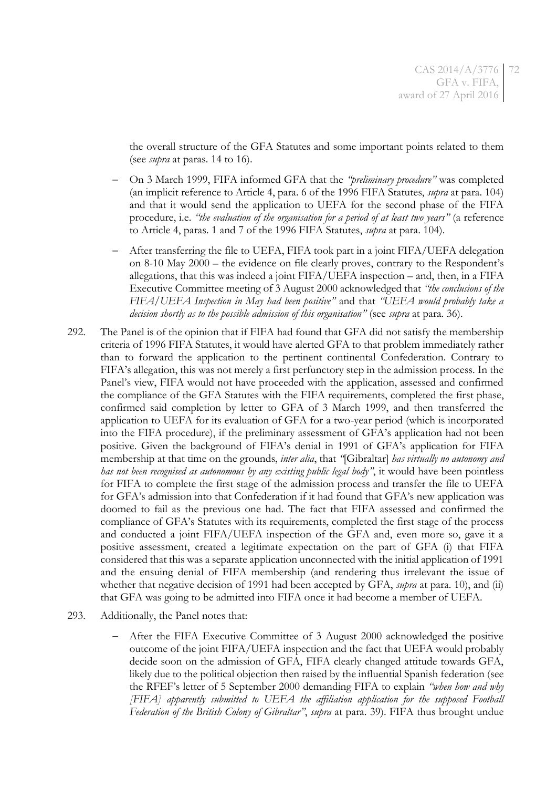the overall structure of the GFA Statutes and some important points related to them (see *supra* at paras. [14](#page-4-0) to [16\)](#page-4-1).

- On 3 March 1999, FIFA informed GFA that the *"preliminary procedure"* was completed (an implicit reference to Article 4, para. 6 of the 1996 FIFA Statutes, *supra* at para. [104\)](#page-19-1) and that it would send the application to UEFA for the second phase of the FIFA procedure, i.e. *"the evaluation of the organisation for a period of at least two years"* (a reference to Article 4, paras. 1 and 7 of the 1996 FIFA Statutes, *supra* at para. [104\)](#page-19-1).
- After transferring the file to UEFA, FIFA took part in a joint FIFA/UEFA delegation on 8-10 May 2000 – the evidence on file clearly proves, contrary to the Respondent's allegations, that this was indeed a joint FIFA/UEFA inspection – and, then, in a FIFA Executive Committee meeting of 3 August 2000 acknowledged that *"the conclusions of the FIFA/UEFA Inspection in May had been positive"* and that *"UEFA would probably take a decision shortly as to the possible admission of this organisation"* (see *supra* at para. [36\)](#page-7-0).
- 292. The Panel is of the opinion that if FIFA had found that GFA did not satisfy the membership criteria of 1996 FIFA Statutes, it would have alerted GFA to that problem immediately rather than to forward the application to the pertinent continental Confederation. Contrary to FIFA's allegation, this was not merely a first perfunctory step in the admission process. In the Panel's view, FIFA would not have proceeded with the application, assessed and confirmed the compliance of the GFA Statutes with the FIFA requirements, completed the first phase, confirmed said completion by letter to GFA of 3 March 1999, and then transferred the application to UEFA for its evaluation of GFA for a two-year period (which is incorporated into the FIFA procedure), if the preliminary assessment of GFA's application had not been positive. Given the background of FIFA's denial in 1991 of GFA's application for FIFA membership at that time on the grounds, *inter alia*, that *"*[Gibraltar] *has virtually no autonomy and has not been recognised as autonomous by any existing public legal body"*, it would have been pointless for FIFA to complete the first stage of the admission process and transfer the file to UEFA for GFA's admission into that Confederation if it had found that GFA's new application was doomed to fail as the previous one had. The fact that FIFA assessed and confirmed the compliance of GFA's Statutes with its requirements, completed the first stage of the process and conducted a joint FIFA/UEFA inspection of the GFA and, even more so, gave it a positive assessment, created a legitimate expectation on the part of GFA (i) that FIFA considered that this was a separate application unconnected with the initial application of 1991 and the ensuing denial of FIFA membership (and rendering thus irrelevant the issue of whether that negative decision of 1991 had been accepted by GFA, *supra* at para. [10\)](#page-3-0), and (ii) that GFA was going to be admitted into FIFA once it had become a member of UEFA.
- 293. Additionally, the Panel notes that:
	- After the FIFA Executive Committee of 3 August 2000 acknowledged the positive outcome of the joint FIFA/UEFA inspection and the fact that UEFA would probably decide soon on the admission of GFA, FIFA clearly changed attitude towards GFA, likely due to the political objection then raised by the influential Spanish federation (see the RFEF's letter of 5 September 2000 demanding FIFA to explain *"when how and why [FIFA] apparently submitted to UEFA the affiliation application for the supposed Football Federation of the British Colony of Gibraltar"*, *supra* at para. [39\)](#page-8-0). FIFA thus brought undue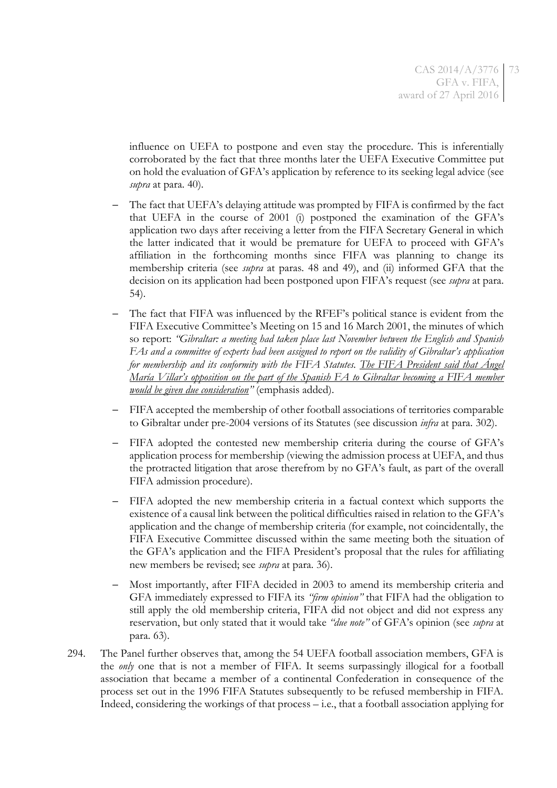influence on UEFA to postpone and even stay the procedure. This is inferentially corroborated by the fact that three months later the UEFA Executive Committee put on hold the evaluation of GFA's application by reference to its seeking legal advice (see *supra* at para. [40\)](#page-8-0).

- The fact that UEFA's delaying attitude was prompted by FIFA is confirmed by the fact that UEFA in the course of 2001 (i) postponed the examination of the GFA's application two days after receiving a letter from the FIFA Secretary General in which the latter indicated that it would be premature for UEFA to proceed with GFA's affiliation in the forthcoming months since FIFA was planning to change its membership criteria (see *supra* at paras. [48](#page-9-0) and [49\)](#page-9-1), and (ii) informed GFA that the decision on its application had been postponed upon FIFA's request (see *supra* at para. [54\)](#page-10-0).
- The fact that FIFA was influenced by the RFEF's political stance is evident from the FIFA Executive Committee's Meeting on 15 and 16 March 2001, the minutes of which so report: *"Gibraltar: a meeting had taken place last November between the English and Spanish FAs and a committee of experts had been assigned to report on the validity of Gibraltar's application for membership and its conformity with the FIFA Statutes. The FIFA President said that Ángel María Villar's opposition on the part of the Spanish FA to Gibraltar becoming a FIFA member would be given due consideration"* (emphasis added).
- FIFA accepted the membership of other football associations of territories comparable to Gibraltar under pre-2004 versions of its Statutes (see discussion *infra* at para. [302\)](#page-75-0).
- FIFA adopted the contested new membership criteria during the course of GFA's application process for membership (viewing the admission process at UEFA, and thus the protracted litigation that arose therefrom by no GFA's fault, as part of the overall FIFA admission procedure).
- FIFA adopted the new membership criteria in a factual context which supports the existence of a causal link between the political difficulties raised in relation to the GFA's application and the change of membership criteria (for example, not coincidentally, the FIFA Executive Committee discussed within the same meeting both the situation of the GFA's application and the FIFA President's proposal that the rules for affiliating new members be revised; see *supra* at para. [36\)](#page-7-0).
- Most importantly, after FIFA decided in 2003 to amend its membership criteria and GFA immediately expressed to FIFA its *"firm opinion"* that FIFA had the obligation to still apply the old membership criteria, FIFA did not object and did not express any reservation, but only stated that it would take *"due note"* of GFA's opinion (see *supra* at para. [63\)](#page-11-0).
- 294. The Panel further observes that, among the 54 UEFA football association members, GFA is the *only* one that is not a member of FIFA. It seems surpassingly illogical for a football association that became a member of a continental Confederation in consequence of the process set out in the 1996 FIFA Statutes subsequently to be refused membership in FIFA. Indeed, considering the workings of that process – i.e., that a football association applying for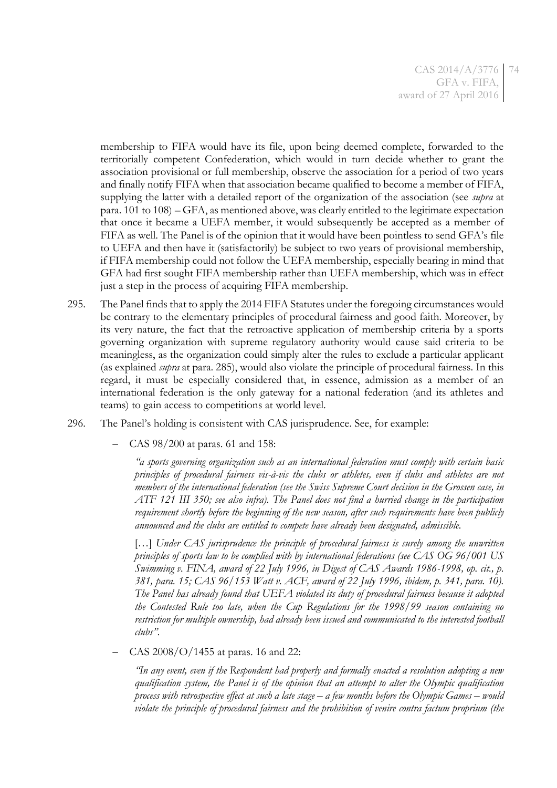membership to FIFA would have its file, upon being deemed complete, forwarded to the territorially competent Confederation, which would in turn decide whether to grant the association provisional or full membership, observe the association for a period of two years and finally notify FIFA when that association became qualified to become a member of FIFA, supplying the latter with a detailed report of the organization of the association (see *supra* at para. [101](#page-19-0) t[o 108\)](#page-20-0) – GFA, as mentioned above, was clearly entitled to the legitimate expectation that once it became a UEFA member, it would subsequently be accepted as a member of FIFA as well. The Panel is of the opinion that it would have been pointless to send GFA's file to UEFA and then have it (satisfactorily) be subject to two years of provisional membership, if FIFA membership could not follow the UEFA membership, especially bearing in mind that GFA had first sought FIFA membership rather than UEFA membership, which was in effect just a step in the process of acquiring FIFA membership.

- 295. The Panel finds that to apply the 2014 FIFA Statutes under the foregoing circumstances would be contrary to the elementary principles of procedural fairness and good faith. Moreover, by its very nature, the fact that the retroactive application of membership criteria by a sports governing organization with supreme regulatory authority would cause said criteria to be meaningless, as the organization could simply alter the rules to exclude a particular applicant (as explained *supra* at para. [285\)](#page-68-0), would also violate the principle of procedural fairness. In this regard, it must be especially considered that, in essence, admission as a member of an international federation is the only gateway for a national federation (and its athletes and teams) to gain access to competitions at world level.
- 296. The Panel's holding is consistent with CAS jurisprudence. See, for example:
	- CAS 98/200 at paras. 61 and 158:

*"a sports governing organization such as an international federation must comply with certain basic principles of procedural fairness vis-à-vis the clubs or athletes, even if clubs and athletes are not members of the international federation (see the Swiss Supreme Court decision in the Grossen case, in ATF 121 III 350; see also infra). The Panel does not find a hurried change in the participation requirement shortly before the beginning of the new season, after such requirements have been publicly announced and the clubs are entitled to compete have already been designated, admissible.*

[...] Under CAS jurisprudence the principle of procedural fairness is surely among the unwritten *principles of sports law to be complied with by international federations (see CAS OG 96/001 US Swimming v. FINA, award of 22 July 1996, in Digest of CAS Awards 1986-1998, op. cit., p. 381, para. 15; CAS 96/153 Watt v. ACF, award of 22 July 1996, ibidem, p. 341, para. 10). The Panel has already found that UEFA violated its duty of procedural fairness because it adopted the Contested Rule too late, when the Cup Regulations for the 1998/99 season containing no restriction for multiple ownership, had already been issued and communicated to the interested football clubs".*

– CAS 2008/O/1455 at paras. 16 and 22:

*"In any event, even if the Respondent had properly and formally enacted a resolution adopting a new qualification system, the Panel is of the opinion that an attempt to alter the Olympic qualification process with retrospective effect at such a late stage – a few months before the Olympic Games – would violate the principle of procedural fairness and the prohibition of venire contra factum proprium (the*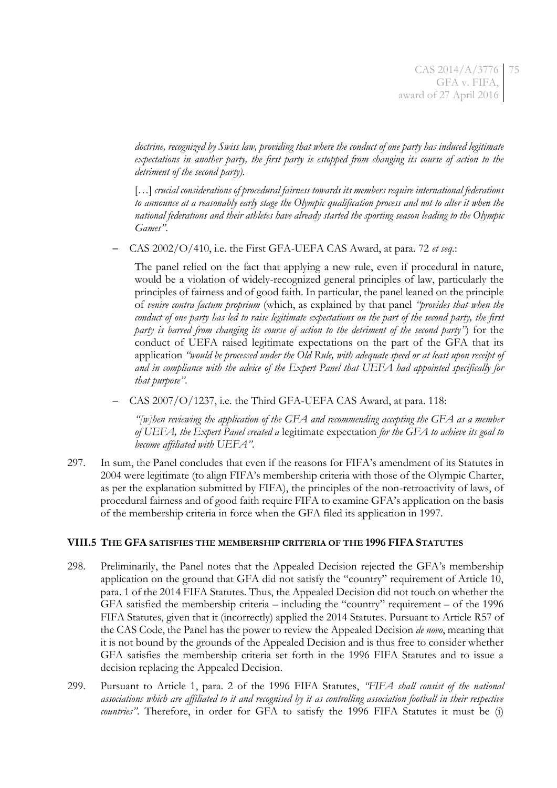*doctrine, recognized by Swiss law, providing that where the conduct of one party has induced legitimate expectations in another party, the first party is estopped from changing its course of action to the detriment of the second party).*

[…] *crucial considerations of procedural fairness towards its members require international federations to announce at a reasonably early stage the Olympic qualification process and not to alter it when the national federations and their athletes have already started the sporting season leading to the Olympic Games"*.

– CAS 2002/O/410, i.e. the First GFA-UEFA CAS Award, at para. 72 *et seq.*:

The panel relied on the fact that applying a new rule, even if procedural in nature, would be a violation of widely-recognized general principles of law, particularly the principles of fairness and of good faith. In particular, the panel leaned on the principle of *venire contra factum proprium* (which, as explained by that panel *"provides that when the conduct of one party has led to raise legitimate expectations on the part of the second party, the first party is barred from changing its course of action to the detriment of the second party"*) for the conduct of UEFA raised legitimate expectations on the part of the GFA that its application *"would be processed under the Old Rule, with adequate speed or at least upon receipt of and in compliance with the advice of the Expert Panel that UEFA had appointed specifically for that purpose"*.

– CAS 2007/O/1237, i.e. the Third GFA-UEFA CAS Award, at para. 118:

*"[w]hen reviewing the application of the GFA and recommending accepting the GFA as a member of UEFA, the Expert Panel created a* legitimate expectation *for the GFA to achieve its goal to become affiliated with UEFA"*.

<span id="page-74-0"></span>297. In sum, the Panel concludes that even if the reasons for FIFA's amendment of its Statutes in 2004 were legitimate (to align FIFA's membership criteria with those of the Olympic Charter, as per the explanation submitted by FIFA), the principles of the non-retroactivity of laws, of procedural fairness and of good faith require FIFA to examine GFA's application on the basis of the membership criteria in force when the GFA filed its application in 1997.

## **VIII.5 THE GFA SATISFIES THE MEMBERSHIP CRITERIA OF THE 1996 FIFA STATUTES**

- <span id="page-74-1"></span>298. Preliminarily, the Panel notes that the Appealed Decision rejected the GFA's membership application on the ground that GFA did not satisfy the "country" requirement of Article 10, para. 1 of the 2014 FIFA Statutes. Thus, the Appealed Decision did not touch on whether the GFA satisfied the membership criteria – including the "country" requirement – of the 1996 FIFA Statutes, given that it (incorrectly) applied the 2014 Statutes. Pursuant to Article R57 of the CAS Code, the Panel has the power to review the Appealed Decision *de novo*, meaning that it is not bound by the grounds of the Appealed Decision and is thus free to consider whether GFA satisfies the membership criteria set forth in the 1996 FIFA Statutes and to issue a decision replacing the Appealed Decision.
- 299. Pursuant to Article 1, para. 2 of the 1996 FIFA Statutes, *"FIFA shall consist of the national associations which are affiliated to it and recognised by it as controlling association football in their respective countries"*. Therefore, in order for GFA to satisfy the 1996 FIFA Statutes it must be (i)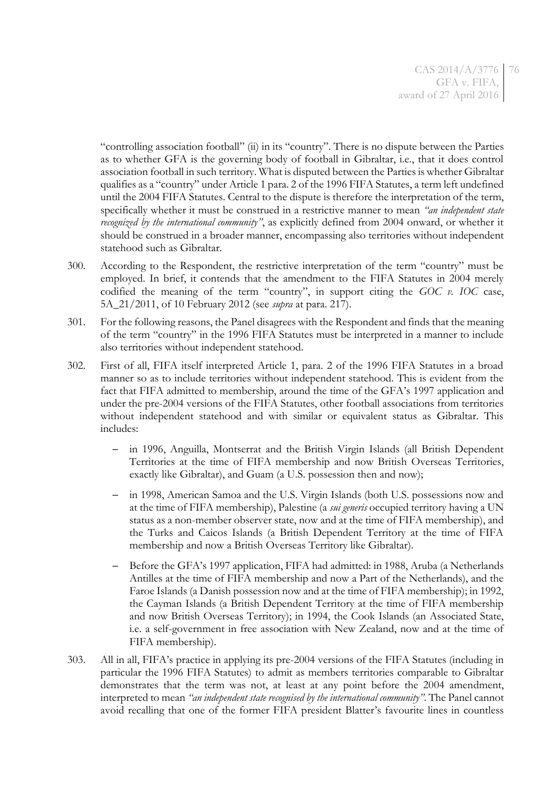"controlling association football" (ii) in its "country". There is no dispute between the Parties as to whether GFA is the governing body of football in Gibraltar, i.e., that it does control association football in such territory. What is disputed between the Parties is whether Gibraltar qualifies as a "country" under Article 1 para. 2 of the 1996 FIFA Statutes, a term left undefined until the 2004 FIFA Statutes. Central to the dispute is therefore the interpretation of the term, specifically whether it must be construed in a restrictive manner to mean *"an independent state recognized by the international community"*, as explicitly defined from 2004 onward, or whether it should be construed in a broader manner, encompassing also territories without independent statehood such as Gibraltar.

- 300. According to the Respondent, the restrictive interpretation of the term "country" must be employed. In brief, it contends that the amendment to the FIFA Statutes in 2004 merely codified the meaning of the term "country", in support citing the *GOC v. IOC* case, 5A\_21/2011, of 10 February 2012 (see *supra* at para. [217\)](#page-48-0).
- 301. For the following reasons, the Panel disagrees with the Respondent and finds that the meaning of the term "country" in the 1996 FIFA Statutes must be interpreted in a manner to include also territories without independent statehood.
- <span id="page-75-0"></span>302. First of all, FIFA itself interpreted Article 1, para. 2 of the 1996 FIFA Statutes in a broad manner so as to include territories without independent statehood. This is evident from the fact that FIFA admitted to membership, around the time of the GFA's 1997 application and under the pre-2004 versions of the FIFA Statutes, other football associations from territories without independent statehood and with similar or equivalent status as Gibraltar. This includes:
	- in 1996, Anguilla, Montserrat and the British Virgin Islands (all British Dependent Territories at the time of FIFA membership and now British Overseas Territories, exactly like Gibraltar), and Guam (a U.S. possession then and now);
	- in 1998, American Samoa and the U.S. Virgin Islands (both U.S. possessions now and at the time of FIFA membership), Palestine (a *sui generis* occupied territory having a UN status as a non-member observer state, now and at the time of FIFA membership), and the Turks and Caicos Islands (a British Dependent Territory at the time of FIFA membership and now a British Overseas Territory like Gibraltar).
	- Before the GFA's 1997 application, FIFA had admitted: in 1988, Aruba (a Netherlands Antilles at the time of FIFA membership and now a Part of the Netherlands), and the Faroe Islands (a Danish possession now and at the time of FIFA membership); in 1992, the Cayman Islands (a British Dependent Territory at the time of FIFA membership and now British Overseas Territory); in 1994, the Cook Islands (an Associated State, i.e. a self-government in free association with New Zealand, now and at the time of FIFA membership).
- 303. All in all, FIFA's practice in applying its pre-2004 versions of the FIFA Statutes (including in particular the 1996 FIFA Statutes) to admit as members territories comparable to Gibraltar demonstrates that the term was not, at least at any point before the 2004 amendment, interpreted to mean *"an independent state recognised by the international community"*. The Panel cannot avoid recalling that one of the former FIFA president Blatter's favourite lines in countless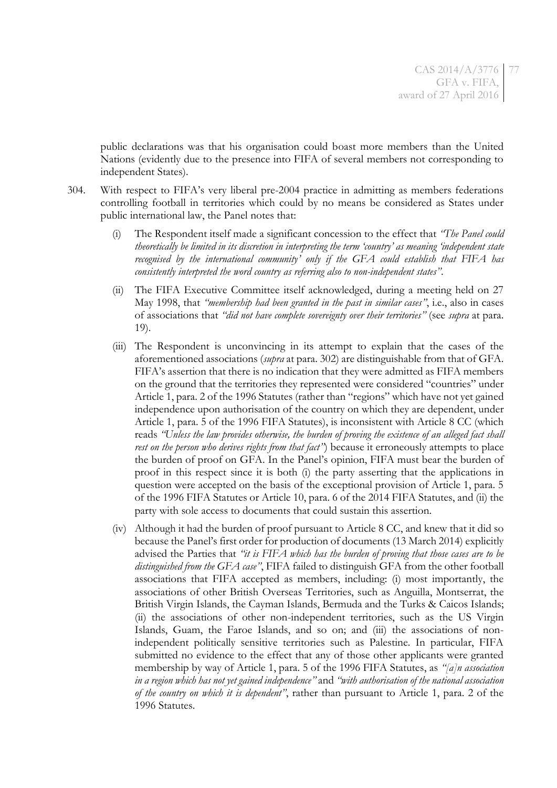public declarations was that his organisation could boast more members than the United Nations (evidently due to the presence into FIFA of several members not corresponding to independent States).

- 304. With respect to FIFA's very liberal pre-2004 practice in admitting as members federations controlling football in territories which could by no means be considered as States under public international law, the Panel notes that:
	- (i) The Respondent itself made a significant concession to the effect that *"The Panel could theoretically be limited in its discretion in interpreting the term 'country' as meaning 'independent state recognised by the international community' only if the GFA could establish that FIFA has consistently interpreted the word country as referring also to non-independent states"*.
	- (ii) The FIFA Executive Committee itself acknowledged, during a meeting held on 27 May 1998, that *"membership had been granted in the past in similar cases"*, i.e., also in cases of associations that *"did not have complete sovereignty over their territories"* (see *supra* at para. [19\)](#page-5-0).
	- (iii) The Respondent is unconvincing in its attempt to explain that the cases of the aforementioned associations (*supra* at para. [302\)](#page-75-0) are distinguishable from that of GFA. FIFA's assertion that there is no indication that they were admitted as FIFA members on the ground that the territories they represented were considered "countries" under Article 1, para. 2 of the 1996 Statutes (rather than "regions" which have not yet gained independence upon authorisation of the country on which they are dependent, under Article 1, para. 5 of the 1996 FIFA Statutes), is inconsistent with Article 8 CC (which reads *"Unless the law provides otherwise, the burden of proving the existence of an alleged fact shall rest on the person who derives rights from that fact<sup><i>''*</sup>)</sub> because it erroneously attempts to place the burden of proof on GFA. In the Panel's opinion, FIFA must bear the burden of proof in this respect since it is both (i) the party asserting that the applications in question were accepted on the basis of the exceptional provision of Article 1, para. 5 of the 1996 FIFA Statutes or Article 10, para. 6 of the 2014 FIFA Statutes, and (ii) the party with sole access to documents that could sustain this assertion.
	- (iv) Although it had the burden of proof pursuant to Article 8 CC, and knew that it did so because the Panel's first order for production of documents (13 March 2014) explicitly advised the Parties that *"it is FIFA which has the burden of proving that those cases are to be distinguished from the GFA case"*, FIFA failed to distinguish GFA from the other football associations that FIFA accepted as members, including: (i) most importantly, the associations of other British Overseas Territories, such as Anguilla, Montserrat, the British Virgin Islands, the Cayman Islands, Bermuda and the Turks & Caicos Islands; (ii) the associations of other non-independent territories, such as the US Virgin Islands, Guam, the Faroe Islands, and so on; and (iii) the associations of nonindependent politically sensitive territories such as Palestine. In particular, FIFA submitted no evidence to the effect that any of those other applicants were granted membership by way of Article 1, para. 5 of the 1996 FIFA Statutes, as *"[a]n association in a region which has not yet gained independence"* and *"with authorisation of the national association of the country on which it is dependent"*, rather than pursuant to Article 1, para. 2 of the 1996 Statutes.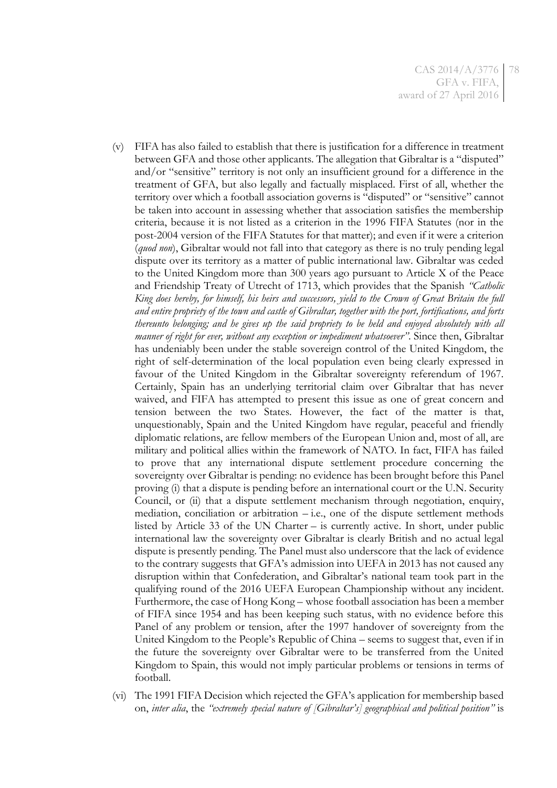- (v) FIFA has also failed to establish that there is justification for a difference in treatment between GFA and those other applicants. The allegation that Gibraltar is a "disputed" and/or "sensitive" territory is not only an insufficient ground for a difference in the treatment of GFA, but also legally and factually misplaced. First of all, whether the territory over which a football association governs is "disputed" or "sensitive" cannot be taken into account in assessing whether that association satisfies the membership criteria, because it is not listed as a criterion in the 1996 FIFA Statutes (nor in the post-2004 version of the FIFA Statutes for that matter); and even if it were a criterion (*quod non*), Gibraltar would not fall into that category as there is no truly pending legal dispute over its territory as a matter of public international law. Gibraltar was ceded to the United Kingdom more than 300 years ago pursuant to Article X of the Peace and Friendship Treaty of Utrecht of 1713, which provides that the Spanish *"Catholic King does hereby, for himself, his heirs and successors, yield to the Crown of Great Britain the full and entire propriety of the town and castle of Gibraltar, together with the port, fortifications, and forts thereunto belonging; and he gives up the said propriety to be held and enjoyed absolutely with all manner of right for ever, without any exception or impediment whatsoever"*. Since then, Gibraltar has undeniably been under the stable sovereign control of the United Kingdom, the right of self-determination of the local population even being clearly expressed in favour of the United Kingdom in the Gibraltar sovereignty referendum of 1967. Certainly, Spain has an underlying territorial claim over Gibraltar that has never waived, and FIFA has attempted to present this issue as one of great concern and tension between the two States. However, the fact of the matter is that, unquestionably, Spain and the United Kingdom have regular, peaceful and friendly diplomatic relations, are fellow members of the European Union and, most of all, are military and political allies within the framework of NATO. In fact, FIFA has failed to prove that any international dispute settlement procedure concerning the sovereignty over Gibraltar is pending: no evidence has been brought before this Panel proving (i) that a dispute is pending before an international court or the U.N. Security Council, or (ii) that a dispute settlement mechanism through negotiation, enquiry, mediation, conciliation or arbitration  $-$  i.e., one of the dispute settlement methods listed by Article 33 of the UN Charter – is currently active. In short, under public international law the sovereignty over Gibraltar is clearly British and no actual legal dispute is presently pending. The Panel must also underscore that the lack of evidence to the contrary suggests that GFA's admission into UEFA in 2013 has not caused any disruption within that Confederation, and Gibraltar's national team took part in the qualifying round of the 2016 UEFA European Championship without any incident. Furthermore, the case of Hong Kong – whose football association has been a member of FIFA since 1954 and has been keeping such status, with no evidence before this Panel of any problem or tension, after the 1997 handover of sovereignty from the United Kingdom to the People's Republic of China – seems to suggest that, even if in the future the sovereignty over Gibraltar were to be transferred from the United Kingdom to Spain, this would not imply particular problems or tensions in terms of football.
- (vi) The 1991 FIFA Decision which rejected the GFA's application for membership based on, *inter alia*, the *"extremely special nature of [Gibraltar's] geographical and political position"* is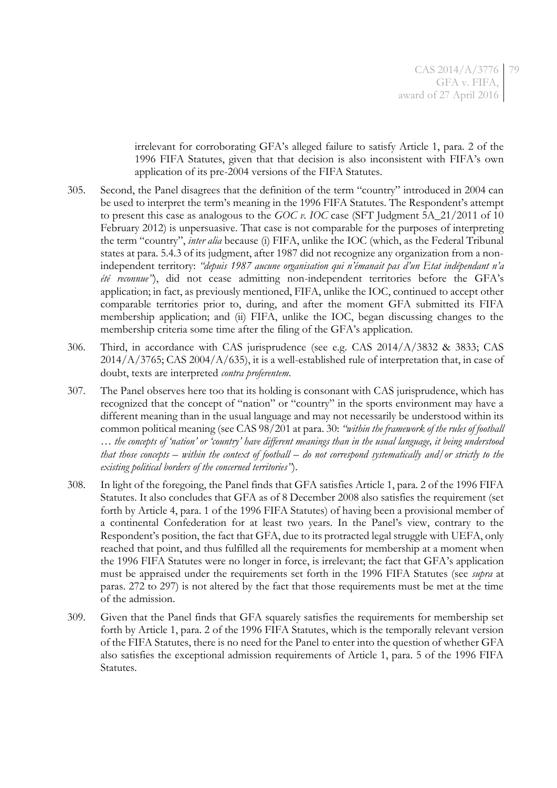irrelevant for corroborating GFA's alleged failure to satisfy Article 1, para. 2 of the 1996 FIFA Statutes, given that that decision is also inconsistent with FIFA's own application of its pre-2004 versions of the FIFA Statutes.

- 305. Second, the Panel disagrees that the definition of the term "country" introduced in 2004 can be used to interpret the term's meaning in the 1996 FIFA Statutes. The Respondent's attempt to present this case as analogous to the *GOC v. IOC* case (SFT Judgment 5A\_21/2011 of 10 February 2012) is unpersuasive. That case is not comparable for the purposes of interpreting the term "country", *inter alia* because (i) FIFA, unlike the IOC (which, as the Federal Tribunal states at para. 5.4.3 of its judgment, after 1987 did not recognize any organization from a nonindependent territory: *"depuis 1987 aucune organisation qui n'émanait pas d'un Etat indépendant n'a été reconnue"*), did not cease admitting non-independent territories before the GFA's application; in fact, as previously mentioned, FIFA, unlike the IOC, continued to accept other comparable territories prior to, during, and after the moment GFA submitted its FIFA membership application; and (ii) FIFA, unlike the IOC, began discussing changes to the membership criteria some time after the filing of the GFA's application.
- 306. Third, in accordance with CAS jurisprudence (see e.g. CAS 2014/A/3832 & 3833; CAS 2014/A/3765; CAS 2004/A/635), it is a well-established rule of interpretation that, in case of doubt, texts are interpreted *contra proferentem*.
- 307. The Panel observes here too that its holding is consonant with CAS jurisprudence, which has recognized that the concept of "nation" or "country" in the sports environment may have a different meaning than in the usual language and may not necessarily be understood within its common political meaning (see CAS 98/201 at para. 30: *"within the framework of the rules of football … the concepts of 'nation' or 'country' have different meanings than in the usual language, it being understood that those concepts – within the context of football – do not correspond systematically and/or strictly to the existing political borders of the concerned territories"*).
- 308. In light of the foregoing, the Panel finds that GFA satisfies Article 1, para. 2 of the 1996 FIFA Statutes. It also concludes that GFA as of 8 December 2008 also satisfies the requirement (set forth by Article 4, para. 1 of the 1996 FIFA Statutes) of having been a provisional member of a continental Confederation for at least two years. In the Panel's view, contrary to the Respondent's position, the fact that GFA, due to its protracted legal struggle with UEFA, only reached that point, and thus fulfilled all the requirements for membership at a moment when the 1996 FIFA Statutes were no longer in force, is irrelevant; the fact that GFA's application must be appraised under the requirements set forth in the 1996 FIFA Statutes (see *supra* at paras. [272](#page-65-0) to [297\)](#page-74-0) is not altered by the fact that those requirements must be met at the time of the admission.
- <span id="page-78-0"></span>309. Given that the Panel finds that GFA squarely satisfies the requirements for membership set forth by Article 1, para. 2 of the 1996 FIFA Statutes, which is the temporally relevant version of the FIFA Statutes, there is no need for the Panel to enter into the question of whether GFA also satisfies the exceptional admission requirements of Article 1, para. 5 of the 1996 FIFA Statutes.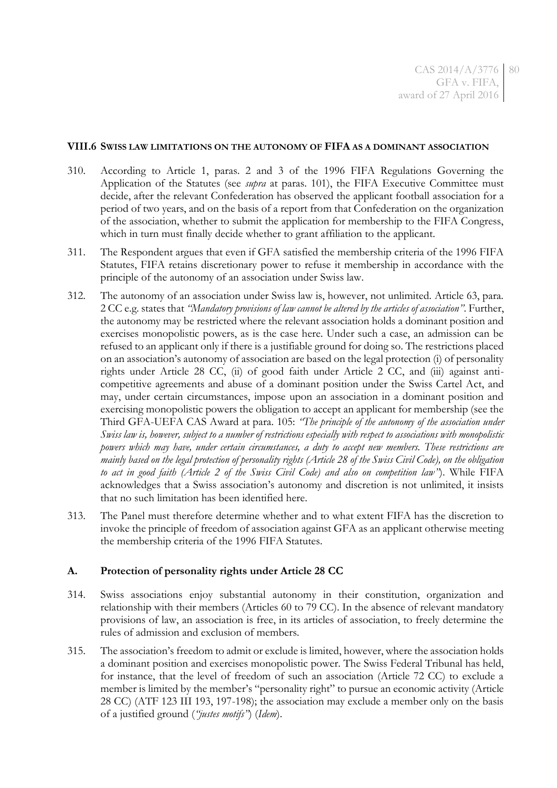#### **VIII.6 SWISS LAW LIMITATIONS ON THE AUTONOMY OF FIFA AS A DOMINANT ASSOCIATION**

- <span id="page-79-0"></span>310. According to Article 1, paras. 2 and 3 of the 1996 FIFA Regulations Governing the Application of the Statutes (see *supra* at paras. [101\)](#page-19-0), the FIFA Executive Committee must decide, after the relevant Confederation has observed the applicant football association for a period of two years, and on the basis of a report from that Confederation on the organization of the association, whether to submit the application for membership to the FIFA Congress, which in turn must finally decide whether to grant affiliation to the applicant.
- 311. The Respondent argues that even if GFA satisfied the membership criteria of the 1996 FIFA Statutes, FIFA retains discretionary power to refuse it membership in accordance with the principle of the autonomy of an association under Swiss law.
- 312. The autonomy of an association under Swiss law is, however, not unlimited. Article 63, para. 2 CC e.g. states that *"Mandatory provisions of law cannot be altered by the articles of association"*. Further, the autonomy may be restricted where the relevant association holds a dominant position and exercises monopolistic powers, as is the case here. Under such a case, an admission can be refused to an applicant only if there is a justifiable ground for doing so. The restrictions placed on an association's autonomy of association are based on the legal protection (i) of personality rights under Article 28 CC, (ii) of good faith under Article 2 CC, and (iii) against anticompetitive agreements and abuse of a dominant position under the Swiss Cartel Act, and may, under certain circumstances, impose upon an association in a dominant position and exercising monopolistic powers the obligation to accept an applicant for membership (see the Third GFA-UEFA CAS Award at para. 105: *"The principle of the autonomy of the association under Swiss law is, however, subject to a number of restrictions especially with respect to associations with monopolistic powers which may have, under certain circumstances, a duty to accept new members. These restrictions are mainly based on the legal protection of personality rights (Article 28 of the Swiss Civil Code), on the obligation to act in good faith (Article 2 of the Swiss Civil Code) and also on competition law"*). While FIFA acknowledges that a Swiss association's autonomy and discretion is not unlimited, it insists that no such limitation has been identified here.
- 313. The Panel must therefore determine whether and to what extent FIFA has the discretion to invoke the principle of freedom of association against GFA as an applicant otherwise meeting the membership criteria of the 1996 FIFA Statutes.

#### **A. Protection of personality rights under Article 28 CC**

- 314. Swiss associations enjoy substantial autonomy in their constitution, organization and relationship with their members (Articles 60 to 79 CC). In the absence of relevant mandatory provisions of law, an association is free, in its articles of association, to freely determine the rules of admission and exclusion of members.
- 315. The association's freedom to admit or exclude is limited, however, where the association holds a dominant position and exercises monopolistic power. The Swiss Federal Tribunal has held, for instance, that the level of freedom of such an association (Article 72 CC) to exclude a member is limited by the member's "personality right" to pursue an economic activity (Article 28 CC) (ATF 123 III 193, 197-198); the association may exclude a member only on the basis of a justified ground (*"justes motifs"*) (*Idem*).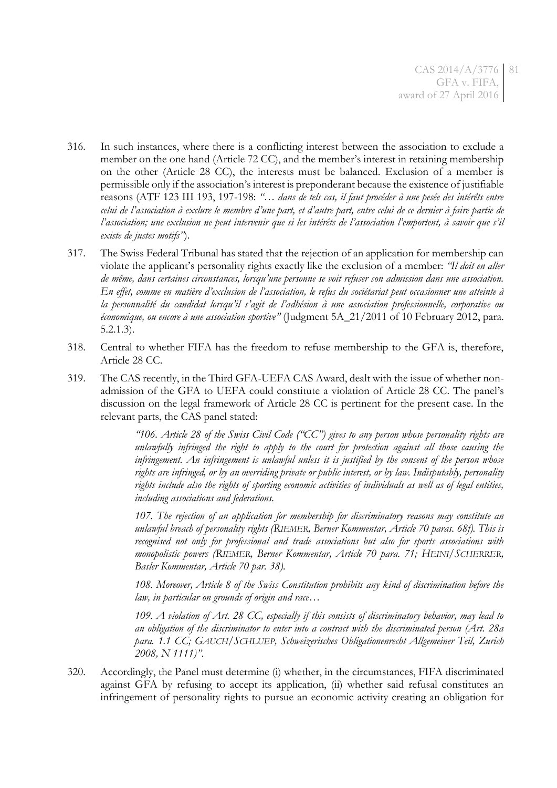- 316. In such instances, where there is a conflicting interest between the association to exclude a member on the one hand (Article 72 CC), and the member's interest in retaining membership on the other (Article 28 CC), the interests must be balanced. Exclusion of a member is permissible only if the association's interest is preponderant because the existence of justifiable reasons (ATF 123 III 193, 197-198: *"*… *dans de tels cas, il faut procéder à une pesée des intérêts entre celui de l'association à exclure le membre d'une part, et d'autre part, entre celui de ce dernier à faire partie de l'association; une exclusion ne peut intervenir que si les intérêts de l'association l'emportent, à savoir que s'il existe de justes motifs"*).
- 317. The Swiss Federal Tribunal has stated that the rejection of an application for membership can violate the applicant's personality rights exactly like the exclusion of a member: *"Il doit en aller de même, dans certaines circonstances, lorsqu'une personne se voit refuser son admission dans une association. En effet, comme en matière d'exclusion de l'association, le refus du sociétariat peut occasionner une atteinte à la personnalité du candidat lorsqu'il s'agit de l'adhésion à une association professionnelle, corporative ou économique, ou encore à une association sportive"* (Judgment 5A\_21/2011 of 10 February 2012, para. 5.2.1.3).
- 318. Central to whether FIFA has the freedom to refuse membership to the GFA is, therefore, Article 28 CC.
- 319. The CAS recently, in the Third GFA-UEFA CAS Award, dealt with the issue of whether nonadmission of the GFA to UEFA could constitute a violation of Article 28 CC. The panel's discussion on the legal framework of Article 28 CC is pertinent for the present case. In the relevant parts, the CAS panel stated:

*"106. Article 28 of the Swiss Civil Code ("CC") gives to any person whose personality rights are unlawfully infringed the right to apply to the court for protection against all those causing the infringement. An infringement is unlawful unless it is justified by the consent of the person whose rights are infringed, or by an overriding private or public interest, or by law. Indisputably, personality rights include also the rights of sporting economic activities of individuals as well as of legal entities, including associations and federations.*

*107. The rejection of an application for membership for discriminatory reasons may constitute an unlawful breach of personality rights (RIEMER, Berner Kommentar, Article 70 paras. 68f). This is recognised not only for professional and trade associations but also for sports associations with monopolistic powers (RIEMER, Berner Kommentar, Article 70 para. 71; HEINI/SCHERRER, Basler Kommentar, Article 70 par. 38).*

*108. Moreover, Article 8 of the Swiss Constitution prohibits any kind of discrimination before the law, in particular on grounds of origin and race…*

*109. A violation of Art. 28 CC, especially if this consists of discriminatory behavior, may lead to an obligation of the discriminator to enter into a contract with the discriminated person (Art. 28a para. 1.1 CC; GAUCH/SCHLUEP, Schweizerisches Obligationenrecht Allgemeiner Teil, Zurich 2008, N 1111)"*.

320. Accordingly, the Panel must determine (i) whether, in the circumstances, FIFA discriminated against GFA by refusing to accept its application, (ii) whether said refusal constitutes an infringement of personality rights to pursue an economic activity creating an obligation for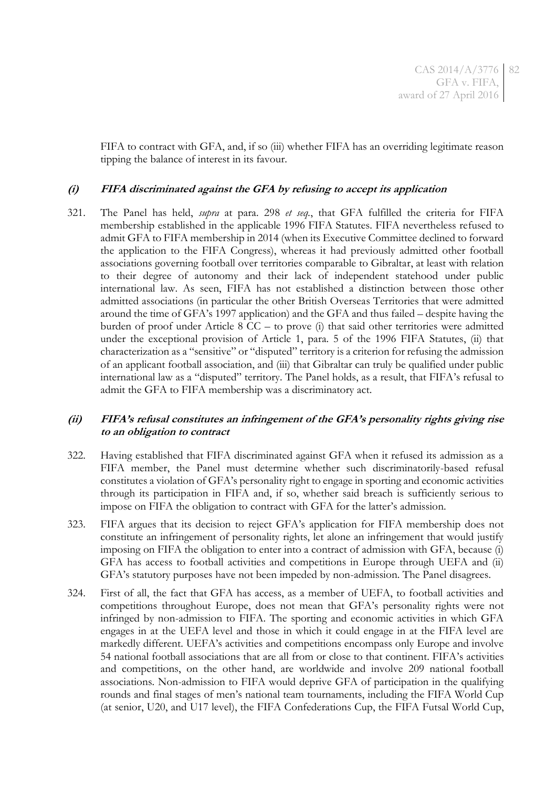FIFA to contract with GFA, and, if so (iii) whether FIFA has an overriding legitimate reason tipping the balance of interest in its favour.

#### **(i) FIFA discriminated against the GFA by refusing to accept its application**

321. The Panel has held, *supra* at para. [298](#page-74-1) *et seq.*, that GFA fulfilled the criteria for FIFA membership established in the applicable 1996 FIFA Statutes. FIFA nevertheless refused to admit GFA to FIFA membership in 2014 (when its Executive Committee declined to forward the application to the FIFA Congress), whereas it had previously admitted other football associations governing football over territories comparable to Gibraltar, at least with relation to their degree of autonomy and their lack of independent statehood under public international law. As seen, FIFA has not established a distinction between those other admitted associations (in particular the other British Overseas Territories that were admitted around the time of GFA's 1997 application) and the GFA and thus failed – despite having the burden of proof under Article 8 CC – to prove (i) that said other territories were admitted under the exceptional provision of Article 1, para. 5 of the 1996 FIFA Statutes, (ii) that characterization as a "sensitive" or "disputed" territory is a criterion for refusing the admission of an applicant football association, and (iii) that Gibraltar can truly be qualified under public international law as a "disputed" territory. The Panel holds, as a result, that FIFA's refusal to admit the GFA to FIFA membership was a discriminatory act.

## **(ii) FIFA's refusal constitutes an infringement of the GFA's personality rights giving rise to an obligation to contract**

- 322. Having established that FIFA discriminated against GFA when it refused its admission as a FIFA member, the Panel must determine whether such discriminatorily-based refusal constitutes a violation of GFA's personality right to engage in sporting and economic activities through its participation in FIFA and, if so, whether said breach is sufficiently serious to impose on FIFA the obligation to contract with GFA for the latter's admission.
- 323. FIFA argues that its decision to reject GFA's application for FIFA membership does not constitute an infringement of personality rights, let alone an infringement that would justify imposing on FIFA the obligation to enter into a contract of admission with GFA, because (i) GFA has access to football activities and competitions in Europe through UEFA and (ii) GFA's statutory purposes have not been impeded by non-admission. The Panel disagrees.
- 324. First of all, the fact that GFA has access, as a member of UEFA, to football activities and competitions throughout Europe, does not mean that GFA's personality rights were not infringed by non-admission to FIFA. The sporting and economic activities in which GFA engages in at the UEFA level and those in which it could engage in at the FIFA level are markedly different. UEFA's activities and competitions encompass only Europe and involve 54 national football associations that are all from or close to that continent. FIFA's activities and competitions, on the other hand, are worldwide and involve 209 national football associations. Non-admission to FIFA would deprive GFA of participation in the qualifying rounds and final stages of men's national team tournaments, including the FIFA World Cup (at senior, U20, and U17 level), the FIFA Confederations Cup, the FIFA Futsal World Cup,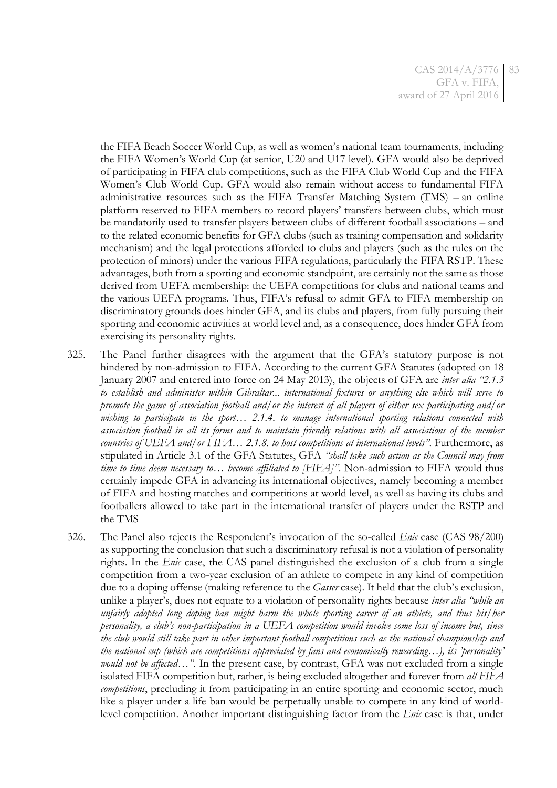the FIFA Beach Soccer World Cup, as well as women's national team tournaments, including the FIFA Women's World Cup (at senior, U20 and U17 level). GFA would also be deprived of participating in FIFA club competitions, such as the FIFA Club World Cup and the FIFA Women's Club World Cup. GFA would also remain without access to fundamental FIFA administrative resources such as the FIFA Transfer Matching System (TMS) – an online platform reserved to FIFA members to record players' transfers between clubs, which must be mandatorily used to transfer players between clubs of different football associations – and to the related economic benefits for GFA clubs (such as training compensation and solidarity mechanism) and the legal protections afforded to clubs and players (such as the rules on the protection of minors) under the various FIFA regulations, particularly the FIFA RSTP. These advantages, both from a sporting and economic standpoint, are certainly not the same as those derived from UEFA membership: the UEFA competitions for clubs and national teams and the various UEFA programs. Thus, FIFA's refusal to admit GFA to FIFA membership on discriminatory grounds does hinder GFA, and its clubs and players, from fully pursuing their sporting and economic activities at world level and, as a consequence, does hinder GFA from exercising its personality rights.

- 325. The Panel further disagrees with the argument that the GFA's statutory purpose is not hindered by non-admission to FIFA. According to the current GFA Statutes (adopted on 18 January 2007 and entered into force on 24 May 2013), the objects of GFA are *inter alia "2.1.3 to establish and administer within Gibraltar... international fixtures or anything else which will serve to promote the game of association football and/or the interest of all players of either sex participating and/or wishing to participate in the sport… 2.1.4. to manage international sporting relations connected with association football in all its forms and to maintain friendly relations with all associations of the member countries of UEFA and/or FIFA… 2.1.8. to host competitions at international levels"*. Furthermore, as stipulated in Article 3.1 of the GFA Statutes, GFA *"shall take such action as the Council may from time to time deem necessary to… become affiliated to [FIFA]"*. Non-admission to FIFA would thus certainly impede GFA in advancing its international objectives, namely becoming a member of FIFA and hosting matches and competitions at world level, as well as having its clubs and footballers allowed to take part in the international transfer of players under the RSTP and the TMS
- 326. The Panel also rejects the Respondent's invocation of the so-called *Enic* case (CAS 98/200) as supporting the conclusion that such a discriminatory refusal is not a violation of personality rights. In the *Enic* case, the CAS panel distinguished the exclusion of a club from a single competition from a two-year exclusion of an athlete to compete in any kind of competition due to a doping offense (making reference to the *Gasser* case). It held that the club's exclusion, unlike a player's, does not equate to a violation of personality rights because *inter alia "while an unfairly adopted long doping ban might harm the whole sporting career of an athlete, and thus his/her personality, a club's non-participation in a UEFA competition would involve some loss of income but, since the club would still take part in other important football competitions such as the national championship and*   $t$ he national cup (which are competitions appreciated by fans and economically rewarding...), its '*personality' would not be affected*…*"*. In the present case, by contrast, GFA was not excluded from a single isolated FIFA competition but, rather, is being excluded altogether and forever from *all FIFA competitions*, precluding it from participating in an entire sporting and economic sector, much like a player under a life ban would be perpetually unable to compete in any kind of worldlevel competition. Another important distinguishing factor from the *Enic* case is that, under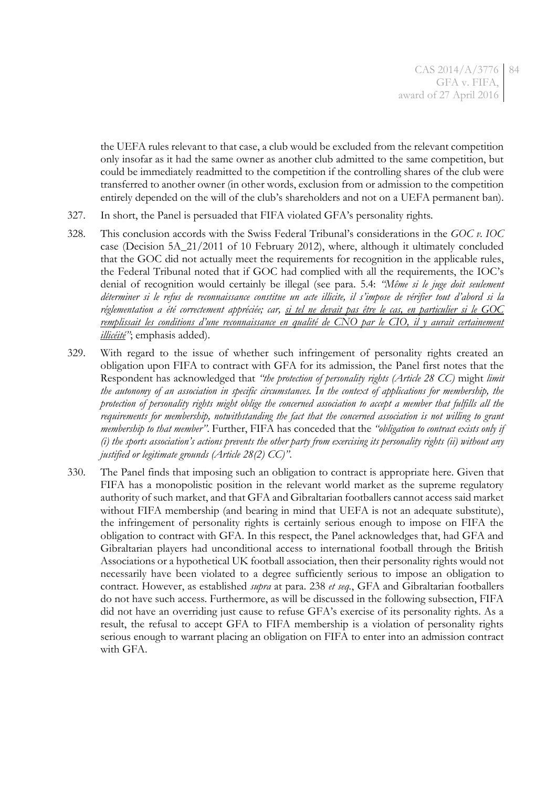the UEFA rules relevant to that case, a club would be excluded from the relevant competition only insofar as it had the same owner as another club admitted to the same competition, but could be immediately readmitted to the competition if the controlling shares of the club were transferred to another owner (in other words, exclusion from or admission to the competition entirely depended on the will of the club's shareholders and not on a UEFA permanent ban).

- 327. In short, the Panel is persuaded that FIFA violated GFA's personality rights.
- 328. This conclusion accords with the Swiss Federal Tribunal's considerations in the *GOC v. IOC* case (Decision 5A\_21/2011 of 10 February 2012), where, although it ultimately concluded that the GOC did not actually meet the requirements for recognition in the applicable rules, the Federal Tribunal noted that if GOC had complied with all the requirements, the IOC's denial of recognition would certainly be illegal (see para. 5.4: *"Même si le juge doit seulement déterminer si le refus de reconnaissance constitue un acte illicite, il s'impose de vérifier tout d'abord si la réglementation a été correctement appréciée; car, si tel ne devait pas être le cas, en particulier si le GOC remplissait les conditions d'une reconnaissance en qualité de CNO par le CIO, il y aurait certainement illicéité"*; emphasis added).
- 329. With regard to the issue of whether such infringement of personality rights created an obligation upon FIFA to contract with GFA for its admission, the Panel first notes that the Respondent has acknowledged that *"the protection of personality rights (Article 28 CC)* might *limit the autonomy of an association in specific circumstances. In the context of applications for membership, the protection of personality rights might oblige the concerned association to accept a member that fulfills all the requirements for membership, notwithstanding the fact that the concerned association is not willing to grant membership to that member"*. Further, FIFA has conceded that the *"obligation to contract exists only if (i) the sports association's actions prevents the other party from exercising its personality rights (ii) without any justified or legitimate grounds (Article 28(2) CC)"*.
- 330. The Panel finds that imposing such an obligation to contract is appropriate here. Given that FIFA has a monopolistic position in the relevant world market as the supreme regulatory authority of such market, and that GFA and Gibraltarian footballers cannot access said market without FIFA membership (and bearing in mind that UEFA is not an adequate substitute), the infringement of personality rights is certainly serious enough to impose on FIFA the obligation to contract with GFA. In this respect, the Panel acknowledges that, had GFA and Gibraltarian players had unconditional access to international football through the British Associations or a hypothetical UK football association, then their personality rights would not necessarily have been violated to a degree sufficiently serious to impose an obligation to contract. However, as established *supra* at para. [238](#page-56-0) *et seq.*, GFA and Gibraltarian footballers do not have such access. Furthermore, as will be discussed in the following subsection, FIFA did not have an overriding just cause to refuse GFA's exercise of its personality rights. As a result, the refusal to accept GFA to FIFA membership is a violation of personality rights serious enough to warrant placing an obligation on FIFA to enter into an admission contract with GFA.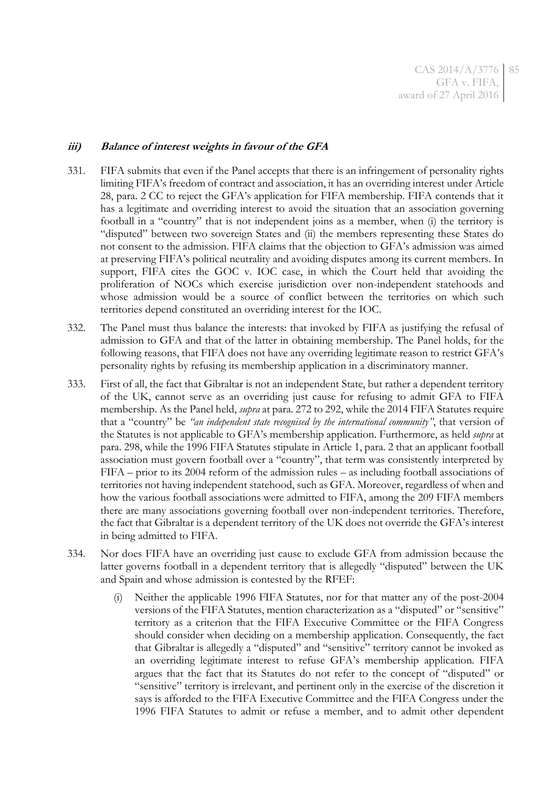## **iii) Balance of interest weights in favour of the GFA**

- 331. FIFA submits that even if the Panel accepts that there is an infringement of personality rights limiting FIFA's freedom of contract and association, it has an overriding interest under Article 28, para. 2 CC to reject the GFA's application for FIFA membership. FIFA contends that it has a legitimate and overriding interest to avoid the situation that an association governing football in a "country" that is not independent joins as a member, when (i) the territory is "disputed" between two sovereign States and (ii) the members representing these States do not consent to the admission. FIFA claims that the objection to GFA's admission was aimed at preserving FIFA's political neutrality and avoiding disputes among its current members. In support, FIFA cites the GOC v. IOC case, in which the Court held that avoiding the proliferation of NOCs which exercise jurisdiction over non-independent statehoods and whose admission would be a source of conflict between the territories on which such territories depend constituted an overriding interest for the IOC.
- 332. The Panel must thus balance the interests: that invoked by FIFA as justifying the refusal of admission to GFA and that of the latter in obtaining membership. The Panel holds, for the following reasons, that FIFA does not have any overriding legitimate reason to restrict GFA's personality rights by refusing its membership application in a discriminatory manner.
- 333. First of all, the fact that Gibraltar is not an independent State, but rather a dependent territory of the UK, cannot serve as an overriding just cause for refusing to admit GFA to FIFA membership. As the Panel held, *supra* at para. [272](#page-65-0) t[o 292,](#page-71-0) while the 2014 FIFA Statutes require that a "country" be *"an independent state recognised by the international community"*, that version of the Statutes is not applicable to GFA's membership application. Furthermore, as held *supra* at para. [298,](#page-74-1) while the 1996 FIFA Statutes stipulate in Article 1, para. 2 that an applicant football association must govern football over a "country", that term was consistently interpreted by FIFA – prior to its 2004 reform of the admission rules – as including football associations of territories not having independent statehood, such as GFA. Moreover, regardless of when and how the various football associations were admitted to FIFA, among the 209 FIFA members there are many associations governing football over non-independent territories. Therefore, the fact that Gibraltar is a dependent territory of the UK does not override the GFA's interest in being admitted to FIFA.
- 334. Nor does FIFA have an overriding just cause to exclude GFA from admission because the latter governs football in a dependent territory that is allegedly "disputed" between the UK and Spain and whose admission is contested by the RFEF:
	- (i) Neither the applicable 1996 FIFA Statutes, nor for that matter any of the post-2004 versions of the FIFA Statutes, mention characterization as a "disputed" or "sensitive" territory as a criterion that the FIFA Executive Committee or the FIFA Congress should consider when deciding on a membership application. Consequently, the fact that Gibraltar is allegedly a "disputed" and "sensitive" territory cannot be invoked as an overriding legitimate interest to refuse GFA's membership application. FIFA argues that the fact that its Statutes do not refer to the concept of "disputed" or "sensitive" territory is irrelevant, and pertinent only in the exercise of the discretion it says is afforded to the FIFA Executive Committee and the FIFA Congress under the 1996 FIFA Statutes to admit or refuse a member, and to admit other dependent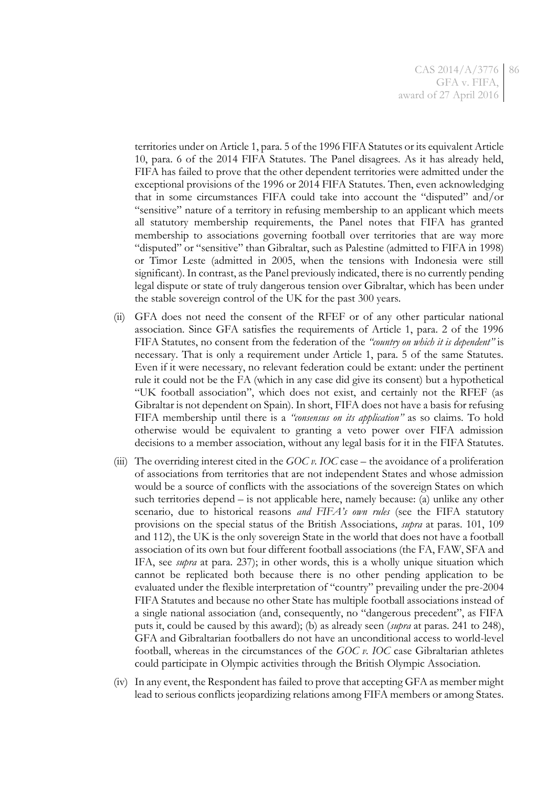territories under on Article 1, para. 5 of the 1996 FIFA Statutes or its equivalent Article 10, para. 6 of the 2014 FIFA Statutes. The Panel disagrees. As it has already held, FIFA has failed to prove that the other dependent territories were admitted under the exceptional provisions of the 1996 or 2014 FIFA Statutes. Then, even acknowledging that in some circumstances FIFA could take into account the "disputed" and/or "sensitive" nature of a territory in refusing membership to an applicant which meets all statutory membership requirements, the Panel notes that FIFA has granted membership to associations governing football over territories that are way more "disputed" or "sensitive" than Gibraltar, such as Palestine (admitted to FIFA in 1998) or Timor Leste (admitted in 2005, when the tensions with Indonesia were still significant). In contrast, as the Panel previously indicated, there is no currently pending legal dispute or state of truly dangerous tension over Gibraltar, which has been under the stable sovereign control of the UK for the past 300 years.

- (ii) GFA does not need the consent of the RFEF or of any other particular national association. Since GFA satisfies the requirements of Article 1, para. 2 of the 1996 FIFA Statutes, no consent from the federation of the *"country on which it is dependent"* is necessary. That is only a requirement under Article 1, para. 5 of the same Statutes. Even if it were necessary, no relevant federation could be extant: under the pertinent rule it could not be the FA (which in any case did give its consent) but a hypothetical "UK football association", which does not exist, and certainly not the RFEF (as Gibraltar is not dependent on Spain). In short, FIFA does not have a basis for refusing FIFA membership until there is a *"consensus on its application"* as so claims. To hold otherwise would be equivalent to granting a veto power over FIFA admission decisions to a member association, without any legal basis for it in the FIFA Statutes.
- (iii) The overriding interest cited in the *GOC v. IOC* case the avoidance of a proliferation of associations from territories that are not independent States and whose admission would be a source of conflicts with the associations of the sovereign States on which such territories depend – is not applicable here, namely because: (a) unlike any other scenario, due to historical reasons *and FIFA's own rules* (see the FIFA statutory provisions on the special status of the British Associations, *supra* at paras. [101,](#page-19-0) [109](#page-21-0) an[d 112\)](#page-21-1), the UK is the only sovereign State in the world that does not have a football association of its own but four different football associations (the FA, FAW, SFA and IFA, see *supra* at para. [237\)](#page-56-1); in other words, this is a wholly unique situation which cannot be replicated both because there is no other pending application to be evaluated under the flexible interpretation of "country" prevailing under the pre-2004 FIFA Statutes and because no other State has multiple football associations instead of a single national association (and, consequently, no "dangerous precedent", as FIFA puts it, could be caused by this award); (b) as already seen (*supra* at paras. [241](#page-57-0) to [248\)](#page-58-0), GFA and Gibraltarian footballers do not have an unconditional access to world-level football, whereas in the circumstances of the *GOC v. IOC* case Gibraltarian athletes could participate in Olympic activities through the British Olympic Association.
- (iv) In any event, the Respondent has failed to prove that accepting GFA as member might lead to serious conflicts jeopardizing relations among FIFA members or among States.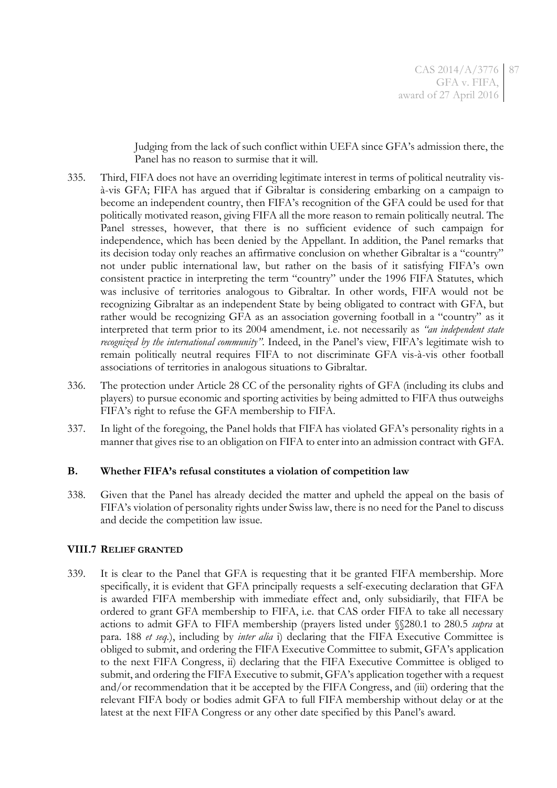Judging from the lack of such conflict within UEFA since GFA's admission there, the Panel has no reason to surmise that it will.

- 335. Third, FIFA does not have an overriding legitimate interest in terms of political neutrality visà-vis GFA; FIFA has argued that if Gibraltar is considering embarking on a campaign to become an independent country, then FIFA's recognition of the GFA could be used for that politically motivated reason, giving FIFA all the more reason to remain politically neutral. The Panel stresses, however, that there is no sufficient evidence of such campaign for independence, which has been denied by the Appellant. In addition, the Panel remarks that its decision today only reaches an affirmative conclusion on whether Gibraltar is a "country" not under public international law, but rather on the basis of it satisfying FIFA's own consistent practice in interpreting the term "country" under the 1996 FIFA Statutes, which was inclusive of territories analogous to Gibraltar. In other words, FIFA would not be recognizing Gibraltar as an independent State by being obligated to contract with GFA, but rather would be recognizing GFA as an association governing football in a "country" as it interpreted that term prior to its 2004 amendment, i.e. not necessarily as *"an independent state recognized by the international community"*. Indeed, in the Panel's view, FIFA's legitimate wish to remain politically neutral requires FIFA to not discriminate GFA vis-à-vis other football associations of territories in analogous situations to Gibraltar.
- 336. The protection under Article 28 CC of the personality rights of GFA (including its clubs and players) to pursue economic and sporting activities by being admitted to FIFA thus outweighs FIFA's right to refuse the GFA membership to FIFA.
- <span id="page-86-0"></span>337. In light of the foregoing, the Panel holds that FIFA has violated GFA's personality rights in a manner that gives rise to an obligation on FIFA to enter into an admission contract with GFA.

## **B. Whether FIFA's refusal constitutes a violation of competition law**

338. Given that the Panel has already decided the matter and upheld the appeal on the basis of FIFA's violation of personality rights under Swiss law, there is no need for the Panel to discuss and decide the competition law issue.

## **VIII.7 RELIEF GRANTED**

339. It is clear to the Panel that GFA is requesting that it be granted FIFA membership. More specifically, it is evident that GFA principally requests a self-executing declaration that GFA is awarded FIFA membership with immediate effect and, only subsidiarily, that FIFA be ordered to grant GFA membership to FIFA, i.e. that CAS order FIFA to take all necessary actions to admit GFA to FIFA membership (prayers listed under §§280.1 to 280.5 *supra* at para. [188](#page-39-0) *et seq.*), including by *inter alia* i) declaring that the FIFA Executive Committee is obliged to submit, and ordering the FIFA Executive Committee to submit, GFA's application to the next FIFA Congress, ii) declaring that the FIFA Executive Committee is obliged to submit, and ordering the FIFA Executive to submit, GFA's application together with a request and/or recommendation that it be accepted by the FIFA Congress, and (iii) ordering that the relevant FIFA body or bodies admit GFA to full FIFA membership without delay or at the latest at the next FIFA Congress or any other date specified by this Panel's award.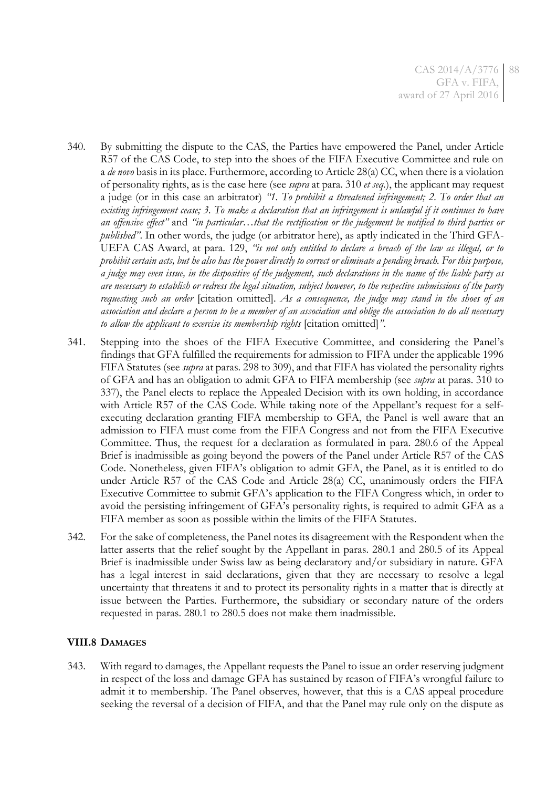- 340. By submitting the dispute to the CAS, the Parties have empowered the Panel, under Article R57 of the CAS Code, to step into the shoes of the FIFA Executive Committee and rule on a *de novo* basis in its place. Furthermore, according to Article 28(a) CC, when there is a violation of personality rights, as is the case here (see *supra* at para. [310](#page-79-0) *et seq.*), the applicant may request a judge (or in this case an arbitrator) *"1. To prohibit a threatened infringement; 2. To order that an existing infringement cease; 3. To make a declaration that an infringement is unlawful if it continues to have an offensive effect"* and *"in particular…that the rectification or the judgement be notified to third parties or published"*. In other words, the judge (or arbitrator here), as aptly indicated in the Third GFA-UEFA CAS Award, at para. 129, *"is not only entitled to declare a breach of the law as illegal, or to prohibit certain acts, but he also has the power directly to correct or eliminate a pending breach. For this purpose, a judge may even issue, in the dispositive of the judgement, such declarations in the name of the liable party as are necessary to establish or redress the legal situation, subject however, to the respective submissions of the party requesting such an order* [citation omitted]. *As a consequence, the judge may stand in the shoes of an association and declare a person to be a member of an association and oblige the association to do all necessary to allow the applicant to exercise its membership rights* [citation omitted]*"*.
- 341. Stepping into the shoes of the FIFA Executive Committee, and considering the Panel's findings that GFA fulfilled the requirements for admission to FIFA under the applicable 1996 FIFA Statutes (see *supra* at paras. [298](#page-74-1) to [309\)](#page-78-0), and that FIFA has violated the personality rights of GFA and has an obligation to admit GFA to FIFA membership (see *supra* at paras. [310](#page-79-0) to [337\)](#page-86-0), the Panel elects to replace the Appealed Decision with its own holding, in accordance with Article R57 of the CAS Code. While taking note of the Appellant's request for a selfexecuting declaration granting FIFA membership to GFA, the Panel is well aware that an admission to FIFA must come from the FIFA Congress and not from the FIFA Executive Committee. Thus, the request for a declaration as formulated in para. 280.6 of the Appeal Brief is inadmissible as going beyond the powers of the Panel under Article R57 of the CAS Code. Nonetheless, given FIFA's obligation to admit GFA, the Panel, as it is entitled to do under Article R57 of the CAS Code and Article 28(a) CC, unanimously orders the FIFA Executive Committee to submit GFA's application to the FIFA Congress which, in order to avoid the persisting infringement of GFA's personality rights, is required to admit GFA as a FIFA member as soon as possible within the limits of the FIFA Statutes.
- 342. For the sake of completeness, the Panel notes its disagreement with the Respondent when the latter asserts that the relief sought by the Appellant in paras. 280.1 and 280.5 of its Appeal Brief is inadmissible under Swiss law as being declaratory and/or subsidiary in nature. GFA has a legal interest in said declarations, given that they are necessary to resolve a legal uncertainty that threatens it and to protect its personality rights in a matter that is directly at issue between the Parties. Furthermore, the subsidiary or secondary nature of the orders requested in paras. 280.1 to 280.5 does not make them inadmissible.

## **VIII.8 DAMAGES**

343. With regard to damages, the Appellant requests the Panel to issue an order reserving judgment in respect of the loss and damage GFA has sustained by reason of FIFA's wrongful failure to admit it to membership. The Panel observes, however, that this is a CAS appeal procedure seeking the reversal of a decision of FIFA, and that the Panel may rule only on the dispute as